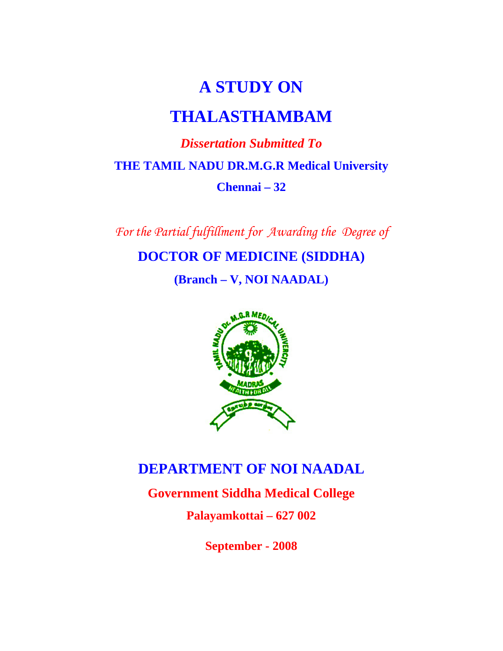# **A STUDY ON**

# **THALASTHAMBAM**

# *Dissertation Submitted To*   **THE TAMIL NADU DR.M.G.R Medical University Chennai – 32**

*For the Partial fulfillment for Awarding the Degree of* 

**DOCTOR OF MEDICINE (SIDDHA)** 

**(Branch – V, NOI NAADAL)** 



# **DEPARTMENT OF NOI NAADAL**

**Government Siddha Medical College** 

**Palayamkottai – 627 002** 

**September - 2008**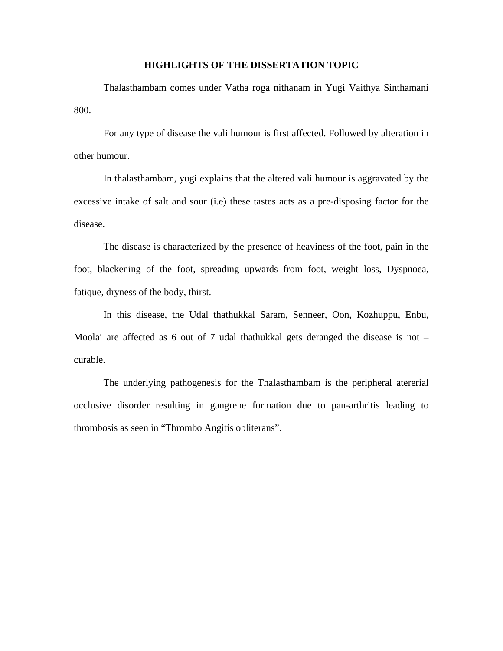#### **HIGHLIGHTS OF THE DISSERTATION TOPIC**

 Thalasthambam comes under Vatha roga nithanam in Yugi Vaithya Sinthamani 800.

 For any type of disease the vali humour is first affected. Followed by alteration in other humour.

 In thalasthambam, yugi explains that the altered vali humour is aggravated by the excessive intake of salt and sour (i.e) these tastes acts as a pre-disposing factor for the disease.

 The disease is characterized by the presence of heaviness of the foot, pain in the foot, blackening of the foot, spreading upwards from foot, weight loss, Dyspnoea, fatique, dryness of the body, thirst.

 In this disease, the Udal thathukkal Saram, Senneer, Oon, Kozhuppu, Enbu, Moolai are affected as 6 out of 7 udal thathukkal gets deranged the disease is not – curable.

 The underlying pathogenesis for the Thalasthambam is the peripheral atererial occlusive disorder resulting in gangrene formation due to pan-arthritis leading to thrombosis as seen in "Thrombo Angitis obliterans".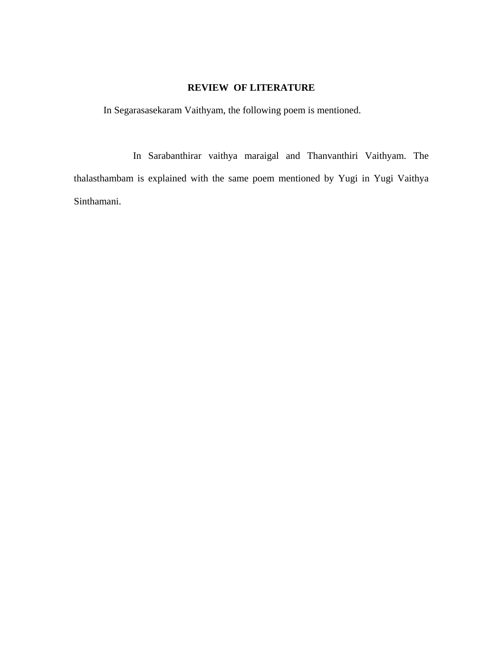### **REVIEW OF LITERATURE**

In Segarasasekaram Vaithyam, the following poem is mentioned.

 In Sarabanthirar vaithya maraigal and Thanvanthiri Vaithyam. The thalasthambam is explained with the same poem mentioned by Yugi in Yugi Vaithya Sinthamani.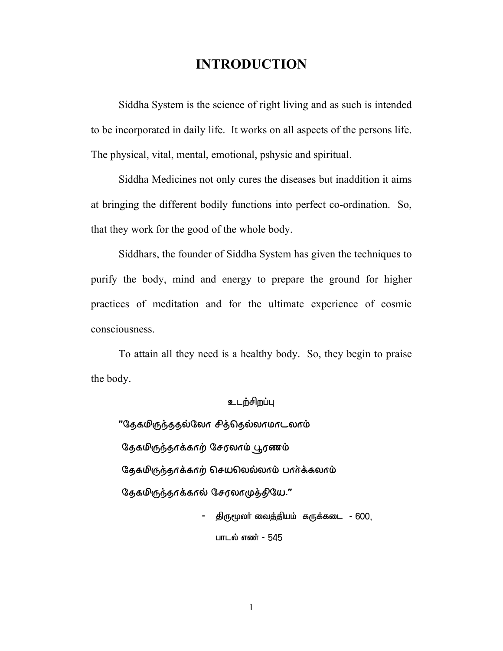# **INTRODUCTION**

Siddha System is the science of right living and as such is intended to be incorporated in daily life. It works on all aspects of the persons life. The physical, vital, mental, emotional, pshysic and spiritual.

Siddha Medicines not only cures the diseases but inaddition it aims at bringing the different bodily functions into perfect co-ordination. So, that they work for the good of the whole body.

Siddhars, the founder of Siddha System has given the techniques to purify the body, mind and energy to prepare the ground for higher practices of meditation and for the ultimate experience of cosmic consciousness.

To attain all they need is a healthy body. So, they begin to praise the body.

#### உடற்சிறப்பு

"தேகமிருந்ததல்லோ சித்தெல்லாமாடலாம் தேகமிருந்தாக்காற் சேரலாம் பூரணம்  $\Im$ தகமிருந்தாக்காற் செயலெல்லாம் பார்க்கலாம் தேகமிருந்தாக்கால் சேரலாமுத்தியே."

> - சிருமூலா் வைக்கியம் கருக்கடை - 600, பாடல் எண் - 545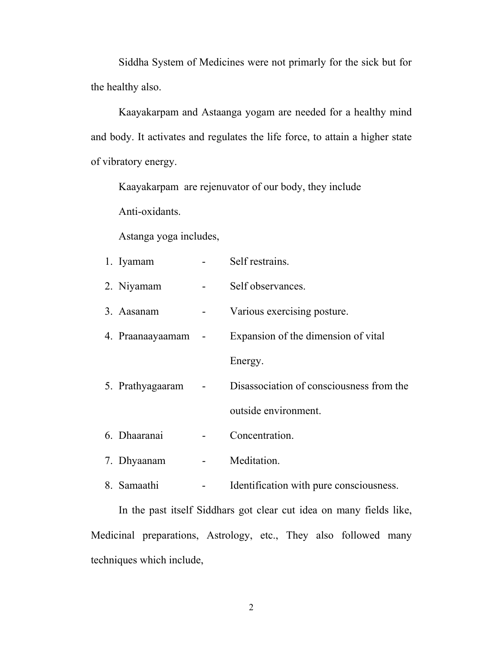Siddha System of Medicines were not primarly for the sick but for the healthy also.

Kaayakarpam and Astaanga yogam are needed for a healthy mind and body. It activates and regulates the life force, to attain a higher state of vibratory energy.

Kaayakarpam are rejenuvator of our body, they include Anti-oxidants.

Astanga yoga includes,

| 1. Iyamam        | Self restrains.                          |
|------------------|------------------------------------------|
| 2. Niyamam       | Self observances.                        |
| 3. Aasanam       | Various exercising posture.              |
| 4. Praanaayaamam | Expansion of the dimension of vital      |
|                  | Energy.                                  |
| 5. Prathyagaaram | Disassociation of consciousness from the |
|                  | outside environment.                     |
| 6. Dhaaranai     | Concentration.                           |
| 7. Dhyaanam      | Meditation.                              |

8. Samaathi - Identification with pure consciousness.

 In the past itself Siddhars got clear cut idea on many fields like, Medicinal preparations, Astrology, etc., They also followed many techniques which include,

2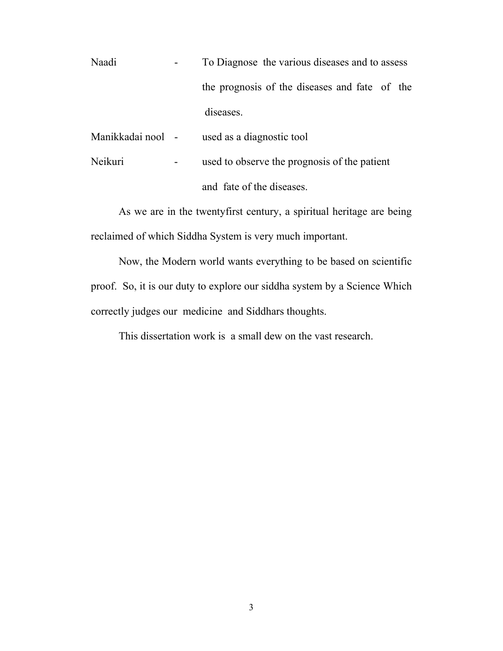Naadi **-** To Diagnose the various diseases and to assess the prognosis of the diseases and fate of the diseases.

Manikkadai nool - used as a diagnostic tool

Neikuri **-** used to observe the prognosis of the patient and fate of the diseases.

 As we are in the twentyfirst century, a spiritual heritage are being reclaimed of which Siddha System is very much important.

Now, the Modern world wants everything to be based on scientific proof. So, it is our duty to explore our siddha system by a Science Which correctly judges our medicine and Siddhars thoughts.

This dissertation work is a small dew on the vast research.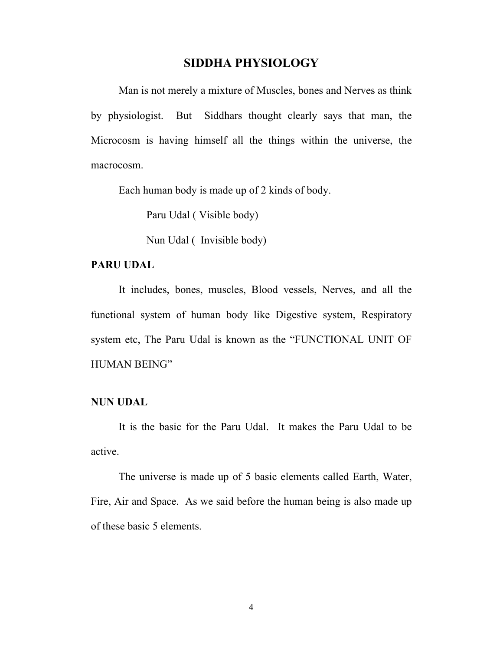### **SIDDHA PHYSIOLOGY**

Man is not merely a mixture of Muscles, bones and Nerves as think by physiologist. But Siddhars thought clearly says that man, the Microcosm is having himself all the things within the universe, the macrocosm.

Each human body is made up of 2 kinds of body.

Paru Udal ( Visible body)

Nun Udal ( Invisible body)

#### **PARU UDAL**

It includes, bones, muscles, Blood vessels, Nerves, and all the functional system of human body like Digestive system, Respiratory system etc, The Paru Udal is known as the "FUNCTIONAL UNIT OF HUMAN BEING"

#### **NUN UDAL**

It is the basic for the Paru Udal. It makes the Paru Udal to be active.

The universe is made up of 5 basic elements called Earth, Water, Fire, Air and Space. As we said before the human being is also made up of these basic 5 elements.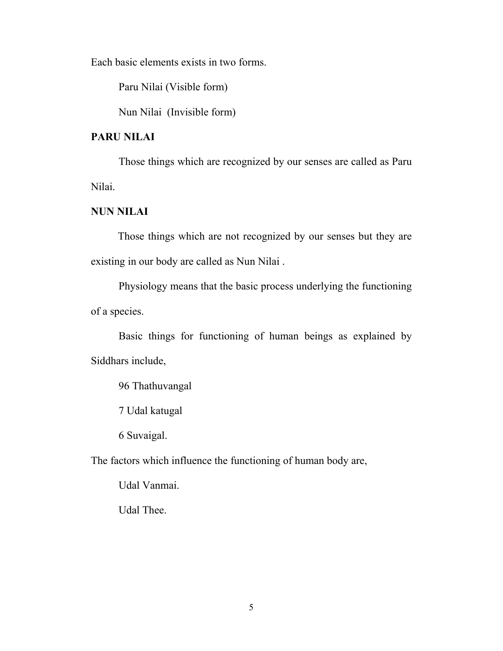Each basic elements exists in two forms.

Paru Nilai (Visible form)

Nun Nilai (Invisible form)

# **PARU NILAI**

Those things which are recognized by our senses are called as Paru Nilai.

#### **NUN NILAI**

Those things which are not recognized by our senses but they are existing in our body are called as Nun Nilai .

Physiology means that the basic process underlying the functioning of a species.

Basic things for functioning of human beings as explained by Siddhars include,

96 Thathuvangal

7 Udal katugal

6 Suvaigal.

The factors which influence the functioning of human body are,

Udal Vanmai.

Udal Thee.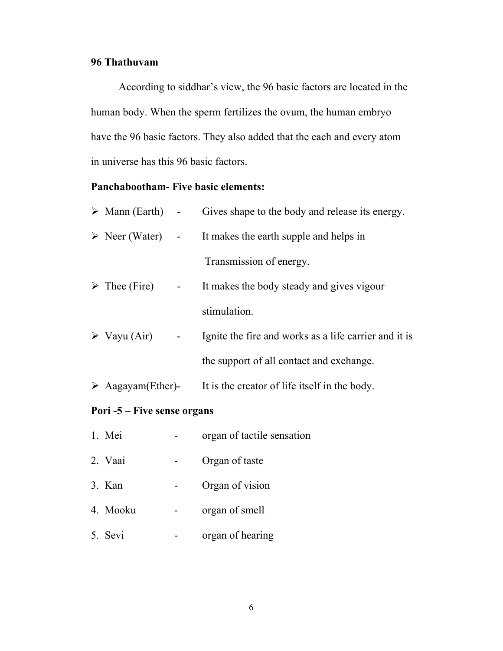#### **96 Thathuvam**

According to siddhar's view, the 96 basic factors are located in the human body. When the sperm fertilizes the ovum, the human embryo have the 96 basic factors. They also added that the each and every atom in universe has this 96 basic factors.

# **Panchabootham- Five basic elements:**

| Pori -5 – Five sense organs |                                 |                          |                                                                                 |  |
|-----------------------------|---------------------------------|--------------------------|---------------------------------------------------------------------------------|--|
|                             |                                 |                          | $\triangleright$ Aagayam (Ether)- It is the creator of life itself in the body. |  |
|                             |                                 |                          | the support of all contact and exchange.                                        |  |
|                             | $\triangleright$ Vayu (Air)     |                          | Ignite the fire and works as a life carrier and it is                           |  |
|                             |                                 |                          | stimulation.                                                                    |  |
|                             | $\triangleright$ Thee (Fire)    | $\overline{\phantom{a}}$ | It makes the body steady and gives vigour                                       |  |
|                             |                                 |                          | Transmission of energy.                                                         |  |
|                             |                                 |                          | $\triangleright$ Neer (Water) - It makes the earth supple and helps in          |  |
|                             | $\triangleright$ Mann (Earth) - |                          | Gives shape to the body and release its energy.                                 |  |

- 1. Mei organ of tactile sensation
- 2. Vaai Organ of taste
- 3. Kan Organ of vision
- 4. Mooku organ of smell
- 5. Sevi organ of hearing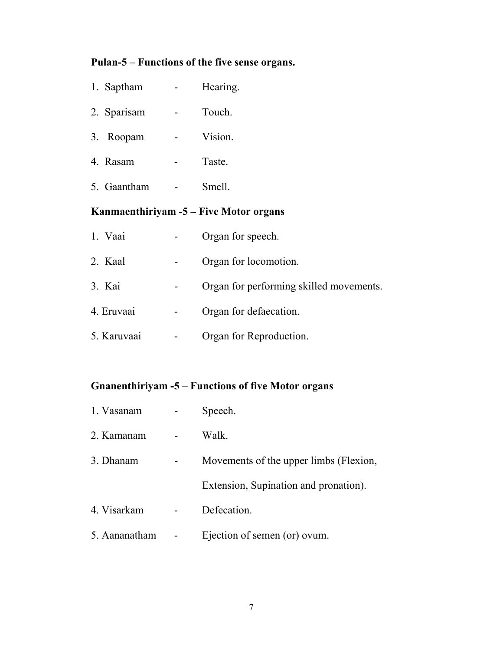# **Pulan-5 – Functions of the five sense organs.**

| 1. Saptham  | Hearing. |
|-------------|----------|
| 2. Sparisam | Touch.   |
| 3. Roopam   | Vision.  |
| 4. Rasam    | Taste.   |
| 5. Gaantham | Smell.   |
|             |          |

# **Kanmaenthiriyam -5 – Five Motor organs**

| 1. Vaai     | Organ for speech.                       |
|-------------|-----------------------------------------|
| 2. Kaal     | Organ for locomotion.                   |
| 3. Kai      | Organ for performing skilled movements. |
| 4. Eruvaai  | Organ for defaecation.                  |
| 5. Karuvaai | Organ for Reproduction.                 |

# **Gnanenthiriyam -5 – Functions of five Motor organs**

| 1. Vasanam    | Speech.                                |
|---------------|----------------------------------------|
| 2. Kamanam    | Walk.                                  |
| 3. Dhanam     | Movements of the upper limbs (Flexion, |
|               | Extension, Supination and pronation).  |
| 4. Visarkam   | Defecation.                            |
| 5. Aananatham | Ejection of semen (or) ovum.           |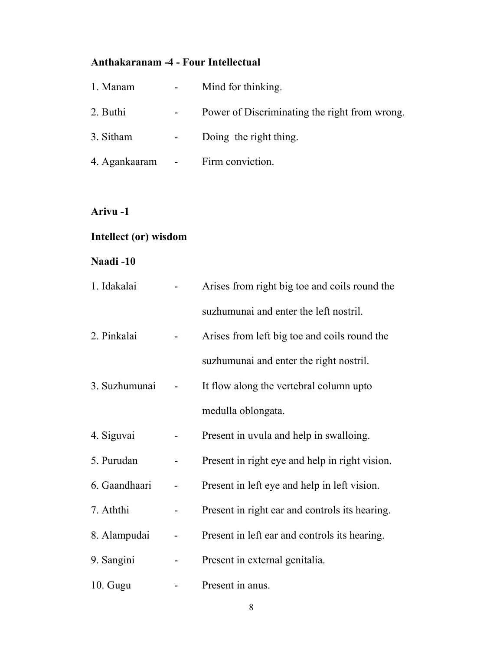# **Anthakaranam -4 - Four Intellectual**

| 1. Manam      | $\overline{\phantom{a}}$   | Mind for thinking.                            |
|---------------|----------------------------|-----------------------------------------------|
| 2. Buthi      | $\qquad \qquad -$          | Power of Discriminating the right from wrong. |
| 3. Sitham     | $\overline{\phantom{a}}$   | Doing the right thing.                        |
| 4. Agankaaram | $\sim 10^{-10}$ km $^{-1}$ | Firm conviction.                              |

# **Arivu -1**

# **Intellect (or) wisdom**

# **Naadi -10**

| 1. Idakalai   | Arises from right big toe and coils round the  |  |
|---------------|------------------------------------------------|--|
|               | suzhumunai and enter the left nostril.         |  |
| 2. Pinkalai   | Arises from left big toe and coils round the   |  |
|               | suzhumunai and enter the right nostril.        |  |
| 3. Suzhumunai | It flow along the vertebral column upto        |  |
|               | medulla oblongata.                             |  |
| 4. Siguvai    | Present in uvula and help in swalloing.        |  |
| 5. Purudan    | Present in right eye and help in right vision. |  |
| 6. Gaandhaari | Present in left eye and help in left vision.   |  |
| 7. Aththi     | Present in right ear and controls its hearing. |  |
| 8. Alampudai  | Present in left ear and controls its hearing.  |  |
| 9. Sangini    | Present in external genitalia.                 |  |
| $10.$ Gugu    | Present in anus.                               |  |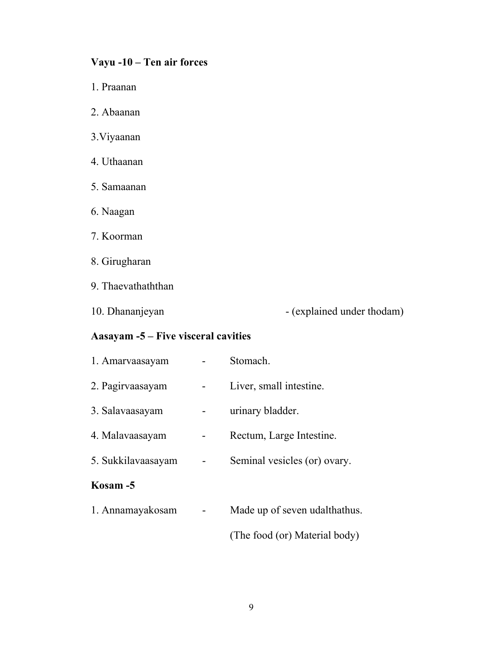# **Vayu -10 – Ten air forces**

- 1. Praanan
- 2. Abaanan
- 3.Viyaanan
- 4. Uthaanan
- 5. Samaanan
- 6. Naagan
- 7. Koorman
- 8. Girugharan
- 9. Thaevathaththan
- 

10. Dhananjeyan - (explained under thodam)

# **Aasayam -5 – Five visceral cavities**

| 1. Amarvaasayam    | Stomach.                      |
|--------------------|-------------------------------|
| 2. Pagirvaasayam   | Liver, small intestine.       |
| 3. Salavaasayam    | urinary bladder.              |
| 4. Malayaasayam    | Rectum, Large Intestine.      |
| 5. Sukkilavaasayam | Seminal vesicles (or) ovary.  |
| Kosam -5           |                               |
| 1. Annamayakosam   | Made up of seven udalthathus. |
|                    |                               |

(The food (or) Material body)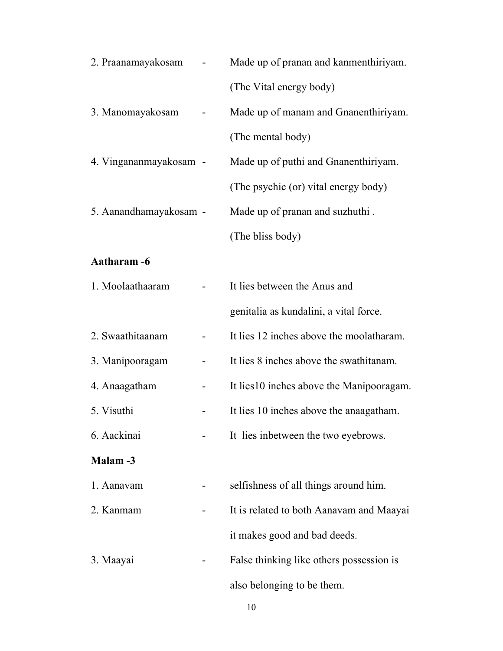| 2. Praanamayakosam     | Made up of pranan and kanmenthiriyam.     |
|------------------------|-------------------------------------------|
|                        | (The Vital energy body)                   |
| 3. Manomayakosam       | Made up of manam and Gnanenthiriyam.      |
|                        | (The mental body)                         |
| 4. Vingananmayakosam - | Made up of puthi and Gnanenthiriyam.      |
|                        | (The psychic (or) vital energy body)      |
| 5. Aanandhamayakosam - | Made up of pranan and suzhuthi.           |
|                        | (The bliss body)                          |
| Aatharam -6            |                                           |
| 1. Moolaathaaram       | It lies between the Anus and              |
|                        | genitalia as kundalini, a vital force.    |
| 2. Swaathitaanam       | It lies 12 inches above the moolatharam.  |
| 3. Manipooragam        | It lies 8 inches above the swathitanam.   |
| 4. Anaagatham          | It lies 10 inches above the Manipooragam. |
| 5. Visuthi             | It lies 10 inches above the anaagatham.   |
| 6. Aackinai            | It lies inbetween the two eyebrows.       |
| <b>Malam</b> -3        |                                           |
| 1. Aanavam             | selfishness of all things around him.     |
| 2. Kanmam              | It is related to both Aanavam and Maayai  |
|                        | it makes good and bad deeds.              |
| 3. Maayai              | False thinking like others possession is  |
|                        | also belonging to be them.                |

10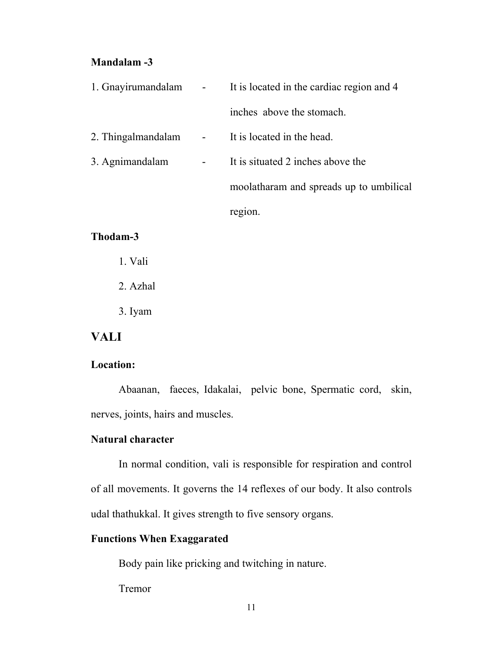#### **Mandalam -3**

| 1. Gnayirumandalam | It is located in the cardiac region and 4 |  |  |
|--------------------|-------------------------------------------|--|--|
|                    | inches above the stomach.                 |  |  |
| 2. Thingalmandalam | It is located in the head.                |  |  |
| 3. Agnimandalam    | It is situated 2 inches above the         |  |  |
|                    | moolatharam and spreads up to umbilical   |  |  |
|                    | region.                                   |  |  |

### **Thodam-3**

- 1. Vali
- 2. Azhal
- 3. Iyam

# **VALI**

### **Location:**

 Abaanan, faeces, Idakalai, pelvic bone, Spermatic cord, skin, nerves, joints, hairs and muscles.

#### **Natural character**

 In normal condition, vali is responsible for respiration and control of all movements. It governs the 14 reflexes of our body. It also controls udal thathukkal. It gives strength to five sensory organs.

## **Functions When Exaggarated**

Body pain like pricking and twitching in nature.

Tremor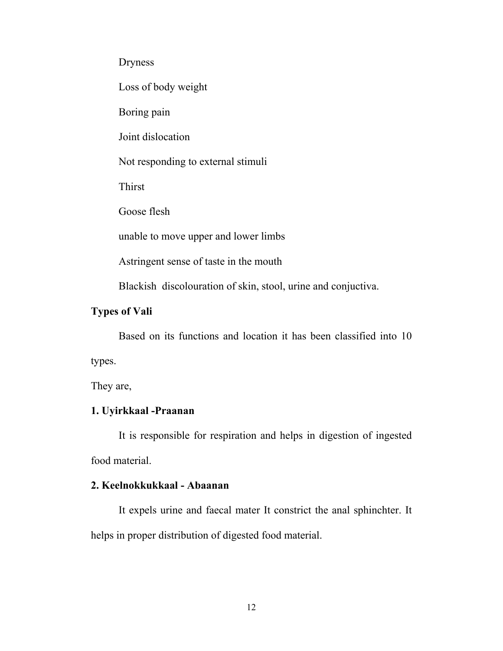Dryness

Loss of body weight

Boring pain

Joint dislocation

Not responding to external stimuli

Thirst

Goose flesh

unable to move upper and lower limbs

Astringent sense of taste in the mouth

Blackish discolouration of skin, stool, urine and conjuctiva.

### **Types of Vali**

 Based on its functions and location it has been classified into 10 types.

They are,

### **1. Uyirkkaal -Praanan**

 It is responsible for respiration and helps in digestion of ingested food material.

### **2. Keelnokkukkaal - Abaanan**

 It expels urine and faecal mater It constrict the anal sphinchter. It helps in proper distribution of digested food material.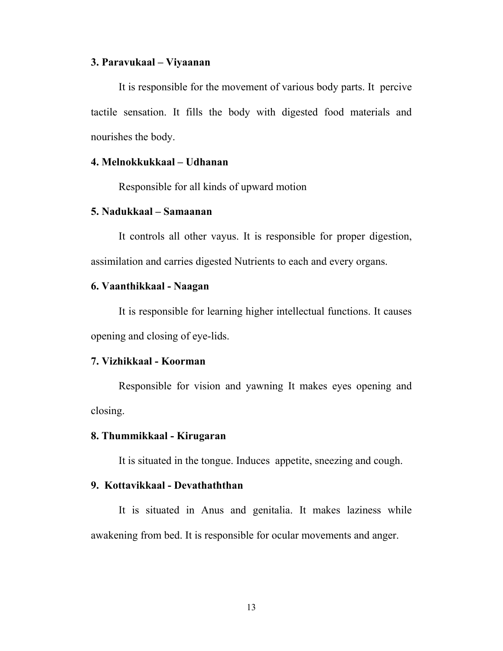#### **3. Paravukaal – Viyaanan**

 It is responsible for the movement of various body parts. It percive tactile sensation. It fills the body with digested food materials and nourishes the body.

#### **4. Melnokkukkaal – Udhanan**

Responsible for all kinds of upward motion

#### **5. Nadukkaal – Samaanan**

 It controls all other vayus. It is responsible for proper digestion, assimilation and carries digested Nutrients to each and every organs.

#### **6. Vaanthikkaal - Naagan**

 It is responsible for learning higher intellectual functions. It causes opening and closing of eye-lids.

#### **7. Vizhikkaal - Koorman**

 Responsible for vision and yawning It makes eyes opening and closing.

#### **8. Thummikkaal - Kirugaran**

It is situated in the tongue. Induces appetite, sneezing and cough.

### **9. Kottavikkaal - Devathaththan**

 It is situated in Anus and genitalia. It makes laziness while awakening from bed. It is responsible for ocular movements and anger.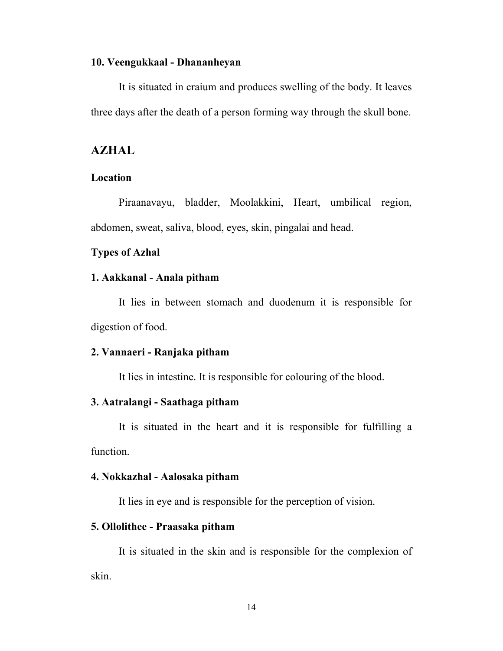#### **10. Veengukkaal - Dhananheyan**

 It is situated in craium and produces swelling of the body. It leaves three days after the death of a person forming way through the skull bone.

### **AZHAL**

### **Location**

 Piraanavayu, bladder, Moolakkini, Heart, umbilical region, abdomen, sweat, saliva, blood, eyes, skin, pingalai and head.

#### **Types of Azhal**

#### **1. Aakkanal - Anala pitham**

 It lies in between stomach and duodenum it is responsible for digestion of food.

#### **2. Vannaeri - Ranjaka pitham**

It lies in intestine. It is responsible for colouring of the blood.

#### **3. Aatralangi - Saathaga pitham**

 It is situated in the heart and it is responsible for fulfilling a function.

#### **4. Nokkazhal - Aalosaka pitham**

It lies in eye and is responsible for the perception of vision.

### **5. Ollolithee - Praasaka pitham**

 It is situated in the skin and is responsible for the complexion of skin.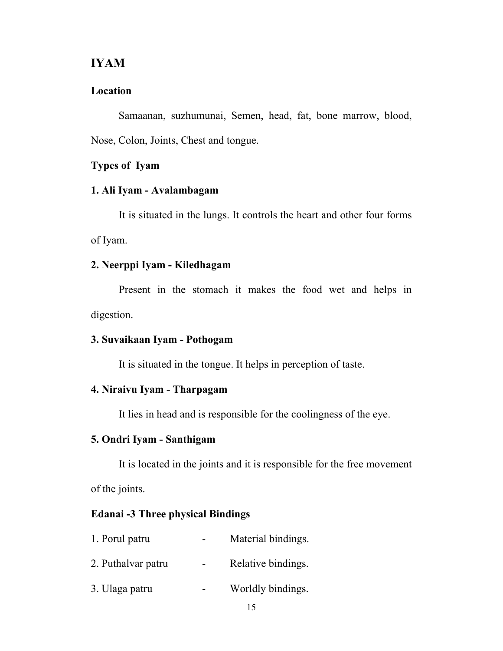### **IYAM**

#### **Location**

 Samaanan, suzhumunai, Semen, head, fat, bone marrow, blood, Nose, Colon, Joints, Chest and tongue.

### **Types of Iyam**

#### **1. Ali Iyam - Avalambagam**

 It is situated in the lungs. It controls the heart and other four forms of Iyam.

### **2. Neerppi Iyam - Kiledhagam**

 Present in the stomach it makes the food wet and helps in digestion.

### **3. Suvaikaan Iyam - Pothogam**

It is situated in the tongue. It helps in perception of taste.

## **4. Niraivu Iyam - Tharpagam**

It lies in head and is responsible for the coolingness of the eye.

# **5. Ondri Iyam - Santhigam**

 It is located in the joints and it is responsible for the free movement of the joints.

### **Edanai -3 Three physical Bindings**

| 1. Porul patru     | Material bindings. |
|--------------------|--------------------|
| 2. Puthalvar patru | Relative bindings. |
| 3. Ulaga patru     | Worldly bindings.  |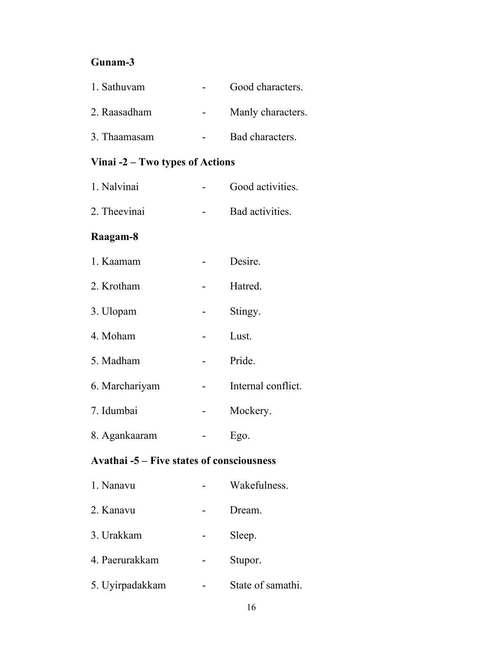# **Gunam-3**

| 1. Sathuvam  | Good characters.  |
|--------------|-------------------|
| 2. Raasadham | Manly characters. |
| 3. Thaamasam | Bad characters.   |

# **Vinai -2 – Two types of Actions**

| 1. Nalvinai  | Good activities. |
|--------------|------------------|
| 2. Theevinai | Bad activities.  |

## **Raagam-8**

| 1. Kaamam      | Desire.            |
|----------------|--------------------|
| 2. Krotham     | Hatred.            |
| 3. Ulopam      | Stingy.            |
| 4. Moham       | Lust.              |
| 5. Madham      | Pride.             |
| 6. Marchariyam | Internal conflict. |
| 7. Idumbai     | Mockery.           |
| 8. Agankaaram  | Ego.               |

# **Avathai -5 – Five states of consciousness**

| 1. Nanavu       | Wakefulness.      |
|-----------------|-------------------|
| 2. Kanavu       | Dream.            |
| 3. Urakkam      | Sleep.            |
| 4. Paerurakkam  | Stupor.           |
| 5. Uyirpadakkam | State of samathi. |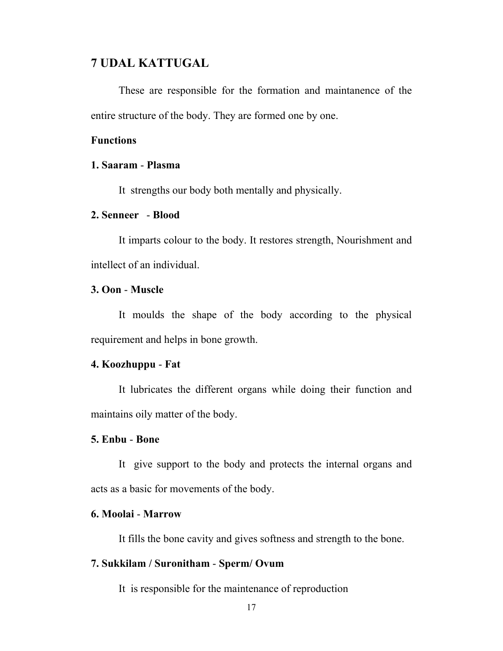## **7 UDAL KATTUGAL**

 These are responsible for the formation and maintanence of the entire structure of the body. They are formed one by one.

#### **Functions**

#### **1. Saaram** - **Plasma**

It strengths our body both mentally and physically.

#### **2. Senneer** - **Blood**

 It imparts colour to the body. It restores strength, Nourishment and intellect of an individual.

#### **3. Oon** - **Muscle**

 It moulds the shape of the body according to the physical requirement and helps in bone growth.

#### **4. Koozhuppu** - **Fat**

 It lubricates the different organs while doing their function and maintains oily matter of the body.

#### **5. Enbu** - **Bone**

 It give support to the body and protects the internal organs and acts as a basic for movements of the body.

#### **6. Moolai** - **Marrow**

It fills the bone cavity and gives softness and strength to the bone.

#### **7. Sukkilam / Suronitham** - **Sperm/ Ovum**

It is responsible for the maintenance of reproduction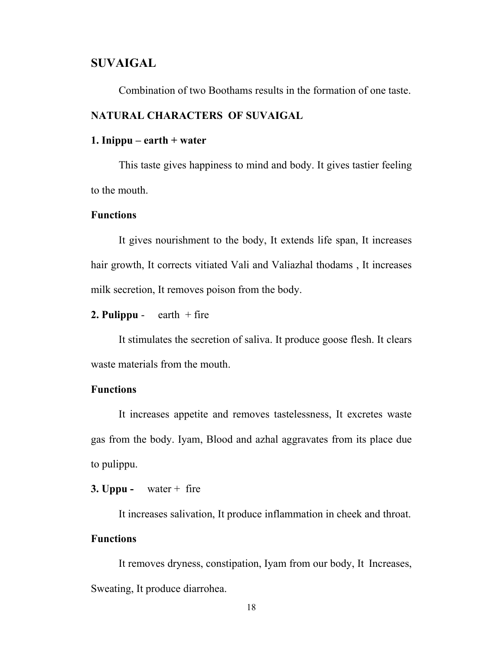#### **SUVAIGAL**

Combination of two Boothams results in the formation of one taste.

## **NATURAL CHARACTERS OF SUVAIGAL**

#### **1. Inippu – earth + water**

This taste gives happiness to mind and body. It gives tastier feeling to the mouth.

#### **Functions**

It gives nourishment to the body, It extends life span, It increases hair growth, It corrects vitiated Vali and Valiazhal thodams , It increases milk secretion, It removes poison from the body.

**2. Pulippu** - earth  $+$  fire

It stimulates the secretion of saliva. It produce goose flesh. It clears waste materials from the mouth.

#### **Functions**

It increases appetite and removes tastelessness, It excretes waste gas from the body. Iyam, Blood and azhal aggravates from its place due to pulippu.

**3. Uppu -** water + fire

It increases salivation, It produce inflammation in cheek and throat.

# **Functions**

It removes dryness, constipation, Iyam from our body, It Increases, Sweating, It produce diarrohea.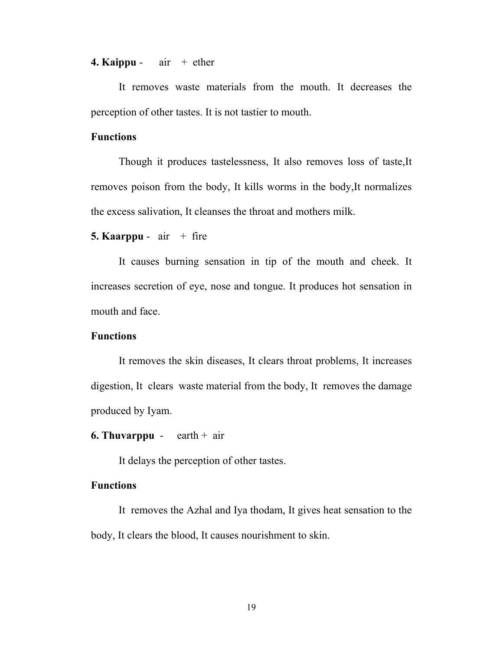#### **4. Kaippu** -  $air + ether$

It removes waste materials from the mouth. It decreases the perception of other tastes. It is not tastier to mouth.

#### **Functions**

Though it produces tastelessness, It also removes loss of taste,It removes poison from the body, It kills worms in the body,It normalizes the excess salivation, It cleanses the throat and mothers milk.

#### **5. Kaarppu** -  $air + fire$

It causes burning sensation in tip of the mouth and cheek. It increases secretion of eye, nose and tongue. It produces hot sensation in mouth and face.

### **Functions**

It removes the skin diseases, It clears throat problems, It increases digestion, It clears waste material from the body, It removes the damage produced by Iyam.

#### **6. Thuvarppu** - earth + air

It delays the perception of other tastes.

#### **Functions**

It removes the Azhal and Iya thodam, It gives heat sensation to the body, It clears the blood, It causes nourishment to skin.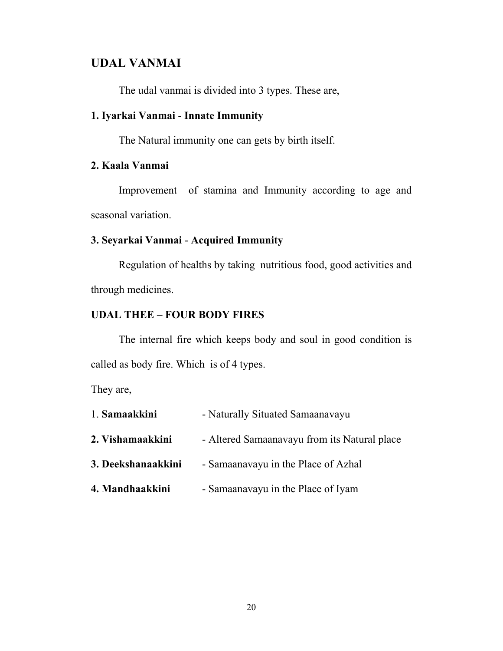# **UDAL VANMAI**

The udal vanmai is divided into 3 types. These are,

## **1. Iyarkai Vanmai** - **Innate Immunity**

The Natural immunity one can gets by birth itself.

## **2. Kaala Vanmai**

 Improvement of stamina and Immunity according to age and seasonal variation.

#### **3. Seyarkai Vanmai** - **Acquired Immunity**

 Regulation of healths by taking nutritious food, good activities and through medicines.

#### **UDAL THEE – FOUR BODY FIRES**

 The internal fire which keeps body and soul in good condition is called as body fire. Which is of 4 types.

They are,

| 1. Samaakkini      | - Naturally Situated Samaanavayu             |
|--------------------|----------------------------------------------|
| 2. Vishamaakkini   | - Altered Samaanavayu from its Natural place |
| 3. Deekshanaakkini | - Samaanavayu in the Place of Azhal          |
| 4. Mandhaakkini    | - Samaanavayu in the Place of Iyam           |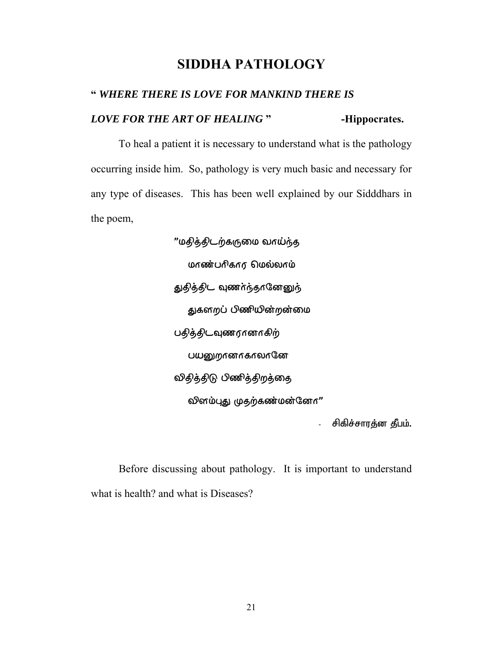# **SIDDHA PATHOLOGY**

# **"** *WHERE THERE IS LOVE FOR MANKIND THERE IS LOVE FOR THE ART OF HEALING* **" -Hippocrates.**

 To heal a patient it is necessary to understand what is the pathology occurring inside him. So, pathology is very much basic and necessary for any type of diseases. This has been well explained by our Sidddhars in the poem,

> "மதித்திடற்கருமை வாய்ந்த மாண்பரிகார மெல்லாம் துதித்திட வுணர்ந்தானேனுந் துகளறப் பிணியின்றன்மை பதித்திடவுணரானாகிற் பயனுறானாகாலானே விதித்திடு பிணித்திறத்தை லினம்புது முதற்கண்மன்னே $n$ "

> > சிகிச்சாரத்ன தீபம்.

Before discussing about pathology. It is important to understand what is health? and what is Diseases?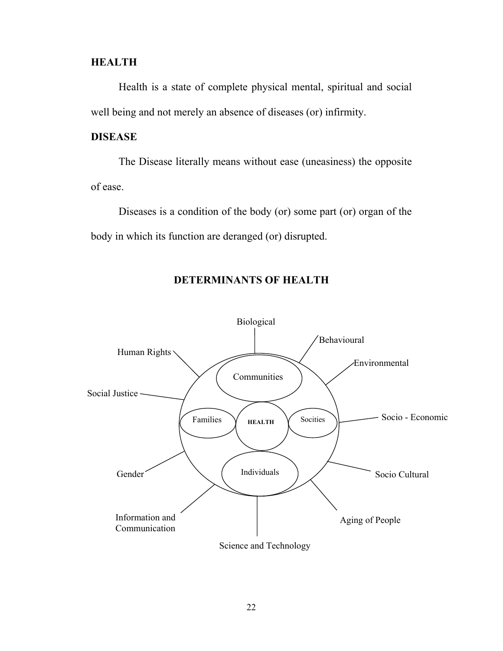#### **HEALTH**

Health is a state of complete physical mental, spiritual and social well being and not merely an absence of diseases (or) infirmity.

### **DISEASE**

The Disease literally means without ease (uneasiness) the opposite of ease.

Diseases is a condition of the body (or) some part (or) organ of the body in which its function are deranged (or) disrupted.



#### **DETERMINANTS OF HEALTH**

Science and Technology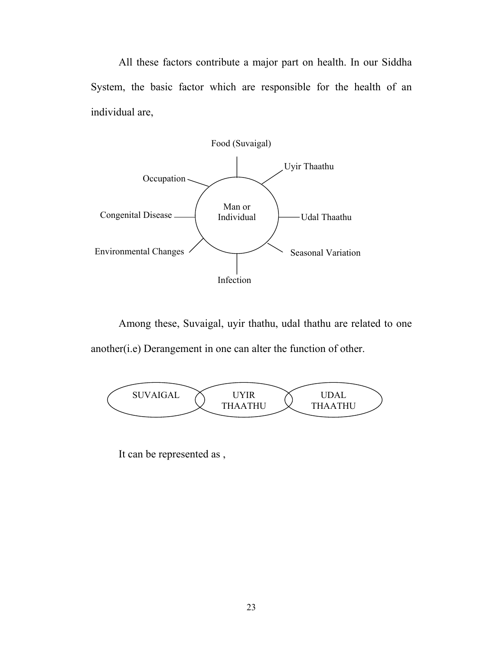All these factors contribute a major part on health. In our Siddha System, the basic factor which are responsible for the health of an individual are,



Among these, Suvaigal, uyir thathu, udal thathu are related to one another(i.e) Derangement in one can alter the function of other.



It can be represented as ,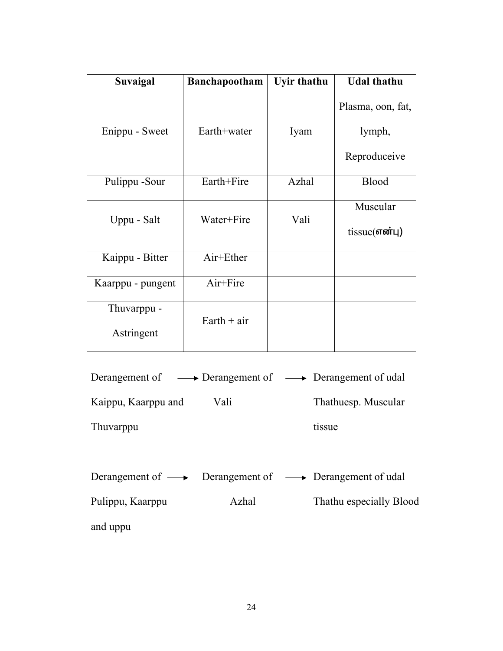| Suvaigal          | <b>Banchapootham</b> | <b>Uyir thathu</b> | <b>Udal thathu</b> |
|-------------------|----------------------|--------------------|--------------------|
|                   |                      |                    | Plasma, oon, fat,  |
| Enippu - Sweet    | Earth+water          | Iyam               | lymph,             |
|                   |                      |                    | Reproduceive       |
| Pulippu -Sour     | Earth+Fire           | Azhal              | <b>Blood</b>       |
| Uppu - Salt       | Water+Fire           | Vali               | Muscular           |
|                   |                      |                    | tissue(என்பு)      |
| Kaippu - Bitter   | Air+Ether            |                    |                    |
| Kaarppu - pungent | Air+Fire             |                    |                    |
| Thuvarppu -       | $Earth + air$        |                    |                    |
| Astringent        |                      |                    |                    |

| Derangement of $\longrightarrow$ Derangement of $\longrightarrow$ Derangement of udal |                     |
|---------------------------------------------------------------------------------------|---------------------|
| Kaippu, Kaarppu and<br>Vali                                                           | Thathuesp. Muscular |
| Thuvarppu                                                                             | tissue              |

|                  |       | Derangement of $\longrightarrow$ Derangement of $\longrightarrow$ Derangement of udal |
|------------------|-------|---------------------------------------------------------------------------------------|
| Pulippu, Kaarppu | Azhal | Thathu especially Blood                                                               |
| and uppu         |       |                                                                                       |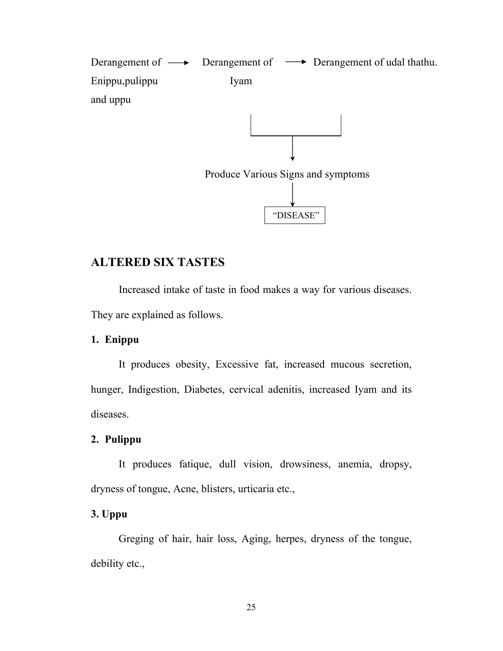Derangement of  $\longrightarrow$  Derangement of  $\longrightarrow$  Derangement of udal thathu. Enippu,pulippu Iyam and uppu



"DISEASE"

# **ALTERED SIX TASTES**

Increased intake of taste in food makes a way for various diseases. They are explained as follows.

### **1. Enippu**

 It produces obesity, Excessive fat, increased mucous secretion, hunger, Indigestion, Diabetes, cervical adenitis, increased Iyam and its diseases.

#### **2. Pulippu**

 It produces fatique, dull vision, drowsiness, anemia, dropsy, dryness of tongue, Acne, blisters, urticaria etc.,

### **3. Uppu**

 Greging of hair, hair loss, Aging, herpes, dryness of the tongue, debility etc.,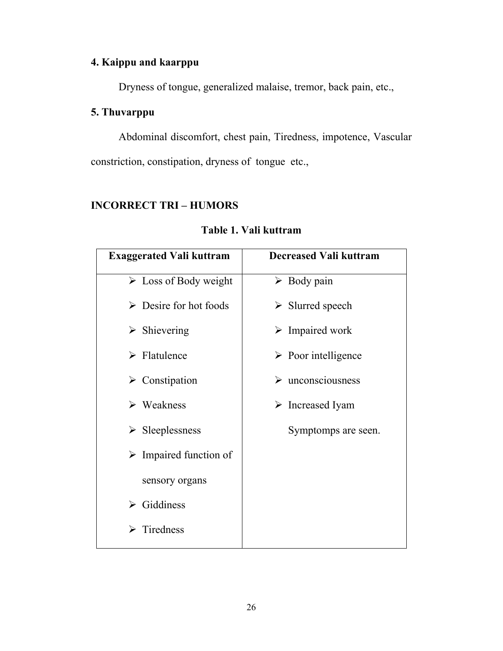# **4. Kaippu and kaarppu**

Dryness of tongue, generalized malaise, tremor, back pain, etc.,

## **5. Thuvarppu**

 Abdominal discomfort, chest pain, Tiredness, impotence, Vascular constriction, constipation, dryness of tongue etc.,

# **INCORRECT TRI – HUMORS**

| <b>Exaggerated Vali kuttram</b>       | <b>Decreased Vali kuttram</b>      |
|---------------------------------------|------------------------------------|
| $\triangleright$ Loss of Body weight  | $\triangleright$ Body pain         |
| $\triangleright$ Desire for hot foods | $\triangleright$ Slurred speech    |
| $\triangleright$ Shievering           | $\triangleright$ Impaired work     |
| $\triangleright$ Flatulence           | $\triangleright$ Poor intelligence |
| $\triangleright$ Constipation         | $\triangleright$ unconsciousness   |
| $\triangleright$ Weakness             | $\triangleright$ Increased Iyam    |
| $\triangleright$ Sleeplessness        | Symptomps are seen.                |
| $\triangleright$ Impaired function of |                                    |
| sensory organs                        |                                    |
| $\triangleright$ Giddiness            |                                    |
| $\triangleright$ Tiredness            |                                    |
|                                       |                                    |

## **Table 1. Vali kuttram**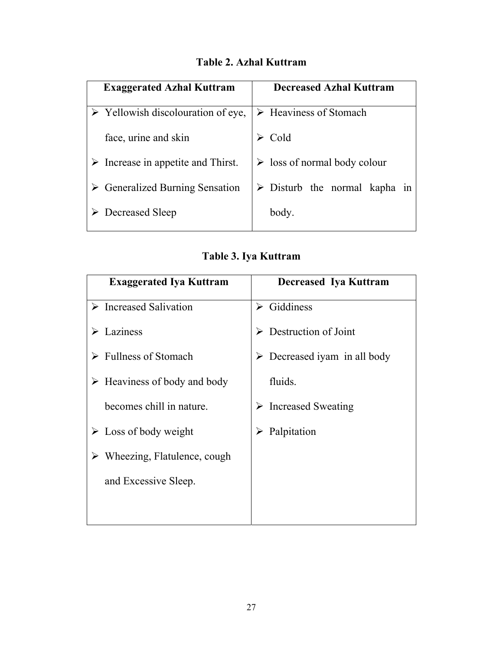| <b>Exaggerated Azhal Kuttram</b>                  | <b>Decreased Azhal Kuttram</b>               |
|---------------------------------------------------|----------------------------------------------|
| $\triangleright$ Yellowish discolouration of eye, | $\triangleright$ Heaviness of Stomach        |
| face, urine and skin                              | Cold                                         |
| $\triangleright$ Increase in appetite and Thirst. | $\triangleright$ loss of normal body colour  |
| $\triangleright$ Generalized Burning Sensation    | $\triangleright$ Disturb the normal kapha in |
| Decreased Sleep                                   | body.                                        |

# **Table 2. Azhal Kuttram**

# **Table 3. Iya Kuttram**

| <b>Exaggerated Iya Kuttram</b>               | Decreased Iya Kuttram                 |
|----------------------------------------------|---------------------------------------|
| $\triangleright$ Increased Salivation        | $\triangleright$ Giddiness            |
| $\triangleright$ Laziness                    | $\triangleright$ Destruction of Joint |
| $\triangleright$ Fullness of Stomach         | Decreased iyam in all body<br>➤       |
| $\triangleright$ Heaviness of body and body  | fluids.                               |
| becomes chill in nature.                     | $\triangleright$ Increased Sweating   |
| $\triangleright$ Loss of body weight         | Palpitation                           |
| $\triangleright$ Wheezing, Flatulence, cough |                                       |
| and Excessive Sleep.                         |                                       |
|                                              |                                       |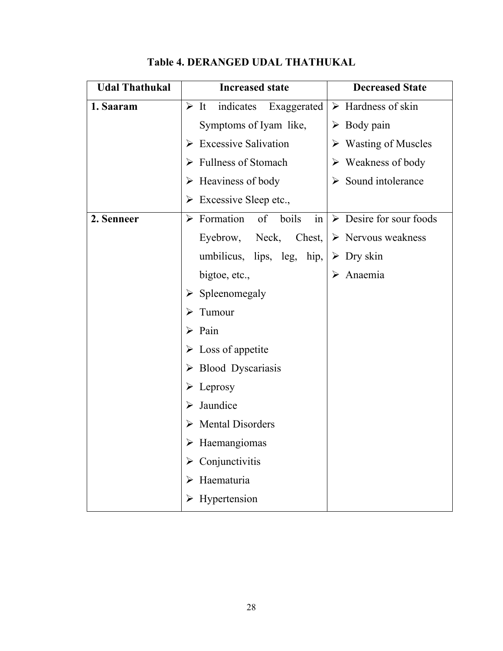| <b>Udal Thathukal</b> | <b>Increased state</b>                          | <b>Decreased State</b>                 |
|-----------------------|-------------------------------------------------|----------------------------------------|
| 1. Saaram             | $\triangleright$ It<br>indicates<br>Exaggerated | $\triangleright$ Hardness of skin      |
|                       | Symptoms of Iyam like,                          | $\triangleright$ Body pain             |
|                       | $\triangleright$ Excessive Salivation           | $\triangleright$ Wasting of Muscles    |
|                       | $\triangleright$ Fullness of Stomach            | $\triangleright$ Weakness of body      |
|                       | $\triangleright$ Heaviness of body              | $\triangleright$ Sound intolerance     |
|                       | $\triangleright$ Excessive Sleep etc.,          |                                        |
| 2. Senneer            | $\triangleright$ Formation<br>of<br>boils<br>in | $\triangleright$ Desire for sour foods |
|                       | Eyebrow, Neck, Chest,                           | $\triangleright$ Nervous weakness      |
|                       | umbilicus, lips, leg, hip,                      | $\triangleright$ Dry skin              |
|                       | bigtoe, etc.,                                   | Anaemia                                |
|                       | $\triangleright$ Spleenomegaly                  |                                        |
|                       | Tumour                                          |                                        |
|                       | $\triangleright$ Pain                           |                                        |
|                       | $\triangleright$ Loss of appetite               |                                        |
|                       | $\triangleright$ Blood Dyscariasis              |                                        |
|                       | $\triangleright$ Leprosy                        |                                        |
|                       | Jaundice                                        |                                        |
|                       | <b>Mental Disorders</b>                         |                                        |
|                       | $\triangleright$ Haemangiomas                   |                                        |
|                       | $\triangleright$ Conjunctivitis                 |                                        |
|                       | $\triangleright$ Haematuria                     |                                        |
|                       | $\triangleright$ Hypertension                   |                                        |

# **Table 4. DERANGED UDAL THATHUKAL**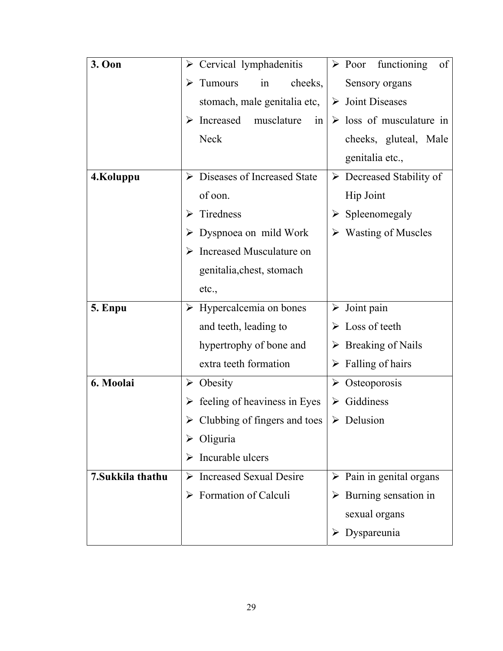| 3. Oon            |   | $\triangleright$ Cervical lymphadenitis       |   | $\triangleright$ Poor functioning<br>of |
|-------------------|---|-----------------------------------------------|---|-----------------------------------------|
|                   |   | cheeks,<br>$\triangleright$ Tumours<br>in     |   | Sensory organs                          |
|                   |   | stomach, male genitalia etc,                  |   | $\triangleright$ Joint Diseases         |
|                   |   | Increased musclature<br>in                    |   | $\triangleright$ loss of musculature in |
|                   |   | <b>Neck</b>                                   |   | cheeks, gluteal, Male                   |
|                   |   |                                               |   | genitalia etc.,                         |
| 4.Koluppu         |   | $\triangleright$ Diseases of Increased State  |   | $\triangleright$ Decreased Stability of |
|                   |   | of oon.                                       |   | <b>Hip Joint</b>                        |
|                   | ➤ | Tiredness                                     |   | $\triangleright$ Spleenomegaly          |
|                   |   | $\triangleright$ Dyspnoea on mild Work        |   | $\triangleright$ Wasting of Muscles     |
|                   |   | $\triangleright$ Increased Musculature on     |   |                                         |
|                   |   | genitalia, chest, stomach                     |   |                                         |
|                   |   | etc.,                                         |   |                                         |
| 5. Enpu           |   | $\triangleright$ Hypercalcemia on bones       |   | $\triangleright$ Joint pain             |
|                   |   | and teeth, leading to                         |   | $\triangleright$ Loss of teeth          |
|                   |   | hypertrophy of bone and                       |   | $\triangleright$ Breaking of Nails      |
|                   |   | extra teeth formation                         |   | $\triangleright$ Falling of hairs       |
| 6. Moolai         |   | $\triangleright$ Obesity                      |   | $\triangleright$ Osteoporosis           |
|                   |   | $\triangleright$ feeling of heaviness in Eyes | ➤ | Giddiness                               |
|                   |   | $\triangleright$ Clubbing of fingers and toes |   | $\triangleright$ Delusion               |
|                   | ➤ | Oliguria                                      |   |                                         |
|                   | ⋗ | Incurable ulcers                              |   |                                         |
| 7. Sukkila thathu |   | $\triangleright$ Increased Sexual Desire      |   | $\triangleright$ Pain in genital organs |
|                   |   | Formation of Calculi                          |   | $\triangleright$ Burning sensation in   |
|                   |   |                                               |   | sexual organs                           |
|                   |   |                                               |   | Dyspareunia                             |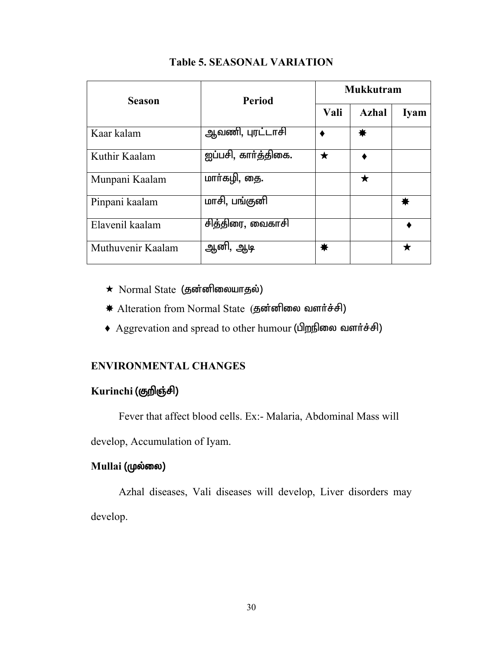| <b>Season</b>     | <b>Period</b>       | <b>Mukkutram</b> |              |             |
|-------------------|---------------------|------------------|--------------|-------------|
|                   |                     | Vali             | <b>Azhal</b> | <b>Iyam</b> |
| Kaar kalam        | ஆவணி, புரட்டாசி     |                  | ₩            |             |
| Kuthir Kaalam     | ஐப்பசி, கார்த்திகை. | $\bigstar$       |              |             |
| Munpani Kaalam    | மாா்கழி, தை.        |                  | ★            |             |
| Pinpani kaalam    | மாசி, பங்குனி       |                  |              |             |
| Elavenil kaalam   | சித்திரை, வைகாசி    |                  |              |             |
| Muthuvenir Kaalam | ஆனி, ஆடி            | ☀                |              |             |

#### **Table 5. SEASONAL VARIATION**

- $\star$  Normal State (தன்னிலையாதல்)
- \* Alteration from Normal State (தன்னிலை வளர்ச்சி)
- Aggrevation and spread to other humour (பிறநிலை வளர்ச்சி)

### **ENVIRONMENTAL CHANGES**

# Kurinchi (குறிஞ்சி)

Fever that affect blood cells. Ex:- Malaria, Abdominal Mass will

develop, Accumulation of Iyam.

### **Mullai** (முல்லை)

Azhal diseases, Vali diseases will develop, Liver disorders may develop.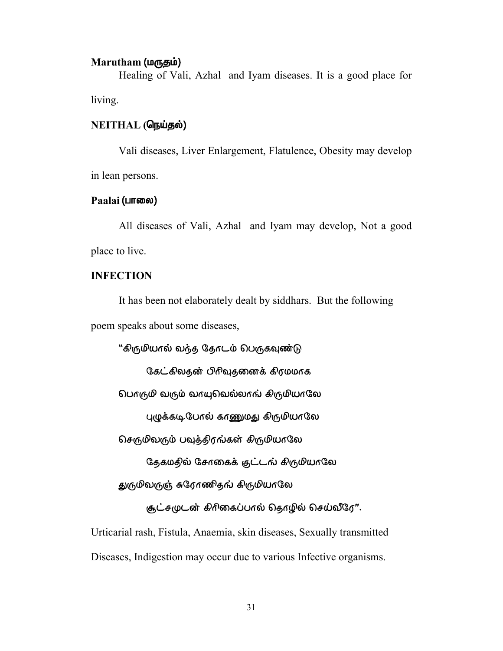#### **Marutham** (மருதம்)

Healing of Vali, Azhal and Iyam diseases. It is a good place for living.

### $NEITHAL$  (நெய்தல்)

Vali diseases, Liver Enlargement, Flatulence, Obesity may develop in lean persons.

#### **Paalai** (⊔ாலை)

All diseases of Vali, Azhal and Iyam may develop, Not a good place to live.

#### **INFECTION**

It has been not elaborately dealt by siddhars. But the following poem speaks about some diseases,

"கிருமியால் வந்த தோடம் பெருகவுண்டு

கேட்கிலதன் பிரிவுதனைக் கிரமமாக

பொருமி வரும் வாயுபெல்லாங் கிருமியாலே

புழுக்கடிபேரல் காணுமது கிருமியாலே

செருமிவரும் பவுத்திரங்கள் கிருமியாலே

தேகமதில் சோகைக் குட்டங் கிருமியாலே

துருமிவருஞ் சுரோணிதங் கிருமியாலே

சூட்சமுடன் கிரிகைப்பால் தொழில் செய்வீரே".

Urticarial rash, Fistula, Anaemia, skin diseases, Sexually transmitted

Diseases, Indigestion may occur due to various Infective organisms.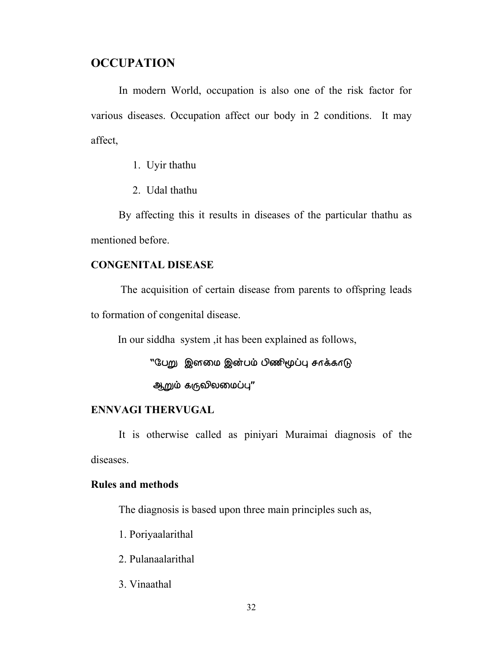# **OCCUPATION**

In modern World, occupation is also one of the risk factor for various diseases. Occupation affect our body in 2 conditions. It may affect,

1. Uyir thathu

2. Udal thathu

By affecting this it results in diseases of the particular thathu as mentioned before.

#### **CONGENITAL DISEASE**

 The acquisition of certain disease from parents to offspring leads to formation of congenital disease.

In our siddha system ,it has been explained as follows,

"பேறு இனமை இன்பம் பிணிமூப்பு சாக்காடு

ஆறும் கருவிலமைப்பு"

#### **ENNVAGI THERVUGAL**

 It is otherwise called as piniyari Muraimai diagnosis of the diseases.

#### **Rules and methods**

The diagnosis is based upon three main principles such as,

1. Poriyaalarithal

- 2. Pulanaalarithal
- 3. Vinaathal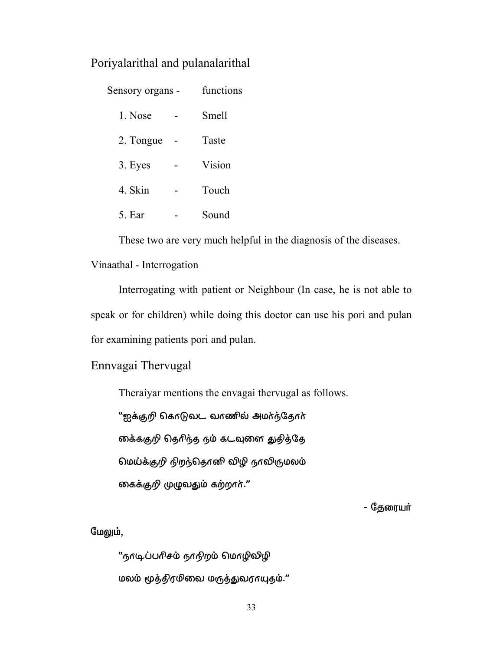# Poriyalarithal and pulanalarithal

| Sensory organs - | functions |        |
|------------------|-----------|--------|
| 1. Nose          |           | Smell  |
| 2. Tongue        |           | Taste  |
| 3. Eyes          |           | Vision |
| 4. Skin          |           | Touch  |
| 5. Ear           |           | Sound  |

These two are very much helpful in the diagnosis of the diseases.

#### Vinaathal - Interrogation

 Interrogating with patient or Neighbour (In case, he is not able to speak or for children) while doing this doctor can use his pori and pulan for examining patients pori and pulan.

# Ennvagai Thervugal

Theraiyar mentions the envagai thervugal as follows.

"ஐக்குறி கொடுவட வாணில் அமர்ந்தோர்

ைக்ககுறி தெரிந்த நம் கடவுளை துதித்தே

மெய்க்குறி நிறந்தொனி விழி நாவிருமலம்

கைக்குறி முழுவதும் கற்றார்."

- தேரையா்

#### மேலும்,

"நாடிப்பரிசம் நாநிறம் மொழிவிழி மலம் மூத்திரமிவை மருத்துவராயுதம்."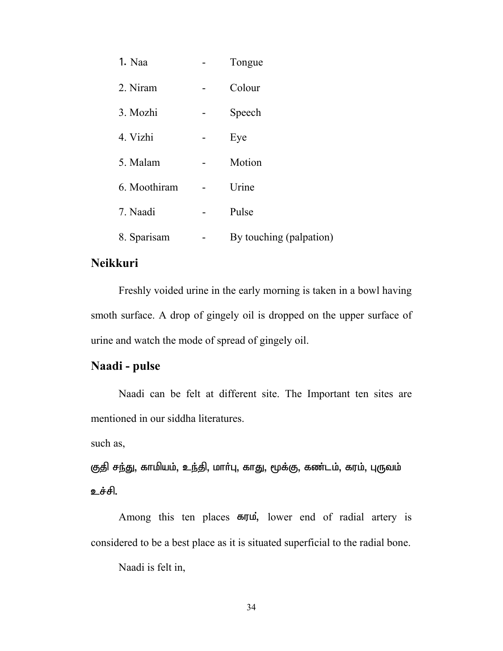| 1. Naa       | Tongue                  |
|--------------|-------------------------|
| 2. Niram     | Colour                  |
| 3. Mozhi     | Speech                  |
| 4. Vizhi     | Eye                     |
| 5. Malam     | Motion                  |
| 6. Moothiram | Urine                   |
| 7. Naadi     | Pulse                   |
| 8. Sparisam  | By touching (palpation) |

# **Neikkuri**

 Freshly voided urine in the early morning is taken in a bowl having smoth surface. A drop of gingely oil is dropped on the upper surface of urine and watch the mode of spread of gingely oil.

# **Naadi - pulse**

 Naadi can be felt at different site. The Important ten sites are mentioned in our siddha literatures.

such as,

குதி சந்து, காமியம், உந்தி, மாா்பு, காது, மூக்கு, கண்டம், கரம், புருவம் உச்சி.

Among this ten places  $\epsilon$ , lower end of radial artery is considered to be a best place as it is situated superficial to the radial bone.

Naadi is felt in,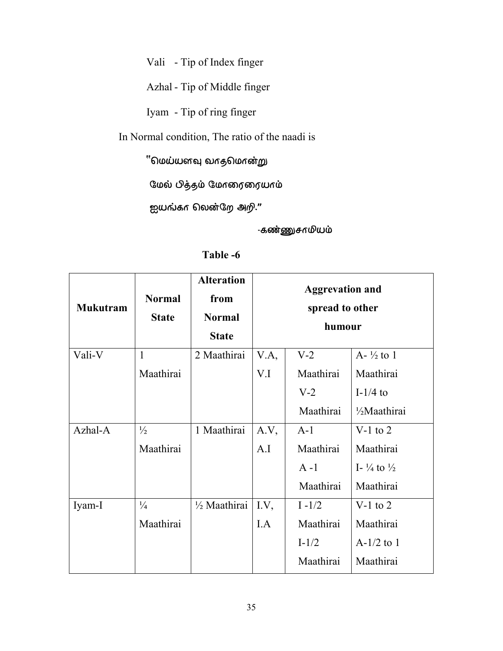Vali - Tip of Index finger

Azhal - Tip of Middle finger

Iyam - Tip of ring finger

In Normal condition, The ratio of the naadi is

"மெய்யளவு வாதமொன்று

 $\Omega$ மல் பித்தம் மோரைரையாம்

ஐயங்கா லென்றே அறி."

-கண்ணுசாமியம்

| <b>Mukutram</b> | <b>Normal</b><br><b>State</b> | <b>Alteration</b><br>from<br><b>Normal</b><br><b>State</b> | <b>Aggrevation and</b><br>spread to other<br>humour |           |                                   |
|-----------------|-------------------------------|------------------------------------------------------------|-----------------------------------------------------|-----------|-----------------------------------|
| Vali-V          | 1                             | 2 Maathirai                                                | V.A,                                                | $V-2$     | $A - \frac{1}{2}$ to 1            |
|                 | Maathirai                     |                                                            | V.I                                                 | Maathirai | Maathirai                         |
|                 |                               |                                                            |                                                     | $V-2$     | I- $1/4$ to                       |
|                 |                               |                                                            |                                                     | Maathirai | 1/ <sub>2</sub> Maathirai         |
| Azhal-A         | $\frac{1}{2}$                 | 1 Maathirai                                                | A.V,                                                | $A-1$     | V-1 to $2$                        |
|                 | Maathirai                     |                                                            | A.I                                                 | Maathirai | Maathirai                         |
|                 |                               |                                                            |                                                     | $A - 1$   | I- $\frac{1}{4}$ to $\frac{1}{2}$ |
|                 |                               |                                                            |                                                     | Maathirai | Maathirai                         |
| Iyam-I          | $\frac{1}{4}$                 | 1/2 Maathirai                                              | I.V,                                                | $I - 1/2$ | $V-1$ to 2                        |
|                 | Maathirai                     |                                                            | I.A                                                 | Maathirai | Maathirai                         |
|                 |                               |                                                            |                                                     | $I-1/2$   | $A-1/2$ to 1                      |
|                 |                               |                                                            |                                                     | Maathirai | Maathirai                         |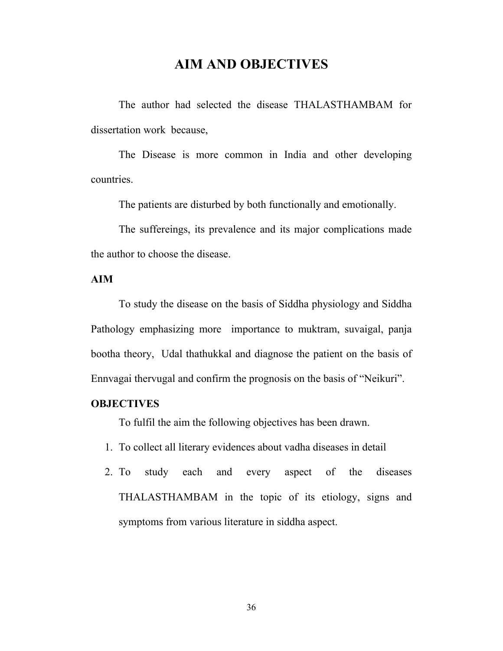# **AIM AND OBJECTIVES**

The author had selected the disease THALASTHAMBAM for dissertation work because,

The Disease is more common in India and other developing countries.

The patients are disturbed by both functionally and emotionally.

The suffereings, its prevalence and its major complications made the author to choose the disease.

#### **AIM**

To study the disease on the basis of Siddha physiology and Siddha Pathology emphasizing more importance to muktram, suvaigal, panja bootha theory, Udal thathukkal and diagnose the patient on the basis of Ennvagai thervugal and confirm the prognosis on the basis of "Neikuri".

# **OBJECTIVES**

To fulfil the aim the following objectives has been drawn.

- 1. To collect all literary evidences about vadha diseases in detail
- 2. To study each and every aspect of the diseases THALASTHAMBAM in the topic of its etiology, signs and symptoms from various literature in siddha aspect.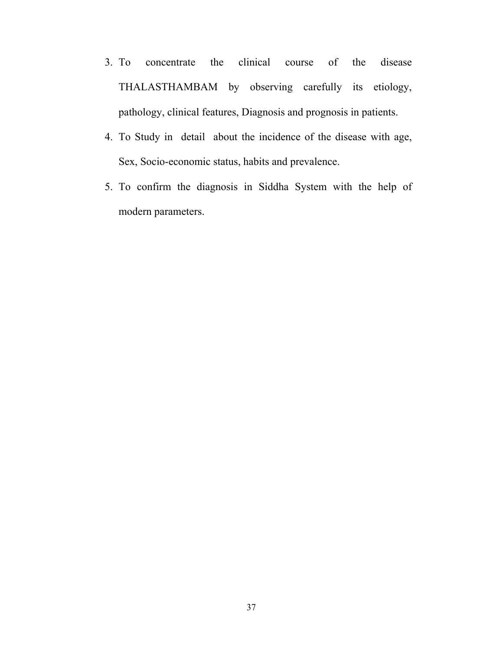- 3. To concentrate the clinical course of the disease THALASTHAMBAM by observing carefully its etiology, pathology, clinical features, Diagnosis and prognosis in patients.
- 4. To Study in detail about the incidence of the disease with age, Sex, Socio-economic status, habits and prevalence.
- 5. To confirm the diagnosis in Siddha System with the help of modern parameters.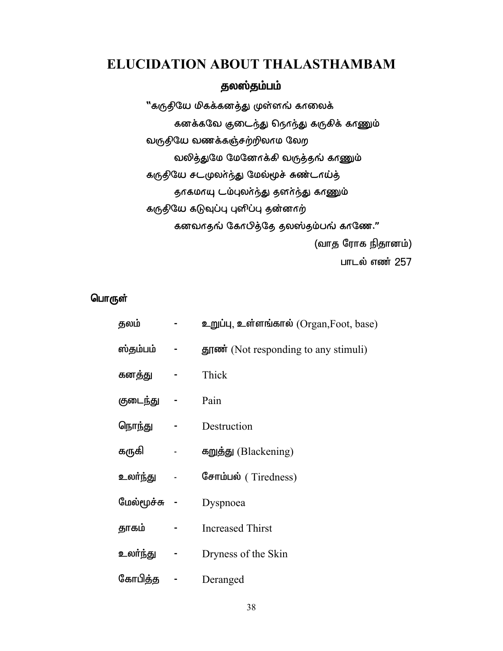# **ELUCIDATION ABOUT THALASTHAMBAM**

# தலஸ்தம்பம்

"கருதியே மிகக்கனத்து முள்ளங் காலைக் கனக்கவே குடைந்து நெரந்து கருகிக் காணும் வருதியே வணக்கஞ்சற்றிலாம லேற வலித்துமே மேனேரக்கி வருத்தங் காணும் கருதியே சடமுலா்ந்து மேல்மூச் சுண்டாய்த் தாகமாயு டம்புலர்ந்து தனர்ந்து காணும் கருதியே கடுவுப்பு புளிப்பு தன்னாற் கனவாதங் கோபித்தே தலஸ்தம்பங் காணே." (வாத ரோக நிதானம்) பாடல் எண் $257$ 

# பொருள்

| தலம்       | உறுப்பு, உள்ளங்கால் (Organ,Foot, base)                      |
|------------|-------------------------------------------------------------|
| ஸ்தம்பம்   | $\frac{1}{2}$ $\frac{1}{2}$ (Not responding to any stimuli) |
| கனத்து     | Thick                                                       |
| குடைந்து   | Pain                                                        |
| நொந்து     | Destruction                                                 |
| கருகி      | கறுத்து (Blackening)                                        |
| உலர்ந்து   | சோம்பல் (Tiredness)                                         |
| மேல்மூச்சு | Dyspnoea                                                    |
| தாகம்      | <b>Increased Thirst</b>                                     |
| உலா்ந்து   | Dryness of the Skin                                         |
| கோபித்த    | Deranged                                                    |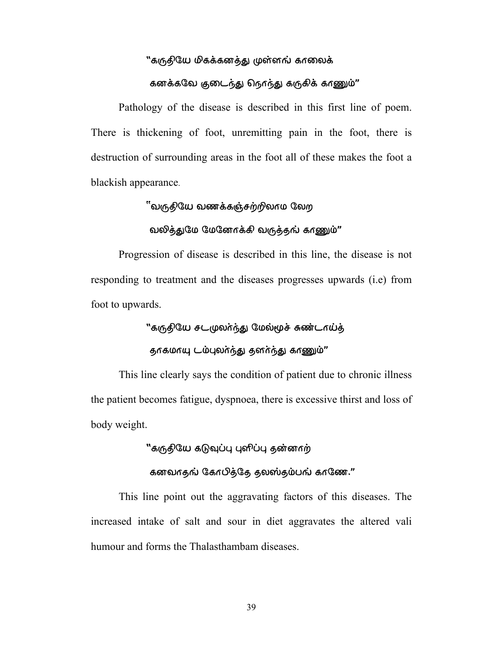# "கருதியே மிகக்கனத்து முள்ளங் காலைக் கனக்கவே குடைந்து நொந்து கருகிக் காணும்"

Pathology of the disease is described in this first line of poem. There is thickening of foot, unremitting pain in the foot, there is destruction of surrounding areas in the foot all of these makes the foot a blackish appearance.

# ്'வருதியே வணக்கஞ்சற்றிலாம லேற

# வலித்துமே மேனோக்கி வருத்தங் காணும்"

Progression of disease is described in this line, the disease is not responding to treatment and the diseases progresses upwards (i.e) from foot to upwards.

# "கருதியே சடமுலா்ந்து மேல்மூச் சுண்டாய்த்

# தாகமாயு டம்புலர்ந்து தனர்ந்து காணும்"

This line clearly says the condition of patient due to chronic illness the patient becomes fatigue, dyspnoea, there is excessive thirst and loss of body weight.

# "கருதியே கடுவுப்பு புளிப்பு தன்னாற்

# கனவாது் கோபித்தே தலஸ்தம்பங் காணே."

This line point out the aggravating factors of this diseases. The increased intake of salt and sour in diet aggravates the altered vali humour and forms the Thalasthambam diseases.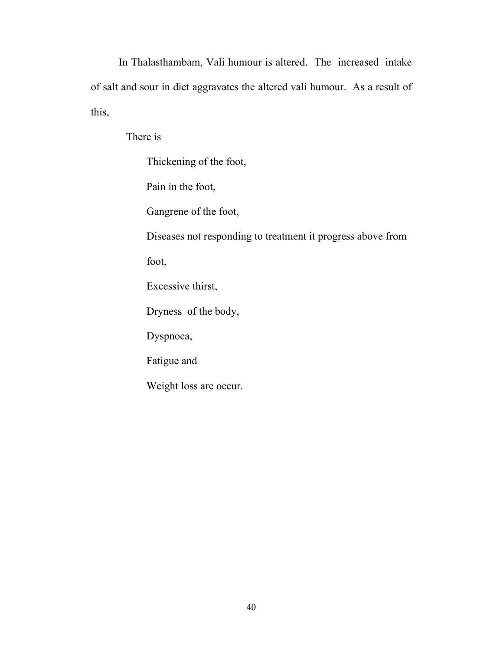In Thalasthambam, Vali humour is altered. The increased intake of salt and sour in diet aggravates the altered vali humour. As a result of this,

There is

Thickening of the foot, Pain in the foot, Gangrene of the foot, Diseases not responding to treatment it progress above from foot, Excessive thirst, Dryness of the body, Dyspnoea, Fatigue and Weight loss are occur.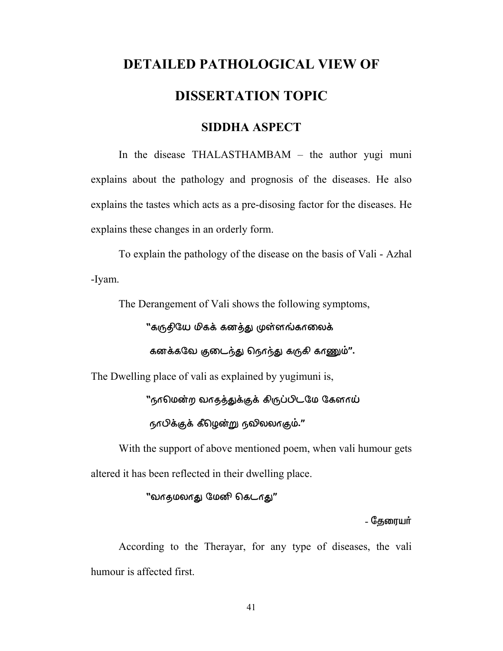# **DETAILED PATHOLOGICAL VIEW OF DISSERTATION TOPIC**

# **SIDDHA ASPECT**

 In the disease THALASTHAMBAM – the author yugi muni explains about the pathology and prognosis of the diseases. He also explains the tastes which acts as a pre-disosing factor for the diseases. He explains these changes in an orderly form.

 To explain the pathology of the disease on the basis of Vali - Azhal -Iyam.

The Derangement of Vali shows the following symptoms,

"கருதியே மிகக் கனத்து முள்ளங்காலைக்

கனக்கவே குடைந்து நொந்து கருகி காணும்".

The Dwelling place of vali as explained by yugimuni is,

"நாமென்ற வாதத்துக்குக் கிருப்பிடமே கேளாய்

 $660$ க்குக் கீழென்று நவிலலாகும்."

 With the support of above mentioned poem, when vali humour gets altered it has been reflected in their dwelling place.

"வாதமலாது மேனி கெடாது"

- கேரையர்

 According to the Therayar, for any type of diseases, the vali humour is affected first.

41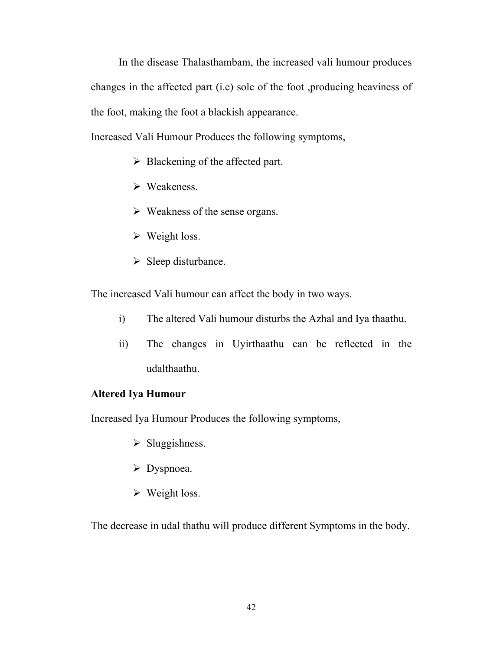In the disease Thalasthambam, the increased vali humour produces changes in the affected part (i.e) sole of the foot ,producing heaviness of the foot, making the foot a blackish appearance.

Increased Vali Humour Produces the following symptoms,

- $\triangleright$  Blackening of the affected part.
- $\triangleright$  Weakeness.
- $\triangleright$  Weakness of the sense organs.
- $\triangleright$  Weight loss.
- $\triangleright$  Sleep disturbance.

The increased Vali humour can affect the body in two ways.

- i) The altered Vali humour disturbs the Azhal and Iya thaathu.
- ii) The changes in Uyirthaathu can be reflected in the udalthaathu.

# **Altered Iya Humour**

Increased Iya Humour Produces the following symptoms,

- $\triangleright$  Sluggishness.
- $\triangleright$  Dyspnoea.
- $\triangleright$  Weight loss.

The decrease in udal thathu will produce different Symptoms in the body.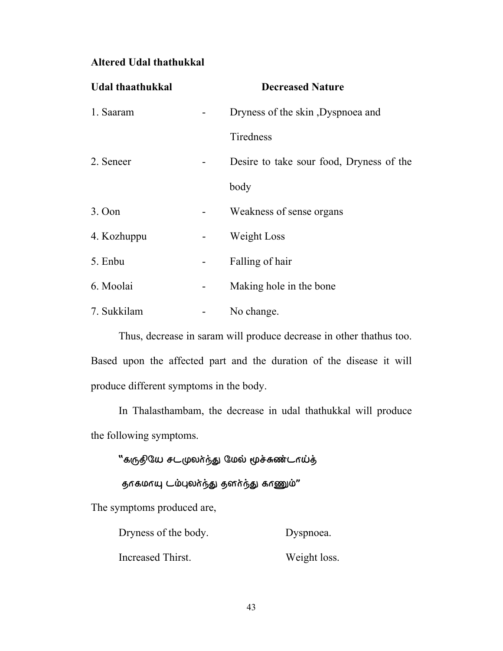# **Altered Udal thathukkal**

| Udal thaathukkal |                          | <b>Decreased Nature</b>                  |
|------------------|--------------------------|------------------------------------------|
| 1. Saaram        |                          | Dryness of the skin, Dyspnoea and        |
|                  |                          | Tiredness                                |
| 2. Seneer        |                          | Desire to take sour food, Dryness of the |
|                  |                          | body                                     |
| 3. Oon           |                          | Weakness of sense organs                 |
| 4. Kozhuppu      |                          | Weight Loss                              |
| 5. Enbu          |                          | Falling of hair                          |
| 6. Moolai        | $\overline{\phantom{a}}$ | Making hole in the bone                  |
| 7. Sukkilam      |                          | No change.                               |

 Thus, decrease in saram will produce decrease in other thathus too. Based upon the affected part and the duration of the disease it will produce different symptoms in the body.

 In Thalasthambam, the decrease in udal thathukkal will produce the following symptoms.

"கருதியே சடமுலா்ந்து மேல் மூச்சுண்டாய்த்

தாகமாயு டம்புலர்ந்து தனர்ந்து காணும்"

The symptoms produced are,

| Dryness of the body. | Dyspnoea.    |
|----------------------|--------------|
| Increased Thirst.    | Weight loss. |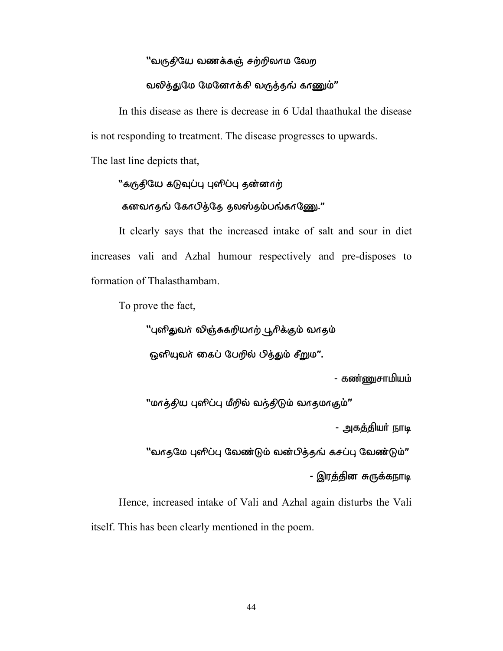# ''வருதியே வணக்கஞ் சற்றிலாம லேற

#### வலித்துமே மேனோக்கி வருத்தங் காணும்"

 In this disease as there is decrease in 6 Udal thaathukal the disease is not responding to treatment. The disease progresses to upwards.

The last line depicts that,

# "கருதியே கடுவுப்பு புளிப்பு தன்னாற்

#### கனவாதங் கோபித்தே தலஸ்தம்பங்காணு."

It clearly says that the increased intake of salt and sour in diet increases vali and Azhal humour respectively and pre-disposes to formation of Thalasthambam.

To prove the fact,

"புளிதுவர் விஞ்சுகறியாற் பூரிக்கும் வாதம்

ஓளியுவர் கைப் பேறில் பித்தும் சீறும".

- கண்ணுசாமியம்

"மாத்திய புளிப்பு மீறில் வந்திடும் வாதமாகும்"

- அகத்தியர் நாடி

''வாதமே புளிப்பு வேண்டும் வன்பித்தங் கசப்பு வேண்டும்'' - இரத்தின சுருக்கநாடி

Hence, increased intake of Vali and Azhal again disturbs the Vali itself. This has been clearly mentioned in the poem.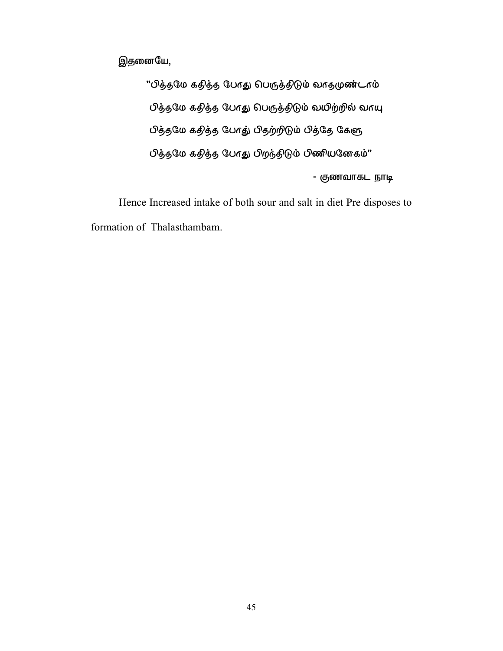இதனையே,

"பித்தமே கதித்த போது பெருத்திடும் வாதமுண்டாம் பித்தமே கதித்த போது பெருத்திடும் வயிற்றில் வாயு பித்தமே கதித்த போது் பிதற்றிடும் பித்தே கேளு பித்தமே கதித்த போது பிறந்திடும் பிணியனேகம்" - குணவாகட நாடி

Hence Increased intake of both sour and salt in diet Pre disposes to formation of Thalasthambam.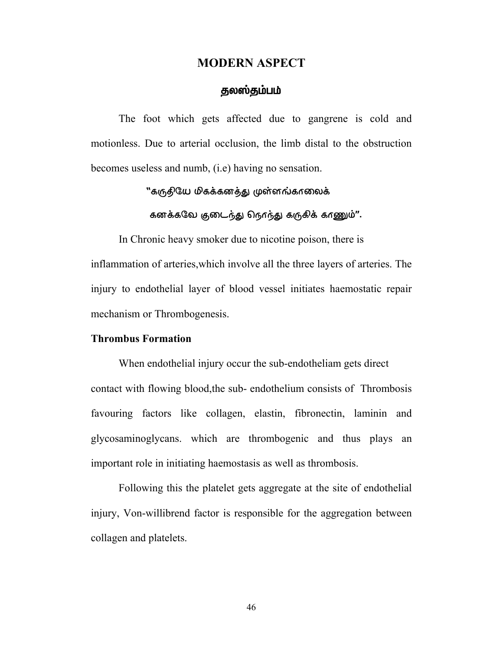#### **MODERN ASPECT**

# தலஸ்தம்பம்

The foot which gets affected due to gangrene is cold and motionless. Due to arterial occlusion, the limb distal to the obstruction becomes useless and numb, (i.e) having no sensation.

"கருதியே மிகக்கனத்து முள்ளங்காலைக்

கனக்கவே குடைந்து நெரந்து கருகிக் காணும்".

In Chronic heavy smoker due to nicotine poison, there is inflammation of arteries,which involve all the three layers of arteries. The injury to endothelial layer of blood vessel initiates haemostatic repair mechanism or Thrombogenesis.

#### **Thrombus Formation**

When endothelial injury occur the sub-endotheliam gets direct contact with flowing blood,the sub- endothelium consists of Thrombosis favouring factors like collagen, elastin, fibronectin, laminin and glycosaminoglycans. which are thrombogenic and thus plays an important role in initiating haemostasis as well as thrombosis.

Following this the platelet gets aggregate at the site of endothelial injury, Von-willibrend factor is responsible for the aggregation between collagen and platelets.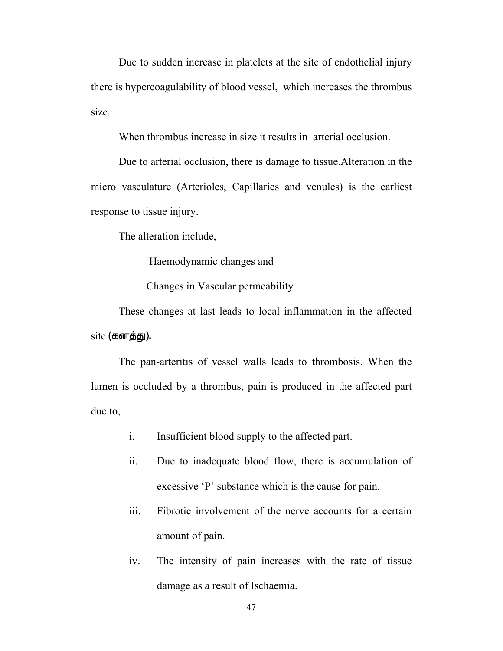Due to sudden increase in platelets at the site of endothelial injury there is hypercoagulability of blood vessel, which increases the thrombus size.

When thrombus increase in size it results in arterial occlusion.

Due to arterial occlusion, there is damage to tissue.Alteration in the micro vasculature (Arterioles, Capillaries and venules) is the earliest response to tissue injury.

The alteration include,

Haemodynamic changes and

Changes in Vascular permeability

These changes at last leads to local inflammation in the affected  $site$  (கனத்து).

The pan-arteritis of vessel walls leads to thrombosis. When the lumen is occluded by a thrombus, pain is produced in the affected part due to,

- i. Insufficient blood supply to the affected part.
- ii. Due to inadequate blood flow, there is accumulation of excessive 'P' substance which is the cause for pain.
- iii. Fibrotic involvement of the nerve accounts for a certain amount of pain.
- iv. The intensity of pain increases with the rate of tissue damage as a result of Ischaemia.

47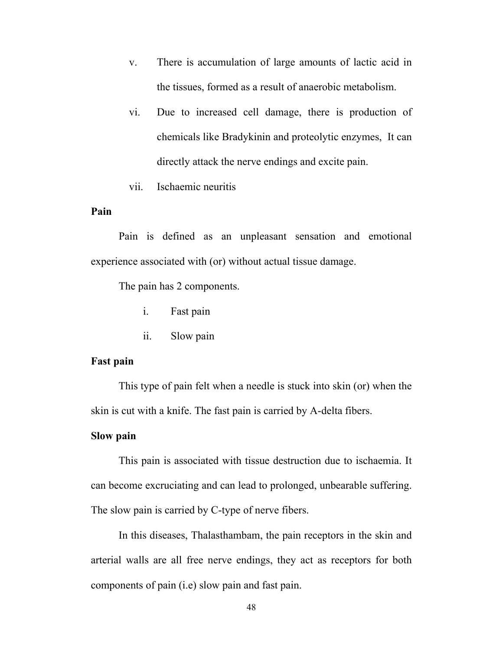- v. There is accumulation of large amounts of lactic acid in the tissues, formed as a result of anaerobic metabolism.
- vi. Due to increased cell damage, there is production of chemicals like Bradykinin and proteolytic enzymes, It can directly attack the nerve endings and excite pain.
- vii. Ischaemic neuritis

#### **Pain**

 Pain is defined as an unpleasant sensation and emotional experience associated with (or) without actual tissue damage.

The pain has 2 components.

- i. Fast pain
- ii. Slow pain

#### **Fast pain**

 This type of pain felt when a needle is stuck into skin (or) when the skin is cut with a knife. The fast pain is carried by A-delta fibers.

# **Slow pain**

 This pain is associated with tissue destruction due to ischaemia. It can become excruciating and can lead to prolonged, unbearable suffering. The slow pain is carried by C-type of nerve fibers.

 In this diseases, Thalasthambam, the pain receptors in the skin and arterial walls are all free nerve endings, they act as receptors for both components of pain (i.e) slow pain and fast pain.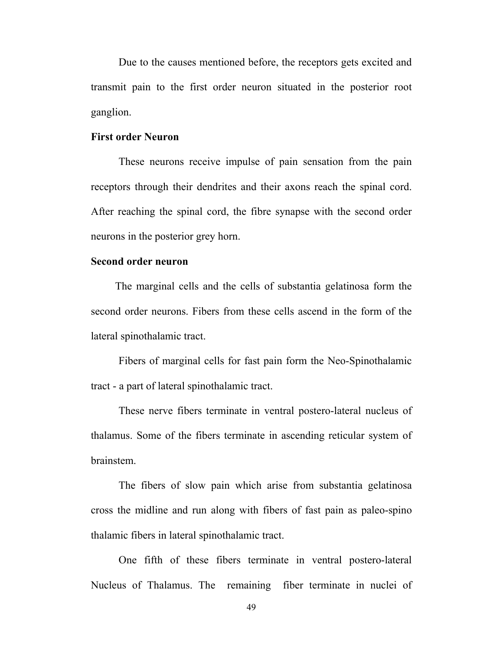Due to the causes mentioned before, the receptors gets excited and transmit pain to the first order neuron situated in the posterior root ganglion.

#### **First order Neuron**

 These neurons receive impulse of pain sensation from the pain receptors through their dendrites and their axons reach the spinal cord. After reaching the spinal cord, the fibre synapse with the second order neurons in the posterior grey horn.

#### **Second order neuron**

 The marginal cells and the cells of substantia gelatinosa form the second order neurons. Fibers from these cells ascend in the form of the lateral spinothalamic tract.

 Fibers of marginal cells for fast pain form the Neo-Spinothalamic tract - a part of lateral spinothalamic tract.

These nerve fibers terminate in ventral postero-lateral nucleus of thalamus. Some of the fibers terminate in ascending reticular system of brainstem.

 The fibers of slow pain which arise from substantia gelatinosa cross the midline and run along with fibers of fast pain as paleo-spino thalamic fibers in lateral spinothalamic tract.

 One fifth of these fibers terminate in ventral postero-lateral Nucleus of Thalamus. The remaining fiber terminate in nuclei of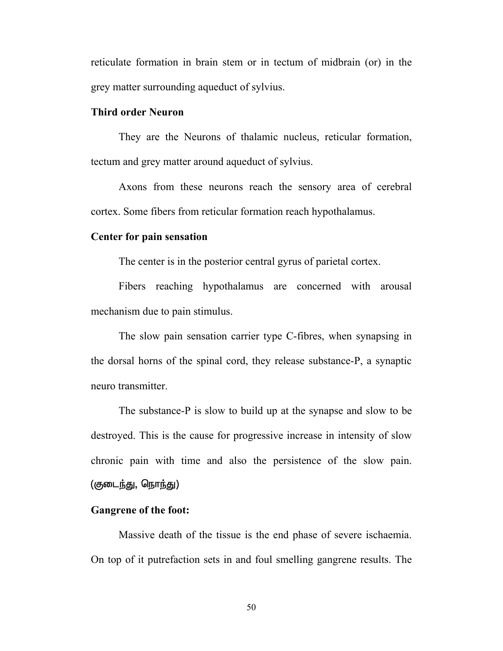reticulate formation in brain stem or in tectum of midbrain (or) in the grey matter surrounding aqueduct of sylvius.

#### **Third order Neuron**

 They are the Neurons of thalamic nucleus, reticular formation, tectum and grey matter around aqueduct of sylvius.

 Axons from these neurons reach the sensory area of cerebral cortex. Some fibers from reticular formation reach hypothalamus.

#### **Center for pain sensation**

The center is in the posterior central gyrus of parietal cortex.

 Fibers reaching hypothalamus are concerned with arousal mechanism due to pain stimulus.

 The slow pain sensation carrier type C-fibres, when synapsing in the dorsal horns of the spinal cord, they release substance-P, a synaptic neuro transmitter.

 The substance-P is slow to build up at the synapse and slow to be destroyed. This is the cause for progressive increase in intensity of slow chronic pain with time and also the persistence of the slow pain. (குடைந்து, நொந்து)

#### **Gangrene of the foot:**

 Massive death of the tissue is the end phase of severe ischaemia. On top of it putrefaction sets in and foul smelling gangrene results. The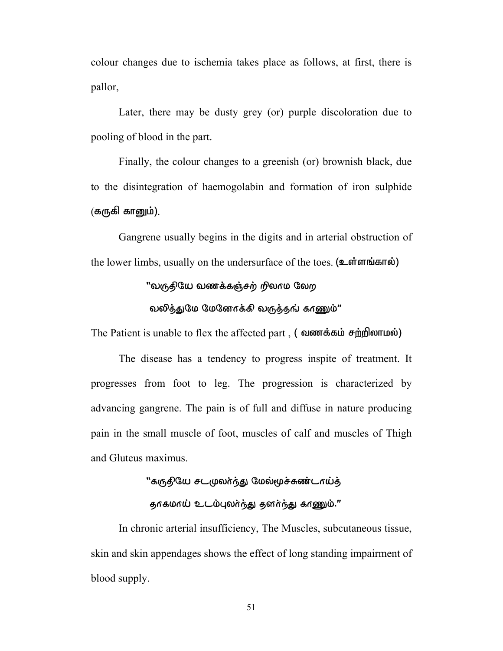colour changes due to ischemia takes place as follows, at first, there is pallor,

 Later, there may be dusty grey (or) purple discoloration due to pooling of blood in the part.

Finally, the colour changes to a greenish (or) brownish black, due to the disintegration of haemogolabin and formation of iron sulphide  $($ கருகி கானும்).

 Gangrene usually begins in the digits and in arterial obstruction of the lower limbs, usually on the undersurface of the toes. (உள்ளங்கால்)

#### "வருதியே வணக்கஞ்சற் றிலாம லேற

#### வலித்துமே மேனோக்கி வருத்தங் காணும்"

The Patient is unable to flex the affected part,  $($  **allogene**  $\vec{r}$  and  $\vec{r}$   $\vec{r}$  and  $\vec{r}$   $\vec{r}$ 

 The disease has a tendency to progress inspite of treatment. It progresses from foot to leg. The progression is characterized by advancing gangrene. The pain is of full and diffuse in nature producing pain in the small muscle of foot, muscles of calf and muscles of Thigh and Gluteus maximus.

# "கருதியே சடமுலர்ந்து மேல்மூச்சுண்டாய்த் தாகமாய் உடம்புலர்ந்து தனர்ந்து காணும்."

 In chronic arterial insufficiency, The Muscles, subcutaneous tissue, skin and skin appendages shows the effect of long standing impairment of blood supply.

51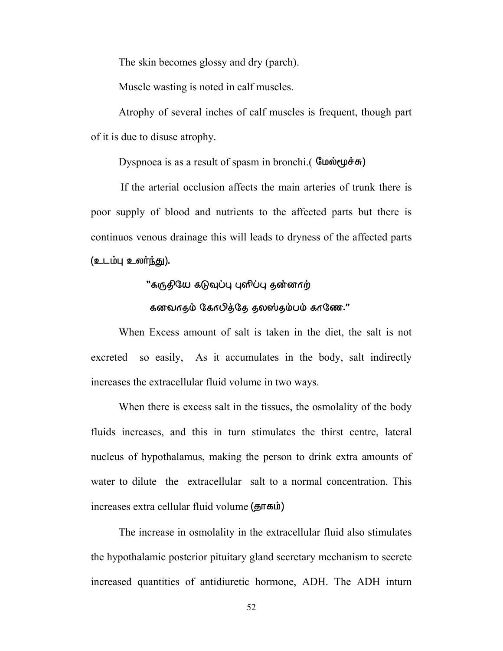The skin becomes glossy and dry (parch).

Muscle wasting is noted in calf muscles.

 Atrophy of several inches of calf muscles is frequent, though part of it is due to disuse atrophy.

Dyspnoea is as a result of spasm in bronchi.  $(\mathbb{G} \mathbf{u} \dot{\mathbf{v}})$ 

 If the arterial occlusion affects the main arteries of trunk there is poor supply of blood and nutrients to the affected parts but there is continuos venous drainage this will leads to dryness of the affected parts (உடம்பு உலர்ந்து).

# "கருதியே கடுவுப்பு புளிப்பு தன்னாற்

#### கனவாதம் கோபித்தே தலஸ்தம்பம் காணே."

 When Excess amount of salt is taken in the diet, the salt is not excreted so easily, As it accumulates in the body, salt indirectly increases the extracellular fluid volume in two ways.

When there is excess salt in the tissues, the osmolality of the body fluids increases, and this in turn stimulates the thirst centre, lateral nucleus of hypothalamus, making the person to drink extra amounts of water to dilute the extracellular salt to a normal concentration. This increases extra cellular fluid volume ( $\overline{\mathbf{g}}$ rumetion)

The increase in osmolality in the extracellular fluid also stimulates the hypothalamic posterior pituitary gland secretary mechanism to secrete increased quantities of antidiuretic hormone, ADH. The ADH inturn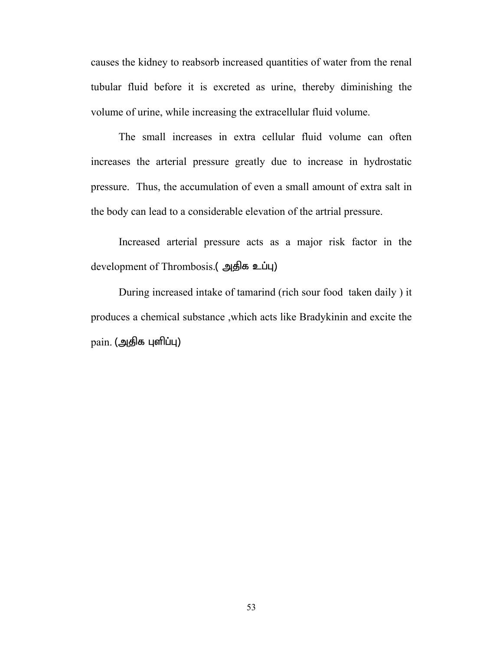causes the kidney to reabsorb increased quantities of water from the renal tubular fluid before it is excreted as urine, thereby diminishing the volume of urine, while increasing the extracellular fluid volume.

 The small increases in extra cellular fluid volume can often increases the arterial pressure greatly due to increase in hydrostatic pressure. Thus, the accumulation of even a small amount of extra salt in the body can lead to a considerable elevation of the artrial pressure.

Increased arterial pressure acts as a major risk factor in the development of Thrombosis.( அதிக உப்பு)

During increased intake of tamarind (rich sour food taken daily ) it produces a chemical substance ,which acts like Bradykinin and excite the  $\text{pain.}$  (அதிக புளிப்பு)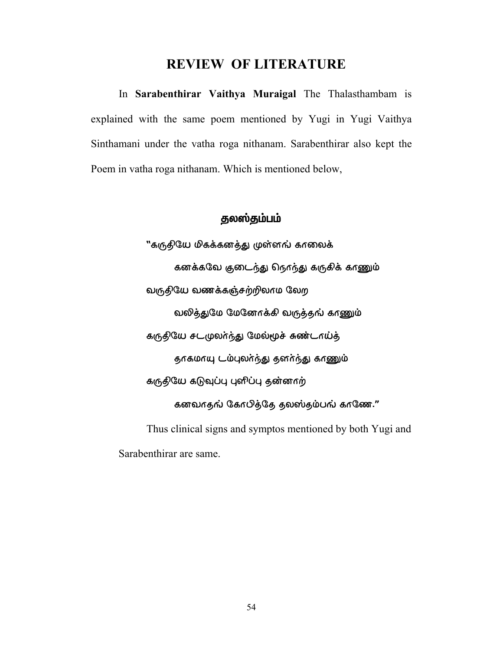# **REVIEW OF LITERATURE**

In **Sarabenthirar Vaithya Muraigal** The Thalasthambam is explained with the same poem mentioned by Yugi in Yugi Vaithya Sinthamani under the vatha roga nithanam. Sarabenthirar also kept the Poem in vatha roga nithanam. Which is mentioned below,

# தலஸ்தம்பம்

"கருதியே மிகக்கனத்து முள்ளங் காலைக் கனக்கவே குடைந்து நெரந்து கருகிக் காணும் வருதியே வணக்கஞ்சற்றிலாம லேற வலித்துமே மேனேரக்கி வருத்தங் காணும் கருதியே சடமுலா்ந்து மேல்மூச் சுண்டாய்த் தாகமாயு டம்புலா்ந்து தனா்ந்து காணும் கருதியே கடுவுப்பு புளிப்பு தன்னாற் கனவாதங் கோபித்தே தலஸ்தம்பங் காணே." Thus clinical signs and symptos mentioned by both Yugi and

Sarabenthirar are same.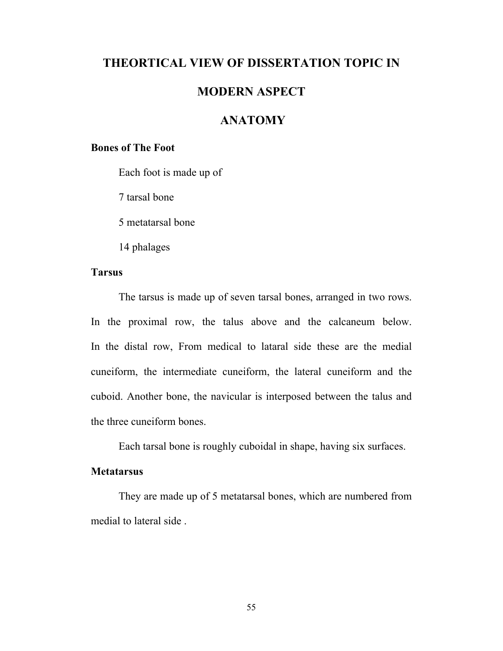# **THEORTICAL VIEW OF DISSERTATION TOPIC IN**

# **MODERN ASPECT**

# **ANATOMY**

# **Bones of The Foot**

Each foot is made up of

7 tarsal bone

5 metatarsal bone

14 phalages

# **Tarsus**

 The tarsus is made up of seven tarsal bones, arranged in two rows. In the proximal row, the talus above and the calcaneum below. In the distal row, From medical to lataral side these are the medial cuneiform, the intermediate cuneiform, the lateral cuneiform and the cuboid. Another bone, the navicular is interposed between the talus and the three cuneiform bones.

Each tarsal bone is roughly cuboidal in shape, having six surfaces.

# **Metatarsus**

They are made up of 5 metatarsal bones, which are numbered from medial to lateral side .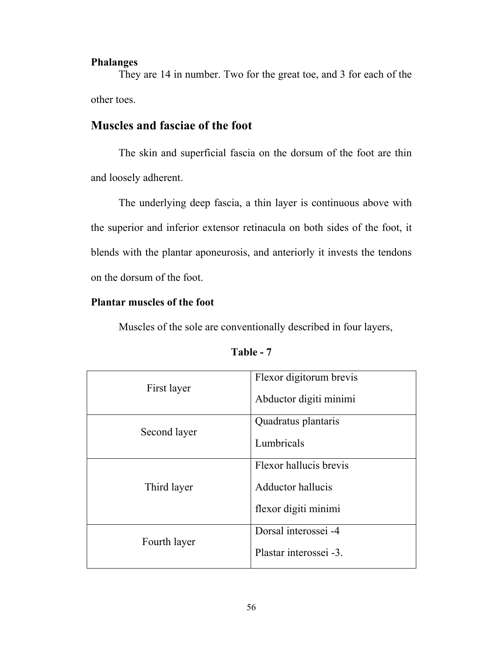# **Phalanges**

They are 14 in number. Two for the great toe, and 3 for each of the other toes.

# **Muscles and fasciae of the foot**

 The skin and superficial fascia on the dorsum of the foot are thin and loosely adherent.

 The underlying deep fascia, a thin layer is continuous above with the superior and inferior extensor retinacula on both sides of the foot, it blends with the plantar aponeurosis, and anteriorly it invests the tendons on the dorsum of the foot.

# **Plantar muscles of the foot**

Muscles of the sole are conventionally described in four layers,

| First layer  | Flexor digitorum brevis |  |
|--------------|-------------------------|--|
|              | Abductor digiti minimi  |  |
| Second layer | Quadratus plantaris     |  |
|              | Lumbricals              |  |
|              | Flexor hallucis brevis  |  |
| Third layer  | Adductor hallucis       |  |
|              | flexor digiti minimi    |  |
| Fourth layer | Dorsal interossei -4    |  |
|              | Plastar interossei -3.  |  |

| able |  |
|------|--|
|------|--|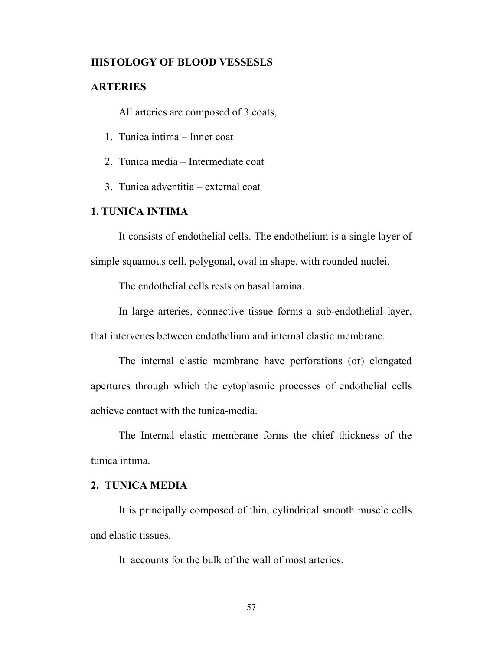# **HISTOLOGY OF BLOOD VESSESLS**

# **ARTERIES**

All arteries are composed of 3 coats,

- 1. Tunica intima Inner coat
- 2. Tunica media Intermediate coat
- 3. Tunica adventitia external coat

# **1. TUNICA INTIMA**

It consists of endothelial cells. The endothelium is a single layer of simple squamous cell, polygonal, oval in shape, with rounded nuclei.

The endothelial cells rests on basal lamina.

In large arteries, connective tissue forms a sub-endothelial layer, that intervenes between endothelium and internal elastic membrane.

The internal elastic membrane have perforations (or) elongated apertures through which the cytoplasmic processes of endothelial cells achieve contact with the tunica-media.

The Internal elastic membrane forms the chief thickness of the tunica intima.

# **2. TUNICA MEDIA**

It is principally composed of thin, cylindrical smooth muscle cells and elastic tissues.

It accounts for the bulk of the wall of most arteries.

57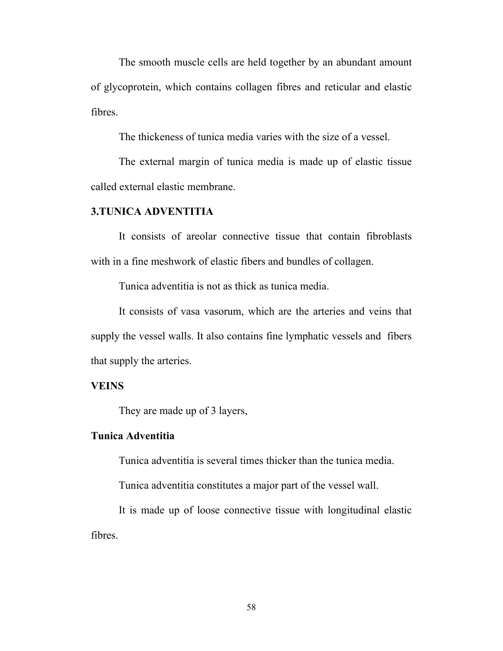The smooth muscle cells are held together by an abundant amount of glycoprotein, which contains collagen fibres and reticular and elastic fibres.

The thickeness of tunica media varies with the size of a vessel.

The external margin of tunica media is made up of elastic tissue called external elastic membrane.

#### **3.TUNICA ADVENTITIA**

It consists of areolar connective tissue that contain fibroblasts with in a fine meshwork of elastic fibers and bundles of collagen.

Tunica adventitia is not as thick as tunica media.

It consists of vasa vasorum, which are the arteries and veins that supply the vessel walls. It also contains fine lymphatic vessels and fibers that supply the arteries.

# **VEINS**

They are made up of 3 layers,

# **Tunica Adventitia**

Tunica adventitia is several times thicker than the tunica media.

Tunica adventitia constitutes a major part of the vessel wall.

It is made up of loose connective tissue with longitudinal elastic fibres.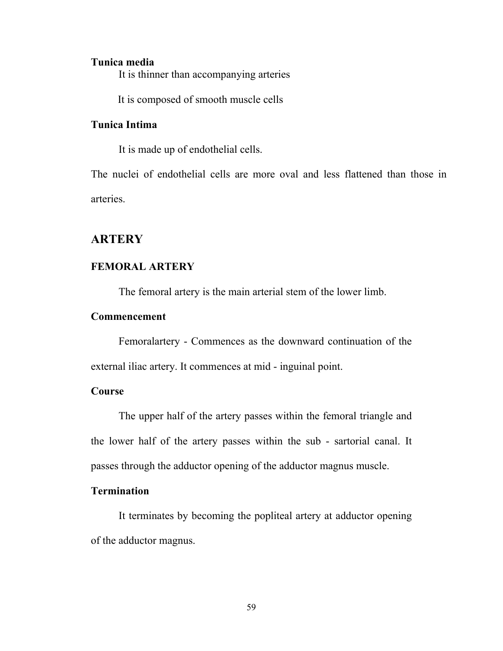#### **Tunica media**

It is thinner than accompanying arteries

It is composed of smooth muscle cells

# **Tunica Intima**

It is made up of endothelial cells.

The nuclei of endothelial cells are more oval and less flattened than those in arteries.

# **ARTERY**

### **FEMORAL ARTERY**

The femoral artery is the main arterial stem of the lower limb.

# **Commencement**

 Femoralartery - Commences as the downward continuation of the external iliac artery. It commences at mid - inguinal point.

# **Course**

 The upper half of the artery passes within the femoral triangle and the lower half of the artery passes within the sub - sartorial canal. It passes through the adductor opening of the adductor magnus muscle.

# **Termination**

 It terminates by becoming the popliteal artery at adductor opening of the adductor magnus.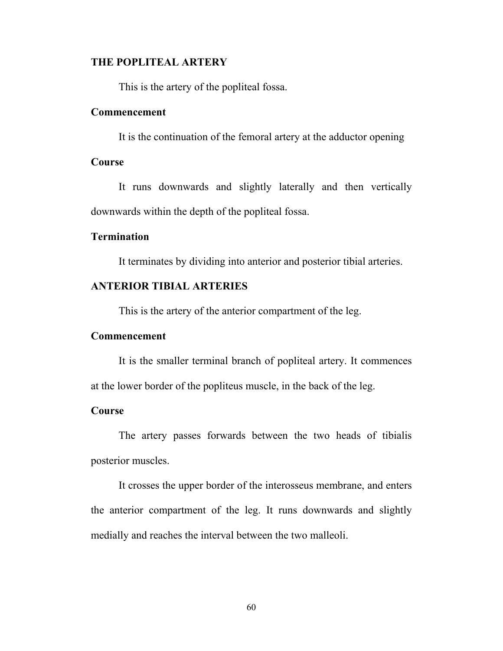# **THE POPLITEAL ARTERY**

This is the artery of the popliteal fossa.

#### **Commencement**

It is the continuation of the femoral artery at the adductor opening

# **Course**

 It runs downwards and slightly laterally and then vertically downwards within the depth of the popliteal fossa.

# **Termination**

It terminates by dividing into anterior and posterior tibial arteries.

# **ANTERIOR TIBIAL ARTERIES**

This is the artery of the anterior compartment of the leg.

# **Commencement**

 It is the smaller terminal branch of popliteal artery. It commences at the lower border of the popliteus muscle, in the back of the leg.

# **Course**

 The artery passes forwards between the two heads of tibialis posterior muscles.

 It crosses the upper border of the interosseus membrane, and enters the anterior compartment of the leg. It runs downwards and slightly medially and reaches the interval between the two malleoli.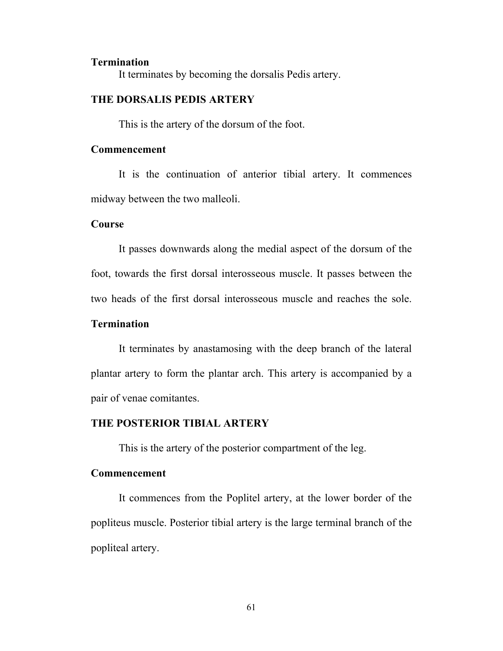#### **Termination**

It terminates by becoming the dorsalis Pedis artery.

# **THE DORSALIS PEDIS ARTERY**

This is the artery of the dorsum of the foot.

# **Commencement**

 It is the continuation of anterior tibial artery. It commences midway between the two malleoli.

# **Course**

 It passes downwards along the medial aspect of the dorsum of the foot, towards the first dorsal interosseous muscle. It passes between the two heads of the first dorsal interosseous muscle and reaches the sole.

### **Termination**

 It terminates by anastamosing with the deep branch of the lateral plantar artery to form the plantar arch. This artery is accompanied by a pair of venae comitantes.

#### **THE POSTERIOR TIBIAL ARTERY**

This is the artery of the posterior compartment of the leg.

#### **Commencement**

 It commences from the Poplitel artery, at the lower border of the popliteus muscle. Posterior tibial artery is the large terminal branch of the popliteal artery.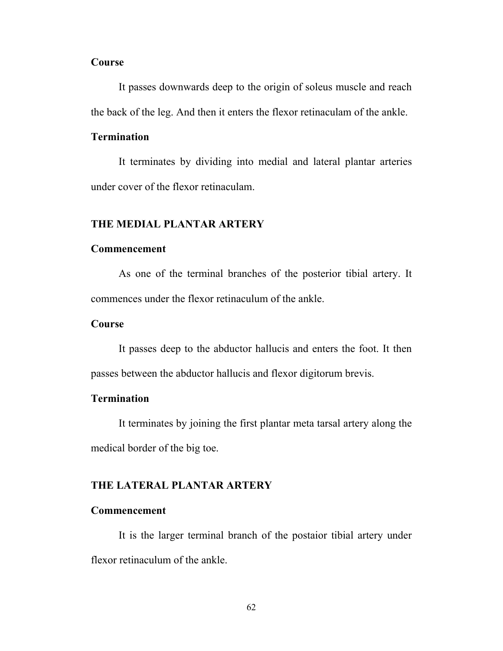# **Course**

 It passes downwards deep to the origin of soleus muscle and reach the back of the leg. And then it enters the flexor retinaculam of the ankle.

# **Termination**

 It terminates by dividing into medial and lateral plantar arteries under cover of the flexor retinaculam.

#### **THE MEDIAL PLANTAR ARTERY**

# **Commencement**

 As one of the terminal branches of the posterior tibial artery. It commences under the flexor retinaculum of the ankle.

### **Course**

 It passes deep to the abductor hallucis and enters the foot. It then passes between the abductor hallucis and flexor digitorum brevis.

# **Termination**

 It terminates by joining the first plantar meta tarsal artery along the medical border of the big toe.

# **THE LATERAL PLANTAR ARTERY**

#### **Commencement**

 It is the larger terminal branch of the postaior tibial artery under flexor retinaculum of the ankle.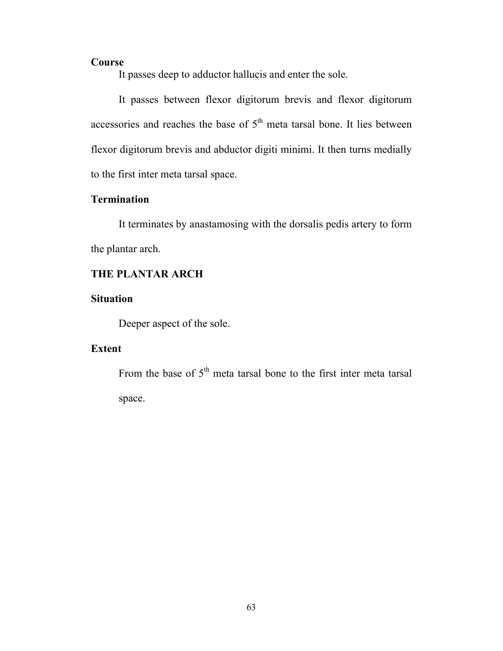# **Course**

It passes deep to adductor hallucis and enter the sole.

 It passes between flexor digitorum brevis and flexor digitorum accessories and reaches the base of  $5<sup>th</sup>$  meta tarsal bone. It lies between flexor digitorum brevis and abductor digiti minimi. It then turns medially to the first inter meta tarsal space.

# **Termination**

 It terminates by anastamosing with the dorsalis pedis artery to form the plantar arch.

# **THE PLANTAR ARCH**

# **Situation**

Deeper aspect of the sole.

# **Extent**

From the base of  $5<sup>th</sup>$  meta tarsal bone to the first inter meta tarsal space.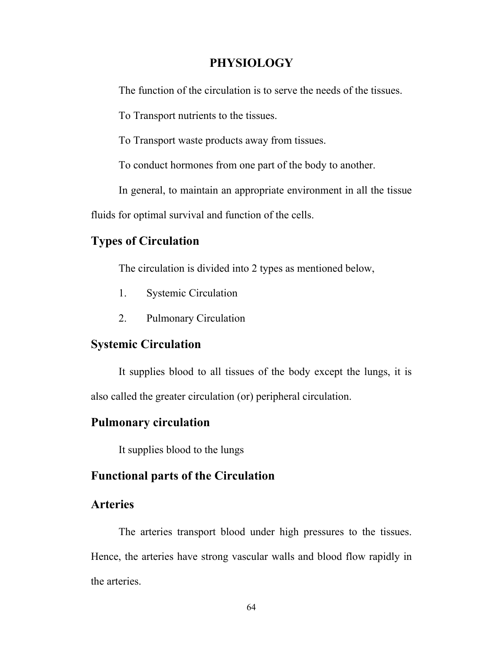# **PHYSIOLOGY**

The function of the circulation is to serve the needs of the tissues.

To Transport nutrients to the tissues.

To Transport waste products away from tissues.

To conduct hormones from one part of the body to another.

In general, to maintain an appropriate environment in all the tissue

fluids for optimal survival and function of the cells.

# **Types of Circulation**

The circulation is divided into 2 types as mentioned below,

- 1. Systemic Circulation
- 2. Pulmonary Circulation

# **Systemic Circulation**

 It supplies blood to all tissues of the body except the lungs, it is also called the greater circulation (or) peripheral circulation.

# **Pulmonary circulation**

It supplies blood to the lungs

# **Functional parts of the Circulation**

# **Arteries**

 The arteries transport blood under high pressures to the tissues. Hence, the arteries have strong vascular walls and blood flow rapidly in the arteries.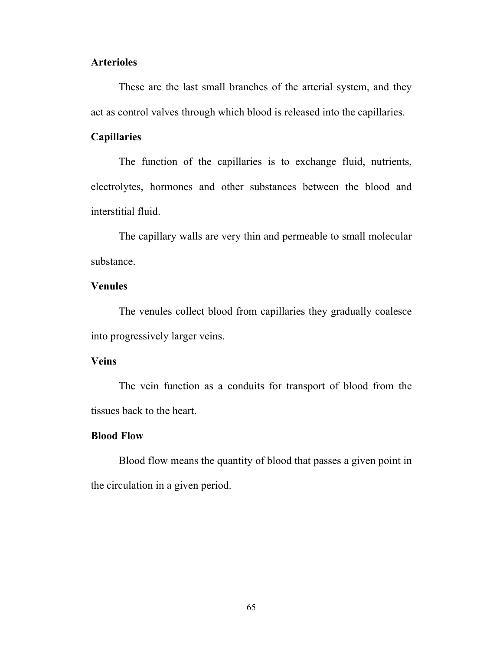# **Arterioles**

 These are the last small branches of the arterial system, and they act as control valves through which blood is released into the capillaries.

# **Capillaries**

 The function of the capillaries is to exchange fluid, nutrients, electrolytes, hormones and other substances between the blood and interstitial fluid.

 The capillary walls are very thin and permeable to small molecular substance.

# **Venules**

 The venules collect blood from capillaries they gradually coalesce into progressively larger veins.

#### **Veins**

 The vein function as a conduits for transport of blood from the tissues back to the heart.

# **Blood Flow**

 Blood flow means the quantity of blood that passes a given point in the circulation in a given period.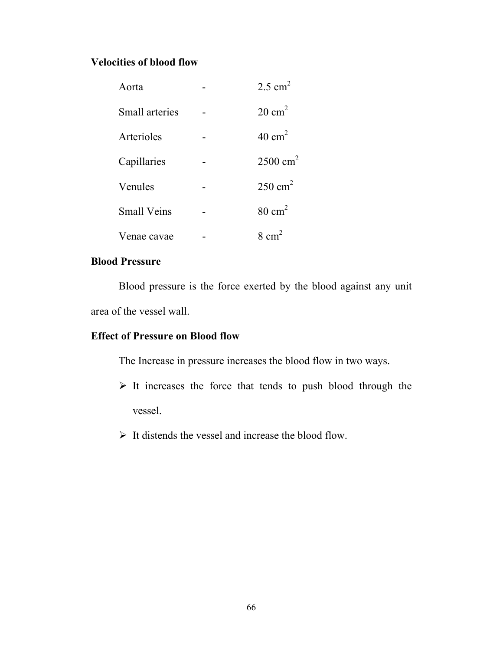# **Velocities of blood flow**

| Aorta                 | $2.5$ cm <sup>2</sup> |
|-----------------------|-----------------------|
| <b>Small</b> arteries | $20 \text{ cm}^2$     |
| Arterioles            | $40 \text{ cm}^2$     |
| Capillaries           | $2500 \text{ cm}^2$   |
| Venules               | $250 \text{ cm}^2$    |
| <b>Small Veins</b>    | $80 \text{ cm}^2$     |
| Venae cavae           | $8 \text{ cm}^2$      |

# **Blood Pressure**

 Blood pressure is the force exerted by the blood against any unit area of the vessel wall.

# **Effect of Pressure on Blood flow**

The Increase in pressure increases the blood flow in two ways.

- $\triangleright$  It increases the force that tends to push blood through the vessel.
- $\triangleright$  It distends the vessel and increase the blood flow.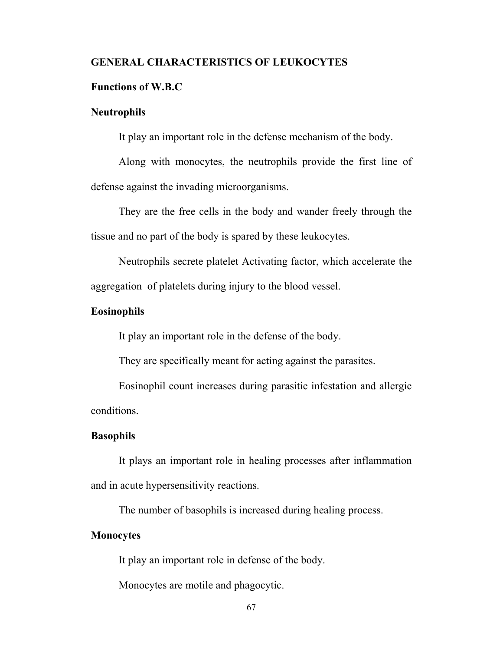# **GENERAL CHARACTERISTICS OF LEUKOCYTES**

### **Functions of W.B.C**

#### **Neutrophils**

It play an important role in the defense mechanism of the body.

 Along with monocytes, the neutrophils provide the first line of defense against the invading microorganisms.

 They are the free cells in the body and wander freely through the tissue and no part of the body is spared by these leukocytes.

 Neutrophils secrete platelet Activating factor, which accelerate the aggregation of platelets during injury to the blood vessel.

#### **Eosinophils**

It play an important role in the defense of the body.

They are specifically meant for acting against the parasites.

 Eosinophil count increases during parasitic infestation and allergic conditions.

### **Basophils**

 It plays an important role in healing processes after inflammation and in acute hypersensitivity reactions.

The number of basophils is increased during healing process.

# **Monocytes**

It play an important role in defense of the body.

Monocytes are motile and phagocytic.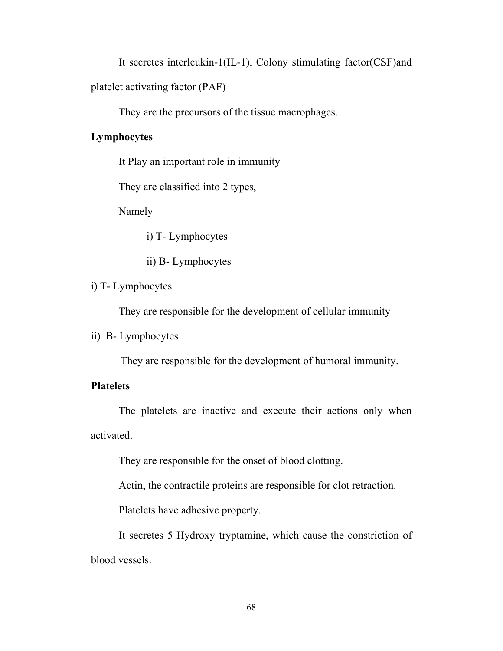It secretes interleukin-1(IL-1), Colony stimulating factor(CSF)and

platelet activating factor (PAF)

They are the precursors of the tissue macrophages.

# **Lymphocytes**

It Play an important role in immunity

They are classified into 2 types,

Namely

i) T- Lymphocytes

ii) B- Lymphocytes

# i) T- Lymphocytes

They are responsible for the development of cellular immunity

ii) B- Lymphocytes

They are responsible for the development of humoral immunity.

# **Platelets**

 The platelets are inactive and execute their actions only when activated.

They are responsible for the onset of blood clotting.

Actin, the contractile proteins are responsible for clot retraction.

Platelets have adhesive property.

 It secretes 5 Hydroxy tryptamine, which cause the constriction of blood vessels.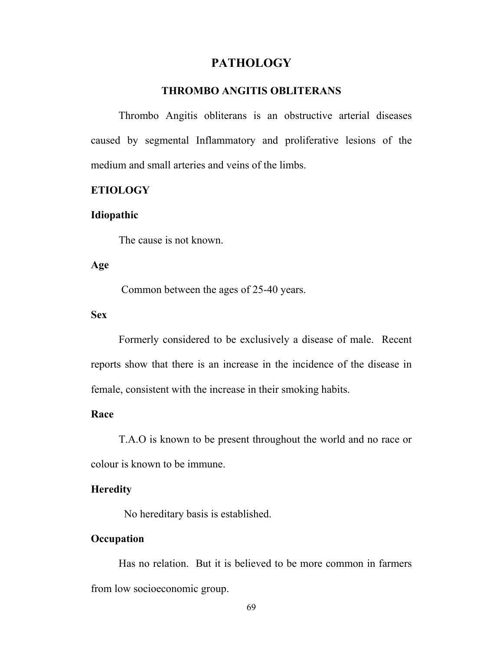# **PATHOLOGY**

# **THROMBO ANGITIS OBLITERANS**

Thrombo Angitis obliterans is an obstructive arterial diseases caused by segmental Inflammatory and proliferative lesions of the medium and small arteries and veins of the limbs.

# **ETIOLOGY**

#### **Idiopathic**

The cause is not known.

# **Age**

Common between the ages of 25-40 years.

# **Sex**

Formerly considered to be exclusively a disease of male. Recent reports show that there is an increase in the incidence of the disease in female, consistent with the increase in their smoking habits.

#### **Race**

T.A.O is known to be present throughout the world and no race or colour is known to be immune.

#### **Heredity**

No hereditary basis is established.

# **Occupation**

Has no relation. But it is believed to be more common in farmers from low socioeconomic group.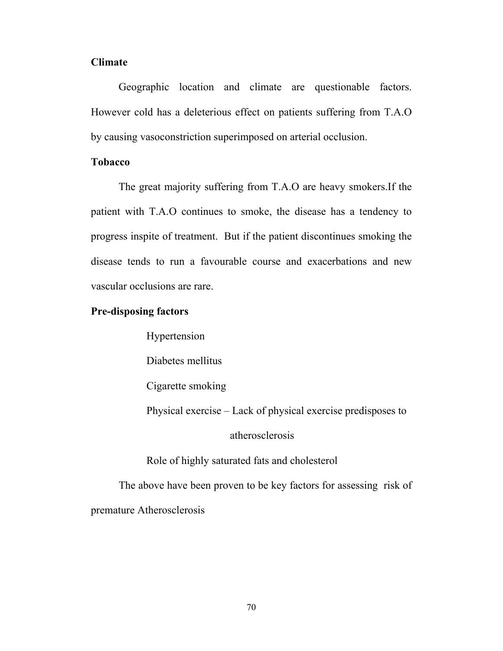#### **Climate**

Geographic location and climate are questionable factors. However cold has a deleterious effect on patients suffering from T.A.O by causing vasoconstriction superimposed on arterial occlusion.

#### **Tobacco**

The great majority suffering from T.A.O are heavy smokers.If the patient with T.A.O continues to smoke, the disease has a tendency to progress inspite of treatment. But if the patient discontinues smoking the disease tends to run a favourable course and exacerbations and new vascular occlusions are rare.

#### **Pre-disposing factors**

Hypertension

Diabetes mellitus

Cigarette smoking

Physical exercise – Lack of physical exercise predisposes to

## atherosclerosis

Role of highly saturated fats and cholesterol

The above have been proven to be key factors for assessing risk of premature Atherosclerosis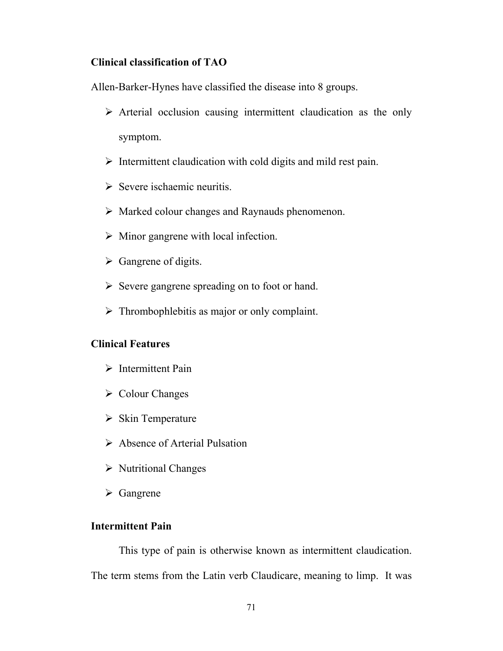## **Clinical classification of TAO**

Allen-Barker-Hynes have classified the disease into 8 groups.

- $\triangleright$  Arterial occlusion causing intermittent claudication as the only symptom.
- $\triangleright$  Intermittent claudication with cold digits and mild rest pain.
- $\triangleright$  Severe ischaemic neuritis.
- $\triangleright$  Marked colour changes and Raynauds phenomenon.
- $\triangleright$  Minor gangrene with local infection.
- $\triangleright$  Gangrene of digits.
- $\triangleright$  Severe gangrene spreading on to foot or hand.
- $\triangleright$  Thrombophlebitis as major or only complaint.

## **Clinical Features**

- $\triangleright$  Intermittent Pain
- $\triangleright$  Colour Changes
- $\triangleright$  Skin Temperature
- ¾ Absence of Arterial Pulsation
- $\triangleright$  Nutritional Changes
- $\triangleright$  Gangrene

## **Intermittent Pain**

This type of pain is otherwise known as intermittent claudication. The term stems from the Latin verb Claudicare, meaning to limp. It was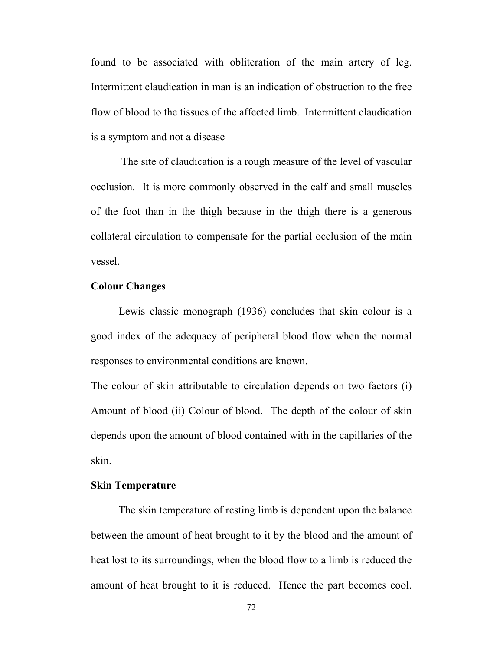found to be associated with obliteration of the main artery of leg. Intermittent claudication in man is an indication of obstruction to the free flow of blood to the tissues of the affected limb. Intermittent claudication is a symptom and not a disease

 The site of claudication is a rough measure of the level of vascular occlusion. It is more commonly observed in the calf and small muscles of the foot than in the thigh because in the thigh there is a generous collateral circulation to compensate for the partial occlusion of the main vessel.

## **Colour Changes**

Lewis classic monograph (1936) concludes that skin colour is a good index of the adequacy of peripheral blood flow when the normal responses to environmental conditions are known.

The colour of skin attributable to circulation depends on two factors (i) Amount of blood (ii) Colour of blood. The depth of the colour of skin depends upon the amount of blood contained with in the capillaries of the skin.

#### **Skin Temperature**

The skin temperature of resting limb is dependent upon the balance between the amount of heat brought to it by the blood and the amount of heat lost to its surroundings, when the blood flow to a limb is reduced the amount of heat brought to it is reduced. Hence the part becomes cool.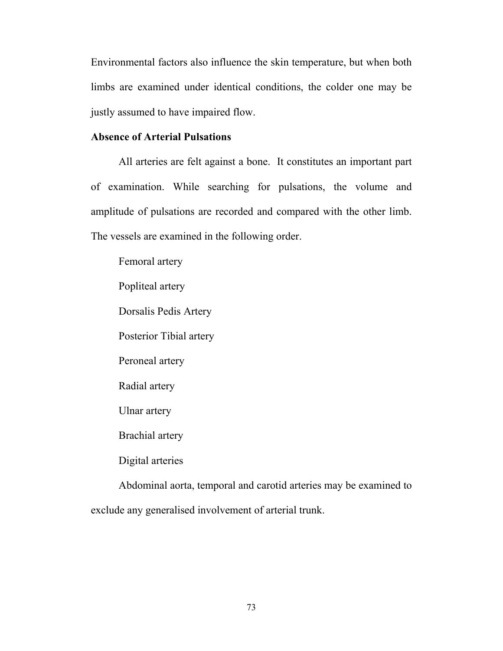Environmental factors also influence the skin temperature, but when both limbs are examined under identical conditions, the colder one may be justly assumed to have impaired flow.

## **Absence of Arterial Pulsations**

All arteries are felt against a bone. It constitutes an important part of examination. While searching for pulsations, the volume and amplitude of pulsations are recorded and compared with the other limb. The vessels are examined in the following order.

Femoral artery Popliteal artery Dorsalis Pedis Artery Posterior Tibial artery Peroneal artery Radial artery Ulnar artery Brachial artery Digital arteries Abdominal aorta, temporal and carotid arteries may be examined to exclude any generalised involvement of arterial trunk.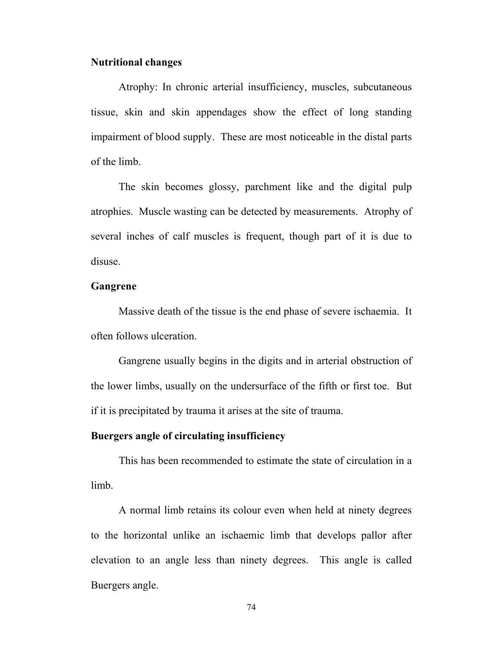#### **Nutritional changes**

Atrophy: In chronic arterial insufficiency, muscles, subcutaneous tissue, skin and skin appendages show the effect of long standing impairment of blood supply. These are most noticeable in the distal parts of the limb.

 The skin becomes glossy, parchment like and the digital pulp atrophies. Muscle wasting can be detected by measurements. Atrophy of several inches of calf muscles is frequent, though part of it is due to disuse.

## **Gangrene**

Massive death of the tissue is the end phase of severe ischaemia. It often follows ulceration.

 Gangrene usually begins in the digits and in arterial obstruction of the lower limbs, usually on the undersurface of the fifth or first toe. But if it is precipitated by trauma it arises at the site of trauma.

#### **Buergers angle of circulating insufficiency**

 This has been recommended to estimate the state of circulation in a limb.

 A normal limb retains its colour even when held at ninety degrees to the horizontal unlike an ischaemic limb that develops pallor after elevation to an angle less than ninety degrees. This angle is called Buergers angle.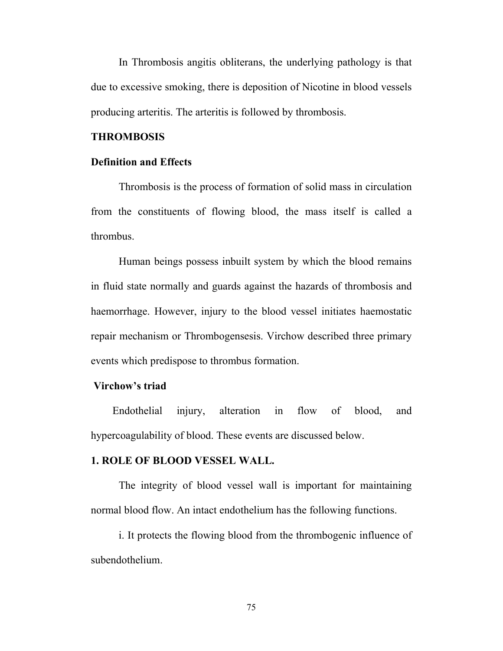In Thrombosis angitis obliterans, the underlying pathology is that due to excessive smoking, there is deposition of Nicotine in blood vessels producing arteritis. The arteritis is followed by thrombosis.

#### **THROMBOSIS**

#### **Definition and Effects**

 Thrombosis is the process of formation of solid mass in circulation from the constituents of flowing blood, the mass itself is called a thrombus.

 Human beings possess inbuilt system by which the blood remains in fluid state normally and guards against the hazards of thrombosis and haemorrhage. However, injury to the blood vessel initiates haemostatic repair mechanism or Thrombogensesis. Virchow described three primary events which predispose to thrombus formation.

## **Virchow's triad**

 Endothelial injury, alteration in flow of blood, and hypercoagulability of blood. These events are discussed below.

#### **1. ROLE OF BLOOD VESSEL WALL.**

The integrity of blood vessel wall is important for maintaining normal blood flow. An intact endothelium has the following functions.

 i. It protects the flowing blood from the thrombogenic influence of subendothelium.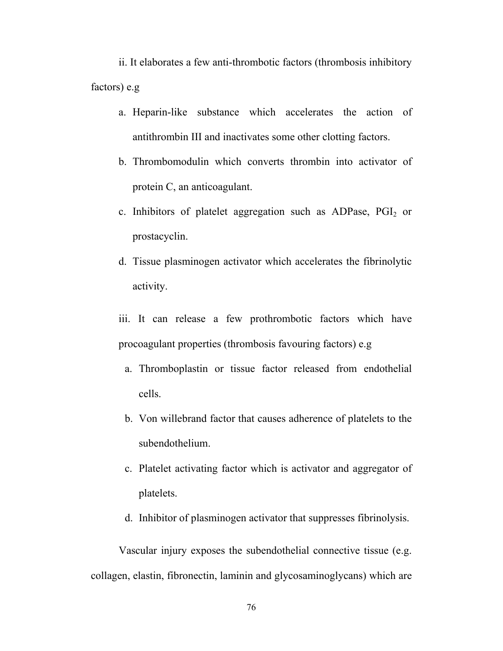ii. It elaborates a few anti-thrombotic factors (thrombosis inhibitory factors) e.g

- a. Heparin-like substance which accelerates the action of antithrombin III and inactivates some other clotting factors.
- b. Thrombomodulin which converts thrombin into activator of protein C, an anticoagulant.
- c. Inhibitors of platelet aggregation such as ADPase,  $PGI<sub>2</sub>$  or prostacyclin.
- d. Tissue plasminogen activator which accelerates the fibrinolytic activity.
- iii. It can release a few prothrombotic factors which have procoagulant properties (thrombosis favouring factors) e.g
	- a. Thromboplastin or tissue factor released from endothelial cells.
	- b. Von willebrand factor that causes adherence of platelets to the subendothelium.
	- c. Platelet activating factor which is activator and aggregator of platelets.
	- d. Inhibitor of plasminogen activator that suppresses fibrinolysis.

Vascular injury exposes the subendothelial connective tissue (e.g. collagen, elastin, fibronectin, laminin and glycosaminoglycans) which are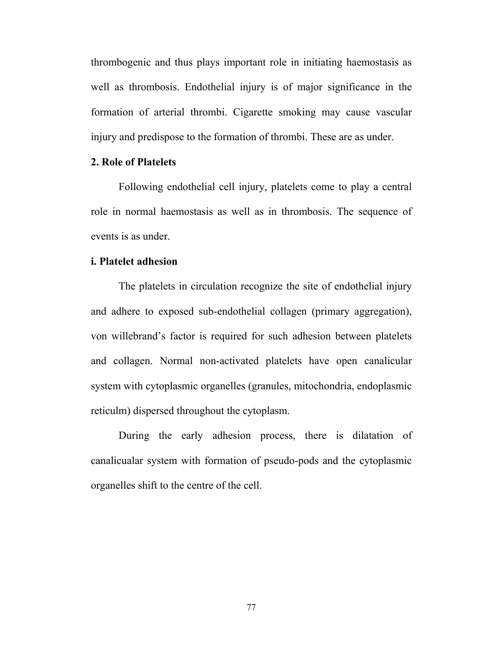thrombogenic and thus plays important role in initiating haemostasis as well as thrombosis. Endothelial injury is of major significance in the formation of arterial thrombi. Cigarette smoking may cause vascular injury and predispose to the formation of thrombi. These are as under.

#### **2. Role of Platelets**

Following endothelial cell injury, platelets come to play a central role in normal haemostasis as well as in thrombosis. The sequence of events is as under.

#### **i. Platelet adhesion**

The platelets in circulation recognize the site of endothelial injury and adhere to exposed sub-endothelial collagen (primary aggregation), von willebrand's factor is required for such adhesion between platelets and collagen. Normal non-activated platelets have open canalicular system with cytoplasmic organelles (granules, mitochondria, endoplasmic reticulm) dispersed throughout the cytoplasm.

During the early adhesion process, there is dilatation of canalicualar system with formation of pseudo-pods and the cytoplasmic organelles shift to the centre of the cell.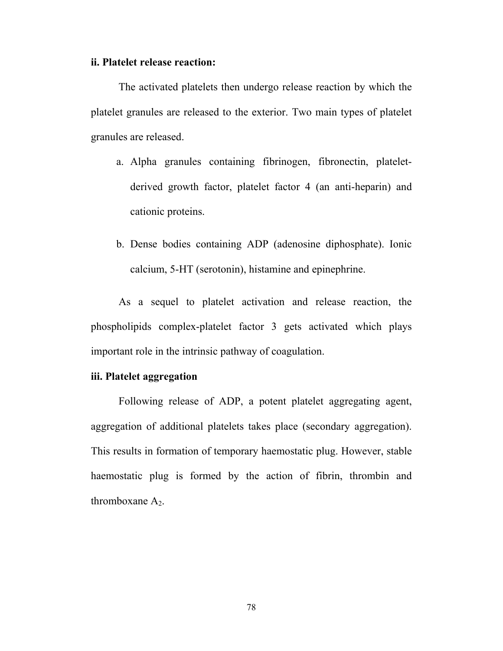#### **ii. Platelet release reaction:**

The activated platelets then undergo release reaction by which the platelet granules are released to the exterior. Two main types of platelet granules are released.

- a. Alpha granules containing fibrinogen, fibronectin, plateletderived growth factor, platelet factor 4 (an anti-heparin) and cationic proteins.
- b. Dense bodies containing ADP (adenosine diphosphate). Ionic calcium, 5-HT (serotonin), histamine and epinephrine.

As a sequel to platelet activation and release reaction, the phospholipids complex-platelet factor 3 gets activated which plays important role in the intrinsic pathway of coagulation.

## **iii. Platelet aggregation**

Following release of ADP, a potent platelet aggregating agent, aggregation of additional platelets takes place (secondary aggregation). This results in formation of temporary haemostatic plug. However, stable haemostatic plug is formed by the action of fibrin, thrombin and thromboxane  $A_2$ .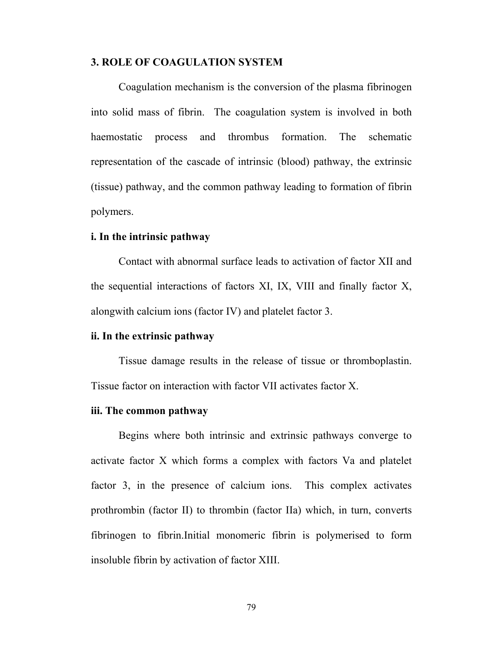#### **3. ROLE OF COAGULATION SYSTEM**

 Coagulation mechanism is the conversion of the plasma fibrinogen into solid mass of fibrin. The coagulation system is involved in both haemostatic process and thrombus formation. The schematic representation of the cascade of intrinsic (blood) pathway, the extrinsic (tissue) pathway, and the common pathway leading to formation of fibrin polymers.

#### **i. In the intrinsic pathway**

Contact with abnormal surface leads to activation of factor XII and the sequential interactions of factors XI, IX, VIII and finally factor X, alongwith calcium ions (factor IV) and platelet factor 3.

#### **ii. In the extrinsic pathway**

Tissue damage results in the release of tissue or thromboplastin. Tissue factor on interaction with factor VII activates factor X.

#### **iii. The common pathway**

Begins where both intrinsic and extrinsic pathways converge to activate factor X which forms a complex with factors Va and platelet factor 3, in the presence of calcium ions. This complex activates prothrombin (factor II) to thrombin (factor IIa) which, in turn, converts fibrinogen to fibrin.Initial monomeric fibrin is polymerised to form insoluble fibrin by activation of factor XIII.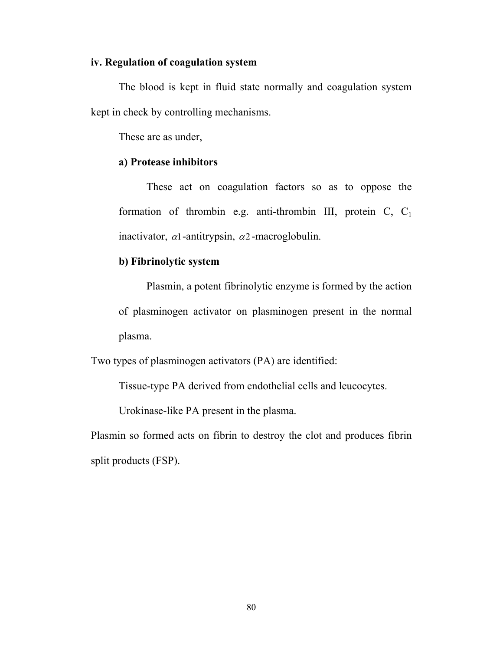#### **iv. Regulation of coagulation system**

The blood is kept in fluid state normally and coagulation system kept in check by controlling mechanisms.

These are as under,

#### **a) Protease inhibitors**

These act on coagulation factors so as to oppose the formation of thrombin e.g. anti-thrombin III, protein C,  $C_1$ inactivator,  $\alpha$ 1-antitrypsin,  $\alpha$ 2-macroglobulin.

### **b) Fibrinolytic system**

Plasmin, a potent fibrinolytic enzyme is formed by the action of plasminogen activator on plasminogen present in the normal plasma.

Two types of plasminogen activators (PA) are identified:

Tissue-type PA derived from endothelial cells and leucocytes.

Urokinase-like PA present in the plasma.

Plasmin so formed acts on fibrin to destroy the clot and produces fibrin split products (FSP).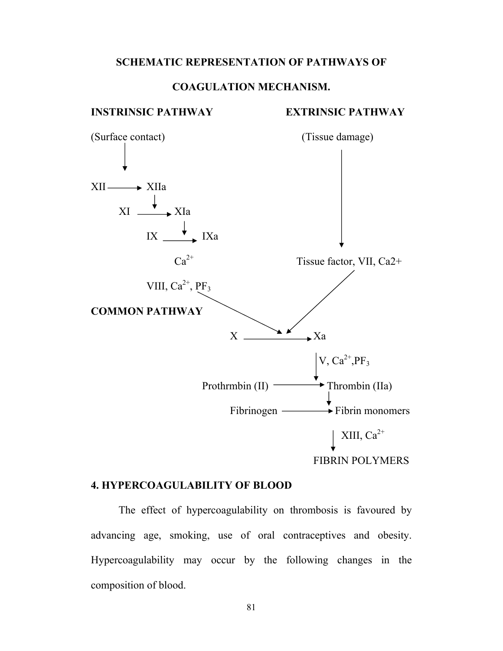#### **SCHEMATIC REPRESENTATION OF PATHWAYS OF**

## **COAGULATION MECHANISM.**

#### **INSTRINSIC PATHWAY EXTRINSIC PATHWAY**



### **4. HYPERCOAGULABILITY OF BLOOD**

 The effect of hypercoagulability on thrombosis is favoured by advancing age, smoking, use of oral contraceptives and obesity. Hypercoagulability may occur by the following changes in the composition of blood.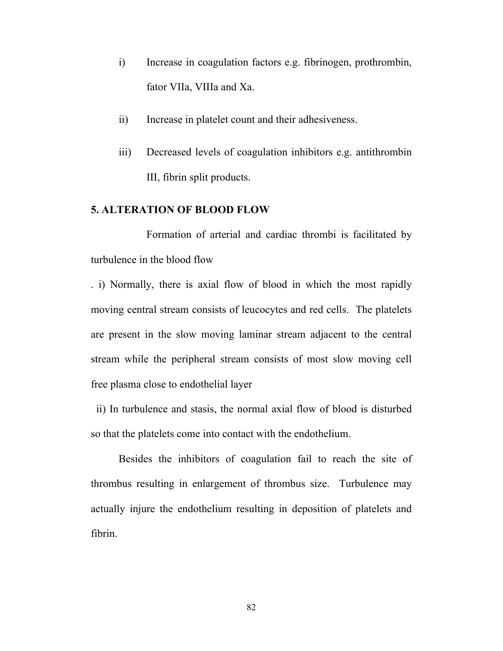- i) Increase in coagulation factors e.g. fibrinogen, prothrombin, fator VIIa, VIIIa and Xa.
- ii) Increase in platelet count and their adhesiveness.
- iii) Decreased levels of coagulation inhibitors e.g. antithrombin III, fibrin split products.

## **5. ALTERATION OF BLOOD FLOW**

 Formation of arterial and cardiac thrombi is facilitated by turbulence in the blood flow

. i) Normally, there is axial flow of blood in which the most rapidly moving central stream consists of leucocytes and red cells. The platelets are present in the slow moving laminar stream adjacent to the central stream while the peripheral stream consists of most slow moving cell free plasma close to endothelial layer

 ii) In turbulence and stasis, the normal axial flow of blood is disturbed so that the platelets come into contact with the endothelium.

Besides the inhibitors of coagulation fail to reach the site of thrombus resulting in enlargement of thrombus size. Turbulence may actually injure the endothelium resulting in deposition of platelets and fibrin.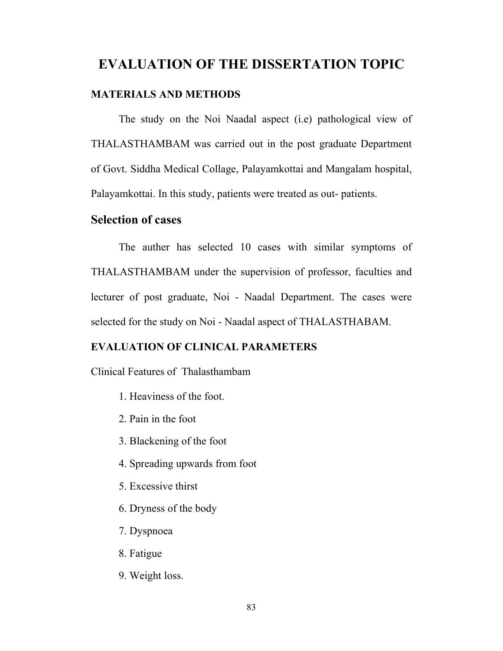# **EVALUATION OF THE DISSERTATION TOPIC**

#### **MATERIALS AND METHODS**

The study on the Noi Naadal aspect (i.e) pathological view of THALASTHAMBAM was carried out in the post graduate Department of Govt. Siddha Medical Collage, Palayamkottai and Mangalam hospital, Palayamkottai. In this study, patients were treated as out- patients.

## **Selection of cases**

 The auther has selected 10 cases with similar symptoms of THALASTHAMBAM under the supervision of professor, faculties and lecturer of post graduate, Noi - Naadal Department. The cases were selected for the study on Noi - Naadal aspect of THALASTHABAM.

#### **EVALUATION OF CLINICAL PARAMETERS**

Clinical Features of Thalasthambam

- 1. Heaviness of the foot.
- 2. Pain in the foot
- 3. Blackening of the foot
- 4. Spreading upwards from foot
- 5. Excessive thirst
- 6. Dryness of the body
- 7. Dyspnoea
- 8. Fatigue
- 9. Weight loss.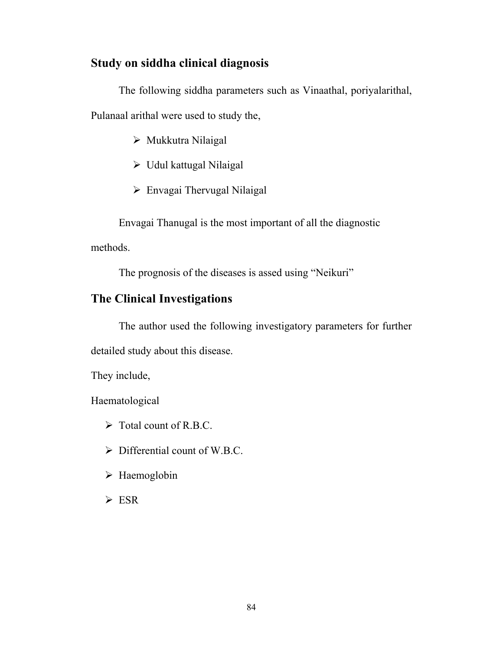## **Study on siddha clinical diagnosis**

The following siddha parameters such as Vinaathal, poriyalarithal, Pulanaal arithal were used to study the,

- $\triangleright$  Mukkutra Nilaigal
- $\triangleright$  Udul kattugal Nilaigal
- $\triangleright$  Envagai Thervugal Nilaigal

Envagai Thanugal is the most important of all the diagnostic

methods.

The prognosis of the diseases is assed using "Neikuri"

## **The Clinical Investigations**

The author used the following investigatory parameters for further

detailed study about this disease.

They include,

Haematological

- $\triangleright$  Total count of R.B.C.
- $\triangleright$  Differential count of W.B.C.
- $\triangleright$  Haemoglobin
- $\triangleright$  ESR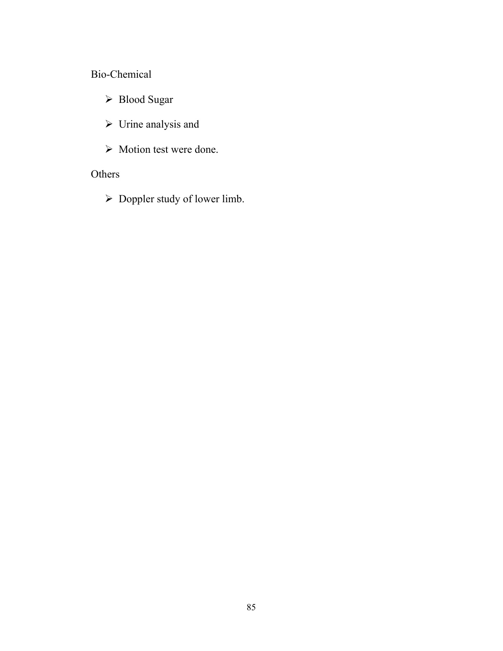## Bio-Chemical

- ¾ Blood Sugar
- $\triangleright$  Urine analysis and
- $\triangleright$  Motion test were done.

## Others

 $\triangleright$  Doppler study of lower limb.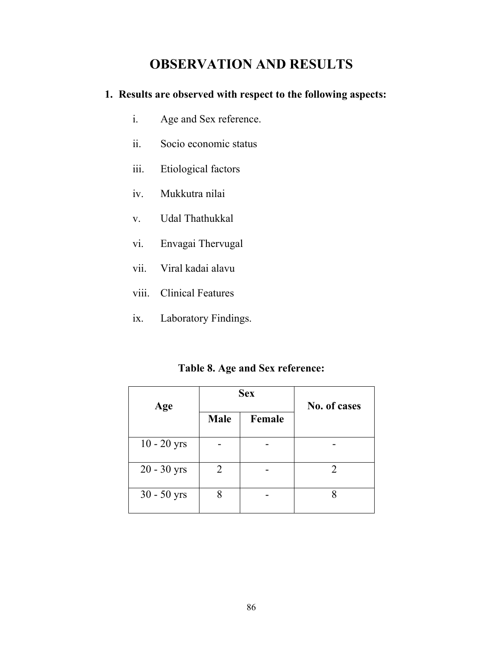# **OBSERVATION AND RESULTS**

## **1. Results are observed with respect to the following aspects:**

- i. Age and Sex reference.
- ii. Socio economic status
- iii. Etiological factors
- iv. Mukkutra nilai
- v. Udal Thathukkal
- vi. Envagai Thervugal
- vii. Viral kadai alavu
- viii. Clinical Features
- ix. Laboratory Findings.

## **Table 8. Age and Sex reference:**

| Age           |             | <b>Sex</b> | No. of cases |  |  |
|---------------|-------------|------------|--------------|--|--|
|               | <b>Male</b> | Female     |              |  |  |
| $10 - 20$ yrs |             |            |              |  |  |
| $20 - 30$ yrs | 2           |            |              |  |  |
| $30 - 50$ yrs | 8           |            |              |  |  |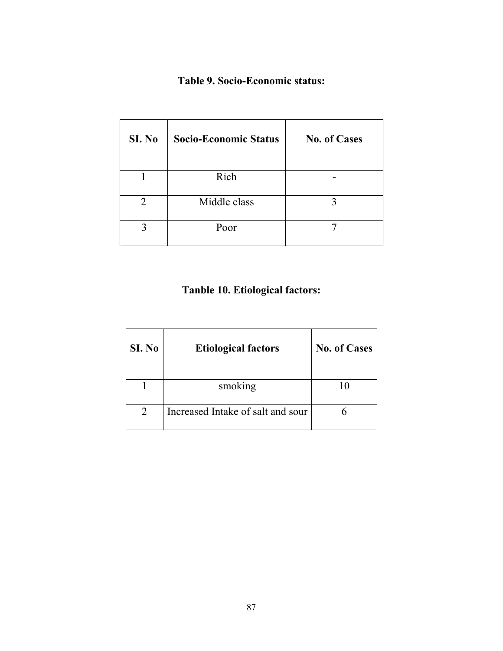## **Table 9. Socio-Economic status:**

| SI. No | <b>Socio-Economic Status</b> | <b>No. of Cases</b> |
|--------|------------------------------|---------------------|
|        | Rich                         |                     |
|        | Middle class                 |                     |
|        | Poor                         |                     |

# **Tanble 10. Etiological factors:**

| SI. No | <b>Etiological factors</b>        | <b>No. of Cases</b> |  |  |  |
|--------|-----------------------------------|---------------------|--|--|--|
|        | smoking                           |                     |  |  |  |
|        | Increased Intake of salt and sour |                     |  |  |  |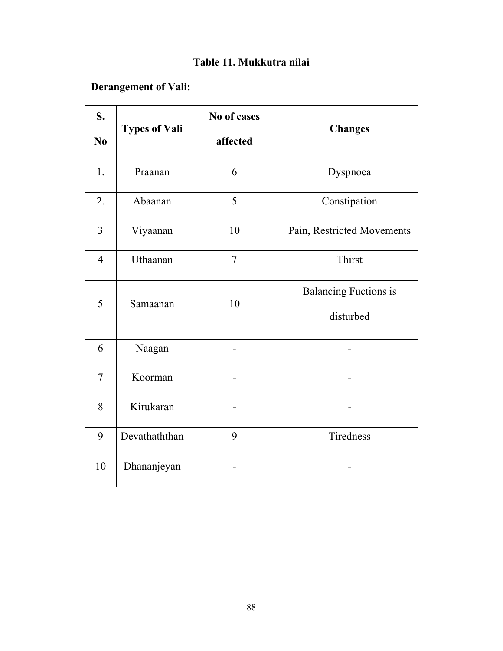# **Table 11. Mukkutra nilai**

# **Derangement of Vali:**

| S.<br>N <sub>0</sub> | <b>Types of Vali</b> | No of cases<br>affected | <b>Changes</b>                            |
|----------------------|----------------------|-------------------------|-------------------------------------------|
| 1.                   | Praanan              | 6                       | Dyspnoea                                  |
| 2.                   | Abaanan              | 5                       | Constipation                              |
| $\overline{3}$       | Viyaanan             | 10                      | Pain, Restricted Movements                |
| $\overline{4}$       | Uthaanan             | $\overline{7}$          | Thirst                                    |
| 5                    | Samaanan             | 10                      | <b>Balancing Fuctions is</b><br>disturbed |
| 6                    | Naagan               |                         |                                           |
| $\overline{7}$       | Koorman              |                         |                                           |
| 8                    | Kirukaran            |                         |                                           |
| 9                    | Devathaththan        | 9                       | Tiredness                                 |
| 10                   | Dhananjeyan          |                         |                                           |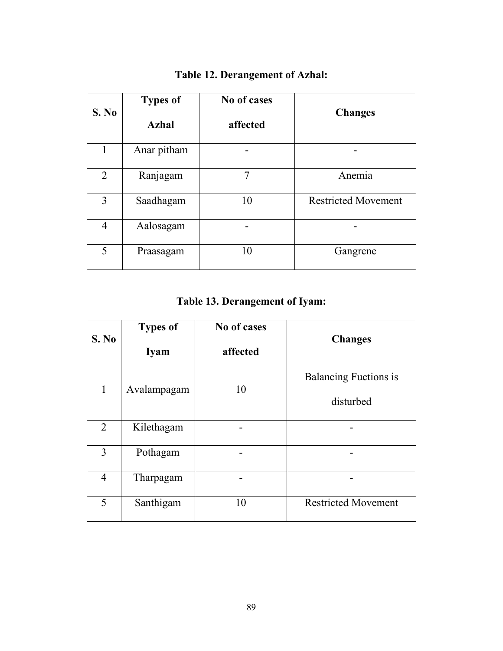| S. No          | <b>Types of</b><br><b>Azhal</b> | No of cases<br>affected | <b>Changes</b>             |
|----------------|---------------------------------|-------------------------|----------------------------|
| 1              | Anar pitham                     |                         |                            |
| $\overline{2}$ | Ranjagam                        | 7                       | Anemia                     |
| 3              | Saadhagam                       | 10                      | <b>Restricted Movement</b> |
| $\overline{4}$ | Aalosagam                       |                         |                            |
| 5              | Praasagam                       | 10                      | Gangrene                   |

# **Table 12. Derangement of Azhal:**

**Table 13. Derangement of Iyam:** 

| S. No          | <b>Types of</b><br><b>Iyam</b> | No of cases<br>affected | <b>Changes</b>                            |
|----------------|--------------------------------|-------------------------|-------------------------------------------|
| 1              | Avalampagam                    | 10                      | <b>Balancing Fuctions is</b><br>disturbed |
| $\overline{2}$ | Kilethagam                     |                         |                                           |
| 3              | Pothagam                       |                         |                                           |
| $\overline{4}$ | Tharpagam                      |                         |                                           |
| 5              | Santhigam                      | 10                      | <b>Restricted Movement</b>                |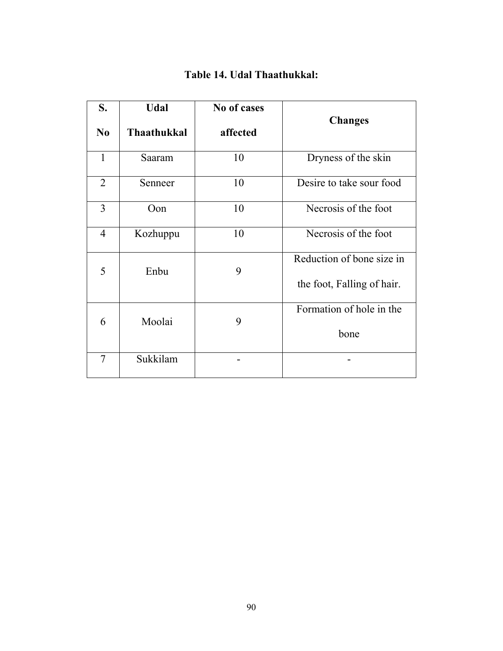| S.<br>N <sub>0</sub> | <b>Udal</b><br><b>Thaathukkal</b> | No of cases<br>affected | <b>Changes</b>             |
|----------------------|-----------------------------------|-------------------------|----------------------------|
|                      |                                   |                         |                            |
| $\mathbf{1}$         | Saaram                            | 10                      | Dryness of the skin        |
| $\overline{2}$       | Senneer                           | 10                      | Desire to take sour food   |
| 3                    | Oon                               | 10                      | Necrosis of the foot       |
| $\overline{4}$       | Kozhuppu                          | 10                      | Necrosis of the foot       |
| 5                    | Enbu                              | 9                       | Reduction of bone size in  |
|                      |                                   |                         | the foot, Falling of hair. |
| 6                    | Moolai                            | 9                       | Formation of hole in the   |
|                      |                                   |                         | bone                       |
| 7                    | Sukkilam                          |                         |                            |

## **Table 14. Udal Thaathukkal:**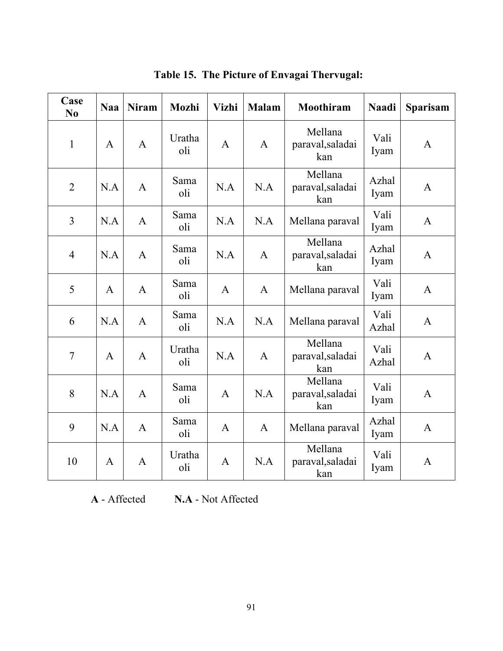| Case<br>N <sub>0</sub> | <b>Naa</b>     | <b>Niram</b> | <b>Mozhi</b>  | <b>Vizhi</b><br><b>Malam</b>                                       |                                                    | Moothiram                          | <b>Naadi</b>  | <b>Sparisam</b> |
|------------------------|----------------|--------------|---------------|--------------------------------------------------------------------|----------------------------------------------------|------------------------------------|---------------|-----------------|
| $\mathbf{1}$           | $\mathbf{A}$   | $\mathbf{A}$ | Uratha<br>oli | Mellana<br>$\mathbf{A}$<br>paraval, saladai<br>$\mathbf{A}$<br>kan |                                                    | Vali<br>Iyam                       | $\mathbf{A}$  |                 |
| $\overline{2}$         | N.A            | A            | Sama<br>oli   | N.A                                                                | N.A                                                | Mellana<br>paraval, saladai<br>kan | Azhal<br>Iyam | $\mathbf{A}$    |
| $\overline{3}$         | N.A            | $\mathbf{A}$ | Sama<br>oli   | N.A                                                                | N.A                                                | Mellana paraval                    | Vali<br>Iyam  | $\mathbf{A}$    |
| $\overline{4}$         | N.A            | $\mathbf{A}$ | Sama<br>oli   | Mellana<br>N.A<br>$\mathbf{A}$<br>paraval, saladai<br>kan          |                                                    | Azhal<br>Iyam                      | $\mathbf{A}$  |                 |
| 5                      | $\mathbf{A}$   | $\mathbf{A}$ | Sama<br>oli   | $\mathbf{A}$<br>Mellana paraval<br>$\mathbf{A}$                    |                                                    | Vali<br>Iyam                       | $\mathbf{A}$  |                 |
| 6                      | N.A            | $\mathbf{A}$ | Sama<br>oli   | N.A                                                                | N.A<br>Mellana paraval                             |                                    | Vali<br>Azhal | A               |
| $\overline{7}$         | $\overline{A}$ | $\mathbf{A}$ | Uratha<br>oli | N.A                                                                | Mellana<br>$\mathbf{A}$<br>paraval, saladai<br>kan |                                    | Vali<br>Azhal | $\mathbf{A}$    |
| 8                      | N.A            | $\mathbf{A}$ | Sama<br>oli   | A                                                                  | Mellana<br>N.A<br>paraval, saladai<br>kan          |                                    | Vali<br>Iyam  | A               |
| 9                      | N.A            | $\mathbf{A}$ | Sama<br>oli   | $\mathbf{A}$                                                       | $\mathbf{A}$<br>Mellana paraval                    |                                    | Azhal<br>Iyam | $\mathbf{A}$    |
| 10                     | $\mathbf{A}$   | $\mathbf{A}$ | Uratha<br>oli | $\overline{A}$                                                     | N.A                                                | Mellana<br>paraval, saladai<br>kan | Vali<br>Iyam  | $\mathbf{A}$    |

**Table 15. The Picture of Envagai Thervugal:** 

**A** - Affected **N.A** - Not Affected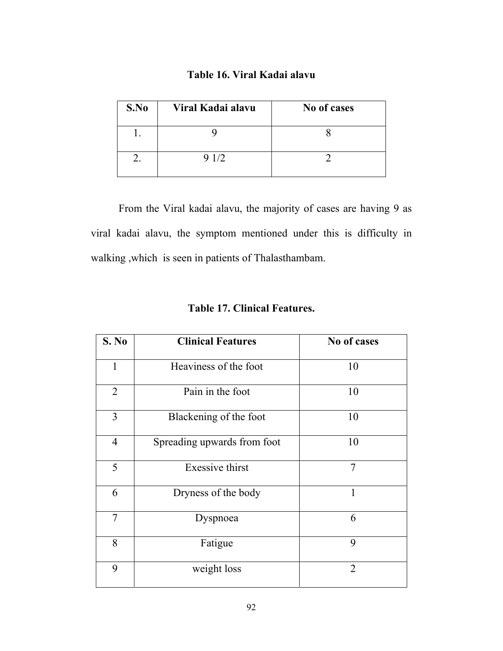## **Table 16. Viral Kadai alavu**

| S.No | Viral Kadai alavu | No of cases |
|------|-------------------|-------------|
|      |                   |             |
|      | 9 1/2             |             |

 From the Viral kadai alavu, the majority of cases are having 9 as viral kadai alavu, the symptom mentioned under this is difficulty in walking ,which is seen in patients of Thalasthambam.

| S. No          | <b>Clinical Features</b>    | No of cases    |
|----------------|-----------------------------|----------------|
| $\mathbf{1}$   | Heaviness of the foot       | 10             |
| $\overline{2}$ | Pain in the foot            | 10             |
| 3              | Blackening of the foot      | 10             |
| $\overline{4}$ | Spreading upwards from foot | 10             |
| 5              | <b>Exessive thirst</b>      | $\overline{7}$ |
| 6              | Dryness of the body         | 1              |
| $\overline{7}$ | Dyspnoea                    | 6              |
| 8              | Fatigue                     | 9              |
| 9              | weight loss                 | $\overline{2}$ |

## **Table 17. Clinical Features.**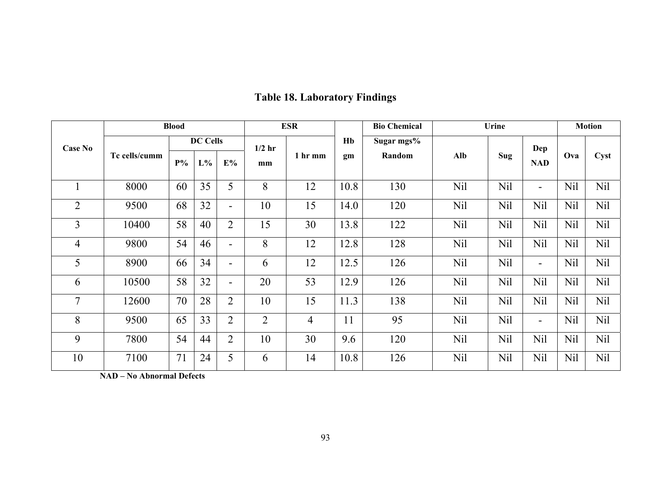|                |               | <b>Blood</b> |                 |                          | <b>ESR</b>     |                | Urine<br><b>Bio Chemical</b> |     |            |            | <b>Motion</b>            |      |            |     |  |  |
|----------------|---------------|--------------|-----------------|--------------------------|----------------|----------------|------------------------------|-----|------------|------------|--------------------------|------|------------|-----|--|--|
| <b>Case No</b> |               |              | <b>DC Cells</b> |                          |                | $1/2$ hr       |                              |     |            | Hb         | Sugar mgs%               |      |            | Dep |  |  |
|                | Tc cells/cumm | $P\%$        | $L\%$           | $E\%$                    | mm             | 1 hr mm<br>gm  | Random                       | Alb | <b>Sug</b> | <b>NAD</b> | Ova                      | Cyst |            |     |  |  |
|                | 8000          | 60           | 35              | 5                        | 8              | 12             | 10.8                         | 130 | Nil        | Nil        | $\overline{\phantom{a}}$ | Nil  | <b>Nil</b> |     |  |  |
| $\overline{2}$ | 9500          | 68           | 32              | $\overline{\phantom{0}}$ | 10             | 15             | 14.0                         | 120 | Nil        | Nil        | Nil                      | Nil  | Nil        |     |  |  |
| 3              | 10400         | 58           | 40              | $\overline{2}$           | 15             | 30             | 13.8                         | 122 | Nil        | Nil        | Nil                      | Nil  | Nil        |     |  |  |
| $\overline{4}$ | 9800          | 54           | 46              | $\overline{\phantom{0}}$ | 8              | 12             | 12.8                         | 128 | Nil        | Nil        | Nil                      | Nil  | <b>Nil</b> |     |  |  |
| 5              | 8900          | 66           | 34              | $\overline{\phantom{0}}$ | 6              | 12             | 12.5                         | 126 | Nil        | Nil        | $\overline{\phantom{a}}$ | Nil  | Nil        |     |  |  |
| 6              | 10500         | 58           | 32              | $\overline{\phantom{0}}$ | 20             | 53             | 12.9                         | 126 | Nil        | Nil        | Nil                      | Nil  | Nil        |     |  |  |
| $\tau$         | 12600         | 70           | 28              | $\overline{2}$           | 10             | 15             | 11.3                         | 138 | Nil        | Nil        | Nil                      | Nil  | Nil        |     |  |  |
| 8              | 9500          | 65           | 33              | $\overline{2}$           | $\overline{2}$ | $\overline{4}$ | 11                           | 95  | Nil        | <b>Nil</b> | $\overline{\phantom{a}}$ | Nil  | <b>Nil</b> |     |  |  |
| 9              | 7800          | 54           | 44              | $\overline{2}$           | 10             | 30             | 9.6                          | 120 | Nil        | Nil        | Nil                      | Nil  | Nil        |     |  |  |
| 10             | 7100          | 71           | 24              | 5                        | 6              | 14             | 10.8                         | 126 | Nil        | Nil        | Nil                      | Nil  | Nil        |     |  |  |

# **Table 18. Laboratory Findings**

**NAD – No Abnormal Defects**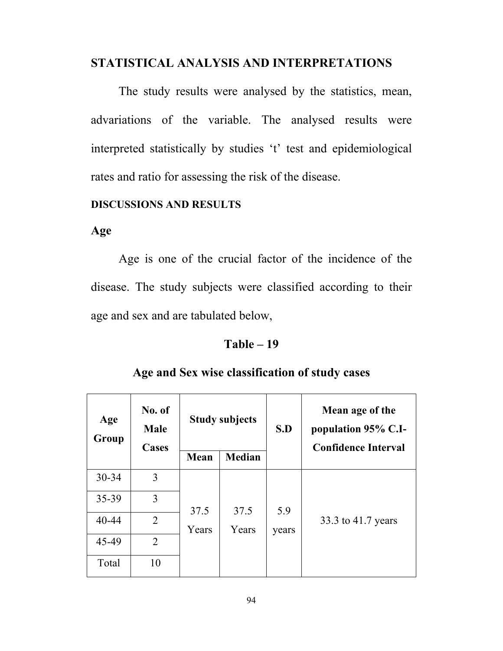## **STATISTICAL ANALYSIS AND INTERPRETATIONS**

 The study results were analysed by the statistics, mean, advariations of the variable. The analysed results were interpreted statistically by studies 't' test and epidemiological rates and ratio for assessing the risk of the disease.

## **DISCUSSIONS AND RESULTS**

## **Age**

 Age is one of the crucial factor of the incidence of the disease. The study subjects were classified according to their age and sex and are tabulated below,

## **Table – 19**

| Age<br>Group | No. of<br><b>Male</b><br>Cases |       |               |       | <b>Study subjects</b><br>S.D |  | Mean age of the<br>population 95% C.I-<br><b>Confidence Interval</b> |
|--------------|--------------------------------|-------|---------------|-------|------------------------------|--|----------------------------------------------------------------------|
|              |                                | Mean  | <b>Median</b> |       |                              |  |                                                                      |
| $30 - 34$    | 3                              |       |               |       |                              |  |                                                                      |
| 35-39        | 3                              | 37.5  | 37.5          | 5.9   |                              |  |                                                                      |
| 40-44        | $\overline{2}$                 | Years | Years         | years | 33.3 to 41.7 years           |  |                                                                      |
| 45-49        | $\overline{2}$                 |       |               |       |                              |  |                                                                      |
| Total        | 10                             |       |               |       |                              |  |                                                                      |

## **Age and Sex wise classification of study cases**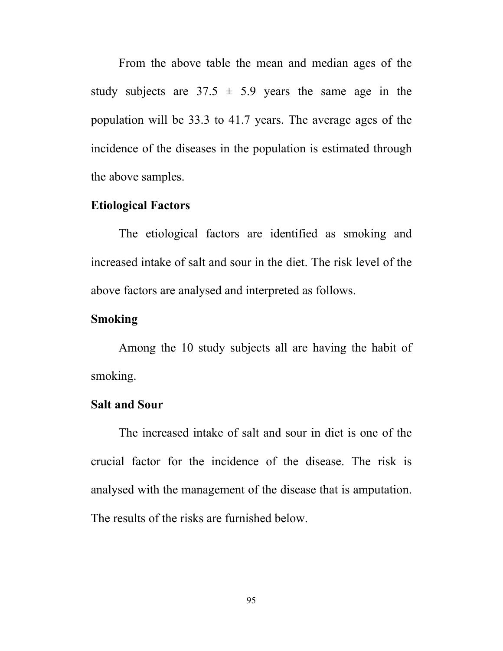From the above table the mean and median ages of the study subjects are  $37.5 \pm 5.9$  years the same age in the population will be 33.3 to 41.7 years. The average ages of the incidence of the diseases in the population is estimated through the above samples.

## **Etiological Factors**

 The etiological factors are identified as smoking and increased intake of salt and sour in the diet. The risk level of the above factors are analysed and interpreted as follows.

## **Smoking**

 Among the 10 study subjects all are having the habit of smoking.

## **Salt and Sour**

 The increased intake of salt and sour in diet is one of the crucial factor for the incidence of the disease. The risk is analysed with the management of the disease that is amputation. The results of the risks are furnished below.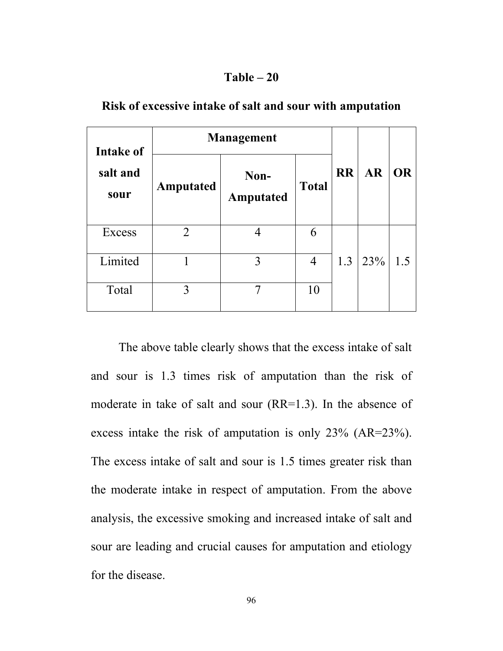## **Table – 20**

| Intake of                     | <b>Management</b> |                   | <b>AR</b> | <b>OR</b> |                           |     |
|-------------------------------|-------------------|-------------------|-----------|-----------|---------------------------|-----|
| salt and<br>Amputated<br>sour |                   | Non-<br>Amputated |           |           | <b>RR</b><br><b>Total</b> |     |
| Excess                        | $\overline{2}$    |                   | 6         |           |                           |     |
| Limited                       |                   | 3                 | 4         | 1.3       | 23%                       | 1.5 |
| Total                         | 3                 |                   | 10        |           |                           |     |

**Risk of excessive intake of salt and sour with amputation** 

 The above table clearly shows that the excess intake of salt and sour is 1.3 times risk of amputation than the risk of moderate in take of salt and sour (RR=1.3). In the absence of excess intake the risk of amputation is only 23% (AR=23%). The excess intake of salt and sour is 1.5 times greater risk than the moderate intake in respect of amputation. From the above analysis, the excessive smoking and increased intake of salt and sour are leading and crucial causes for amputation and etiology for the disease.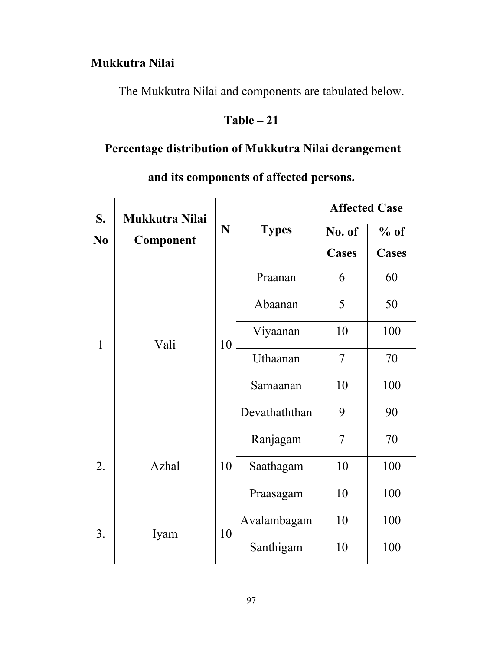# **Mukkutra Nilai**

The Mukkutra Nilai and components are tabulated below.

# **Table – 21**

# **Percentage distribution of Mukkutra Nilai derangement**

|                | S.<br>Mukkutra Nilai |    |               | <b>Affected Case</b>   |                 |  |
|----------------|----------------------|----|---------------|------------------------|-----------------|--|
| N <sub>0</sub> | Component            | N  | <b>Types</b>  | No. of<br><b>Cases</b> | $%$ of<br>Cases |  |
|                |                      |    | Praanan       | 6                      | 60              |  |
|                |                      |    | Abaanan       | 5                      | 50              |  |
| $\mathbf{1}$   | Vali                 | 10 | Viyaanan      | 10                     | 100             |  |
|                |                      |    | Uthaanan      | 7                      | 70              |  |
|                |                      |    | Samaanan      | 10                     | 100             |  |
|                |                      |    | Devathaththan | 9                      | 90              |  |
|                |                      |    | Ranjagam      | 7                      | 70              |  |
| 2.             | Azhal                | 10 | Saathagam     | 10                     | 100             |  |
|                |                      |    | Praasagam     | 10                     | 100             |  |
| 3.             | Iyam                 | 10 | Avalambagam   | 10                     | 100             |  |
|                |                      |    | Santhigam     | 10                     | 100             |  |

# **and its components of affected persons.**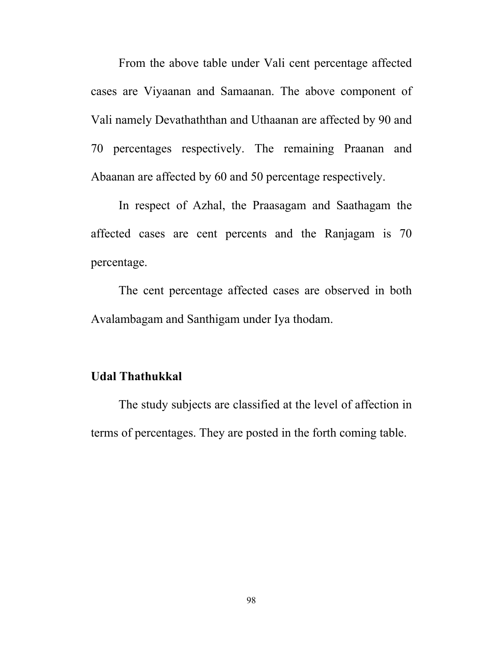From the above table under Vali cent percentage affected cases are Viyaanan and Samaanan. The above component of Vali namely Devathaththan and Uthaanan are affected by 90 and 70 percentages respectively. The remaining Praanan and Abaanan are affected by 60 and 50 percentage respectively.

 In respect of Azhal, the Praasagam and Saathagam the affected cases are cent percents and the Ranjagam is 70 percentage.

 The cent percentage affected cases are observed in both Avalambagam and Santhigam under Iya thodam.

## **Udal Thathukkal**

The study subjects are classified at the level of affection in terms of percentages. They are posted in the forth coming table.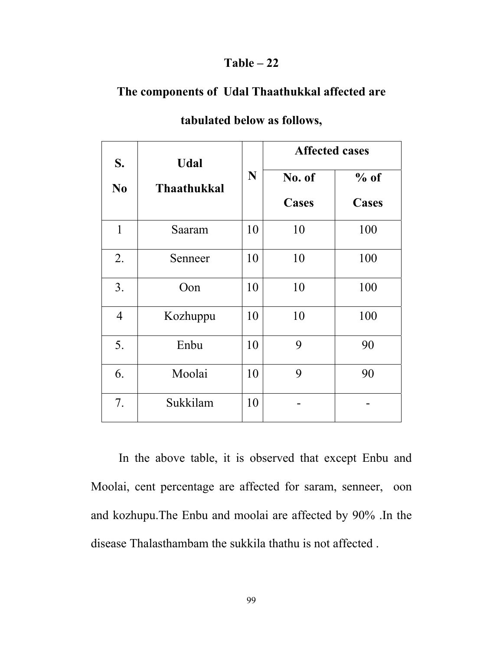## **Table – 22**

## **The components of Udal Thaathukkal affected are**

| S.             | <b>Udal</b>        |    | <b>Affected cases</b>  |                 |
|----------------|--------------------|----|------------------------|-----------------|
| N <sub>0</sub> | <b>Thaathukkal</b> | N  | No. of<br><b>Cases</b> | $%$ of<br>Cases |
| $\mathbf{1}$   | Saaram             | 10 | 10                     | 100             |
| 2.             | Senneer            | 10 | 10                     | 100             |
| 3.             | Oon                | 10 | 10                     | 100             |
| $\overline{4}$ | Kozhuppu           | 10 | 10                     | 100             |
| 5.             | Enbu               | 10 | 9                      | 90              |
| 6.             | Moolai             | 10 | 9                      | 90              |
| 7.             | Sukkilam           | 10 |                        |                 |

## **tabulated below as follows,**

In the above table, it is observed that except Enbu and Moolai, cent percentage are affected for saram, senneer, oon and kozhupu.The Enbu and moolai are affected by 90% .In the disease Thalasthambam the sukkila thathu is not affected .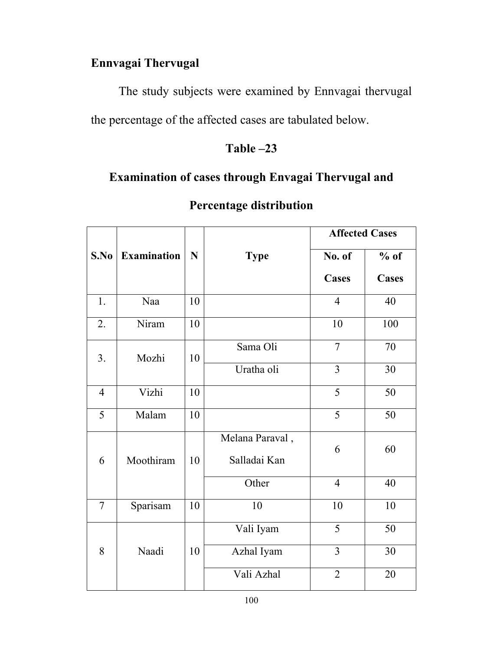# **Ennvagai Thervugal**

The study subjects were examined by Ennvagai thervugal the percentage of the affected cases are tabulated below.

# **Table –23**

# **Examination of cases through Envagai Thervugal and**

|                |                    |    |                            | <b>Affected Cases</b> |              |
|----------------|--------------------|----|----------------------------|-----------------------|--------------|
| S.No           | <b>Examination</b> |    | $\mathbf N$<br><b>Type</b> |                       | $%$ of       |
|                |                    |    |                            | Cases                 | <b>Cases</b> |
| 1.             | Naa                | 10 |                            | $\overline{4}$        | 40           |
| 2.             | Niram              | 10 |                            | 10                    | 100          |
| 3.             | Mozhi              | 10 | Sama Oli                   | $\overline{7}$        | 70           |
|                |                    |    | Uratha oli                 | $\overline{3}$        | 30           |
| $\overline{4}$ | Vizhi              | 10 |                            | $\overline{5}$        | 50           |
| 5              | Malam              | 10 |                            | 5                     | 50           |
|                |                    |    | Melana Paraval,            | 6                     | 60           |
| 6              | Moothiram          | 10 | Salladai Kan               |                       |              |
|                |                    |    | Other                      | $\overline{4}$        | 40           |
| $\overline{7}$ | Sparisam           | 10 | 10                         | 10                    | 10           |
|                |                    |    | Vali Iyam                  | 5                     | 50           |
| 8              | Naadi              | 10 | Azhal Iyam                 | 3                     | 30           |
|                |                    |    | Vali Azhal                 | $\overline{2}$        | $20\,$       |

# **Percentage distribution**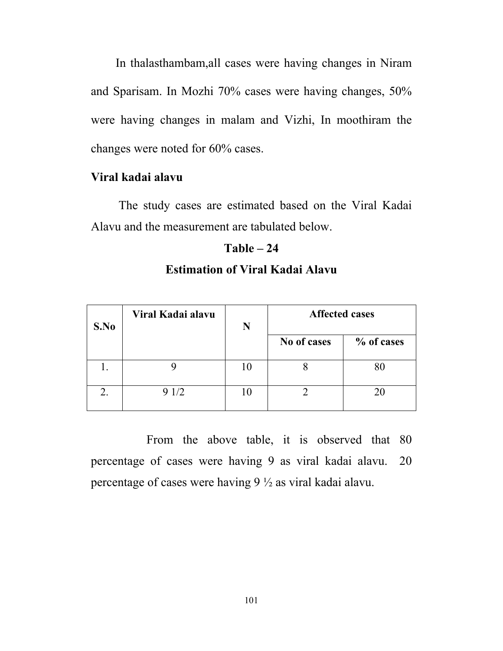In thalasthambam,all cases were having changes in Niram and Sparisam. In Mozhi 70% cases were having changes, 50% were having changes in malam and Vizhi, In moothiram the changes were noted for 60% cases.

## **Viral kadai alavu**

The study cases are estimated based on the Viral Kadai Alavu and the measurement are tabulated below.

## **Table – 24**

| S.No | Viral Kadai alavu | N  | <b>Affected cases</b> |            |
|------|-------------------|----|-----------------------|------------|
|      |                   |    | No of cases           | % of cases |
|      |                   | 10 |                       |            |
|      | 9 1/2             |    |                       | 20         |

# **Estimation of Viral Kadai Alavu**

 From the above table, it is observed that 80 percentage of cases were having 9 as viral kadai alavu. 20 percentage of cases were having 9 ½ as viral kadai alavu.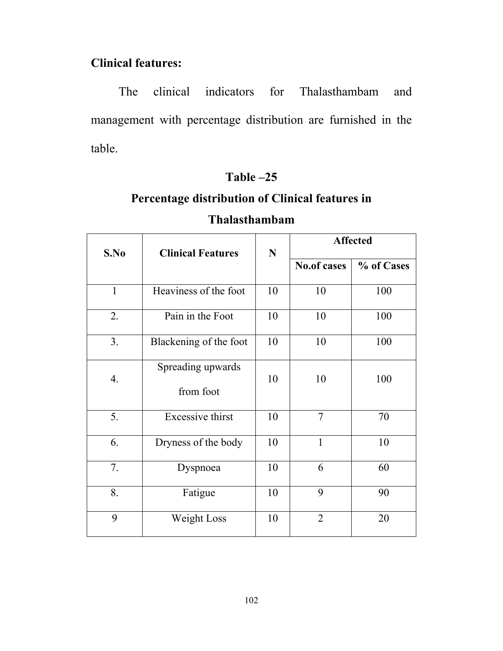# **Clinical features:**

The clinical indicators for Thalasthambam and management with percentage distribution are furnished in the table.

# **Table –25**

# **Percentage distribution of Clinical features in**

| S.No           | <b>Clinical Features</b>       | ${\bf N}$ | <b>Affected</b>    |            |  |
|----------------|--------------------------------|-----------|--------------------|------------|--|
|                |                                |           | <b>No.of cases</b> | % of Cases |  |
| $\mathbf{1}$   | Heaviness of the foot          | 10        | 10                 | 100        |  |
| 2.             | Pain in the Foot               | 10        | 10                 | 100        |  |
| 3 <sub>1</sub> | Blackening of the foot         | 10        | 10                 | 100        |  |
| 4.             | Spreading upwards<br>from foot |           | 10                 | 100        |  |
| 5.             | <b>Excessive thirst</b>        | 10        | 7                  | 70         |  |
| 6.             | Dryness of the body            | 10        | 1                  | 10         |  |
| 7.             | Dyspnoea                       | 10        | 6                  | 60         |  |
| 8.             | Fatigue                        | 10        | 9                  | 90         |  |
| 9              | Weight Loss                    | 10        | $\overline{2}$     | 20         |  |

# **Thalasthambam**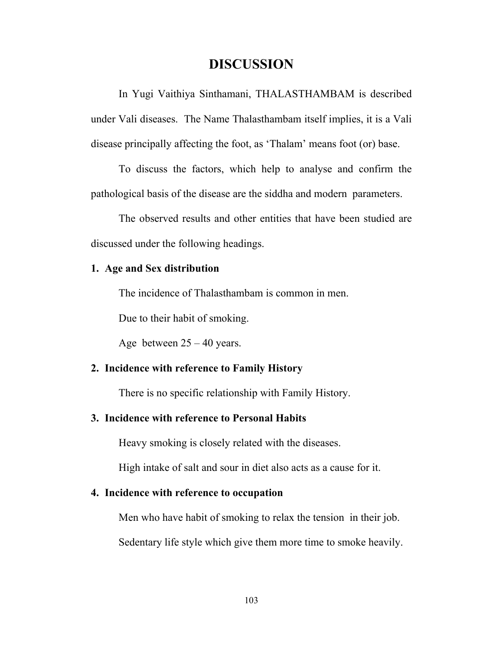## **DISCUSSION**

 In Yugi Vaithiya Sinthamani, THALASTHAMBAM is described under Vali diseases. The Name Thalasthambam itself implies, it is a Vali disease principally affecting the foot, as 'Thalam' means foot (or) base.

 To discuss the factors, which help to analyse and confirm the pathological basis of the disease are the siddha and modern parameters.

 The observed results and other entities that have been studied are discussed under the following headings.

#### **1. Age and Sex distribution**

The incidence of Thalasthambam is common in men.

Due to their habit of smoking.

Age between  $25 - 40$  years.

## **2. Incidence with reference to Family History**

There is no specific relationship with Family History.

## **3. Incidence with reference to Personal Habits**

Heavy smoking is closely related with the diseases.

High intake of salt and sour in diet also acts as a cause for it.

## **4. Incidence with reference to occupation**

Men who have habit of smoking to relax the tension in their job.

Sedentary life style which give them more time to smoke heavily.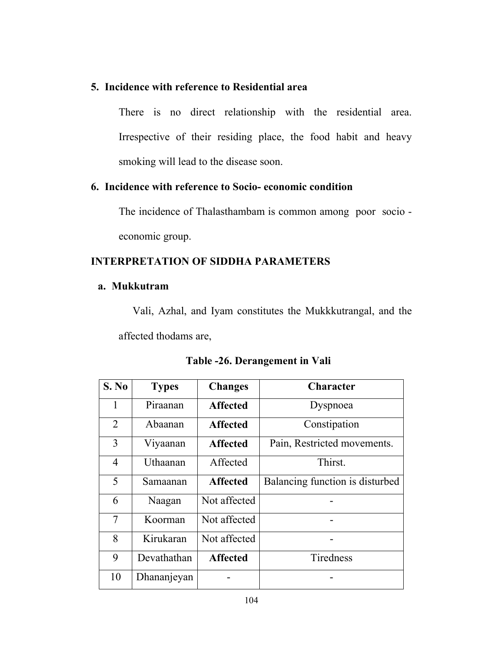## **5. Incidence with reference to Residential area**

There is no direct relationship with the residential area. Irrespective of their residing place, the food habit and heavy smoking will lead to the disease soon.

## **6. Incidence with reference to Socio- economic condition**

The incidence of Thalasthambam is common among poor socio economic group.

## **INTERPRETATION OF SIDDHA PARAMETERS**

## **a. Mukkutram**

Vali, Azhal, and Iyam constitutes the Mukkkutrangal, and the affected thodams are,

| S. No          | <b>Types</b> | <b>Changes</b>  | <b>Character</b>                |
|----------------|--------------|-----------------|---------------------------------|
| 1              | Piraanan     | <b>Affected</b> | Dyspnoea                        |
| 2              | Abaanan      | <b>Affected</b> | Constipation                    |
| 3              | Viyaanan     | <b>Affected</b> | Pain, Restricted movements.     |
| $\overline{4}$ | Uthaanan     | Affected        | Thirst.                         |
| 5              | Samaanan     | <b>Affected</b> | Balancing function is disturbed |
| 6              | Naagan       | Not affected    |                                 |
| 7              | Koorman      | Not affected    |                                 |
| 8              | Kirukaran    | Not affected    |                                 |
| 9              | Devathathan  | <b>Affected</b> | Tiredness                       |
| 10             | Dhananjeyan  |                 |                                 |

**Table -26. Derangement in Vali**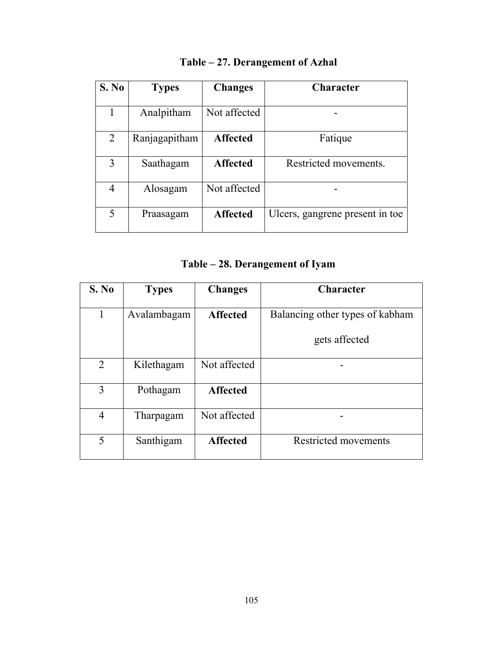| S. No          | <b>Types</b>  | <b>Changes</b>  | <b>Character</b>                |
|----------------|---------------|-----------------|---------------------------------|
| 1              | Analpitham    | Not affected    |                                 |
| $\overline{2}$ | Ranjagapitham | <b>Affected</b> | Fatique                         |
| 3              | Saathagam     | <b>Affected</b> | Restricted movements.           |
| 4              | Alosagam      | Not affected    |                                 |
| 5              | Praasagam     | <b>Affected</b> | Ulcers, gangrene present in toe |

# **Table – 27. Derangement of Azhal**

# **Table – 28. Derangement of Iyam**

| S. No          | <b>Types</b> | <b>Changes</b>  | <b>Character</b>                |
|----------------|--------------|-----------------|---------------------------------|
| 1              | Avalambagam  | <b>Affected</b> | Balancing other types of kabham |
|                |              |                 | gets affected                   |
| 2              | Kilethagam   | Not affected    |                                 |
| 3              | Pothagam     | <b>Affected</b> |                                 |
| $\overline{4}$ | Tharpagam    | Not affected    |                                 |
| 5              | Santhigam    | <b>Affected</b> | <b>Restricted movements</b>     |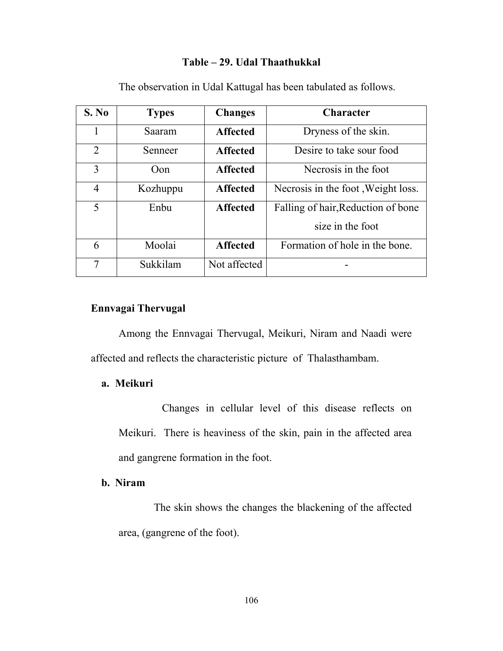#### **Table – 29. Udal Thaathukkal**

| S. No          | <b>Types</b> | <b>Changes</b>  | <b>Character</b>                   |
|----------------|--------------|-----------------|------------------------------------|
| 1              | Saaram       | <b>Affected</b> | Dryness of the skin.               |
| $\overline{2}$ | Senneer      | <b>Affected</b> | Desire to take sour food           |
| 3              | Oon          | <b>Affected</b> | Necrosis in the foot               |
| $\overline{4}$ | Kozhuppu     | <b>Affected</b> | Necrosis in the foot, Weight loss. |
| 5              | Enbu         | <b>Affected</b> | Falling of hair, Reduction of bone |
|                |              |                 | size in the foot                   |
| 6              | Moolai       | <b>Affected</b> | Formation of hole in the bone.     |
| 7              | Sukkilam     | Not affected    |                                    |

The observation in Udal Kattugal has been tabulated as follows.

# **Ennvagai Thervugal**

 Among the Ennvagai Thervugal, Meikuri, Niram and Naadi were affected and reflects the characteristic picture of Thalasthambam.

#### **a. Meikuri**

 Changes in cellular level of this disease reflects on Meikuri. There is heaviness of the skin, pain in the affected area and gangrene formation in the foot.

### **b. Niram**

 The skin shows the changes the blackening of the affected area, (gangrene of the foot).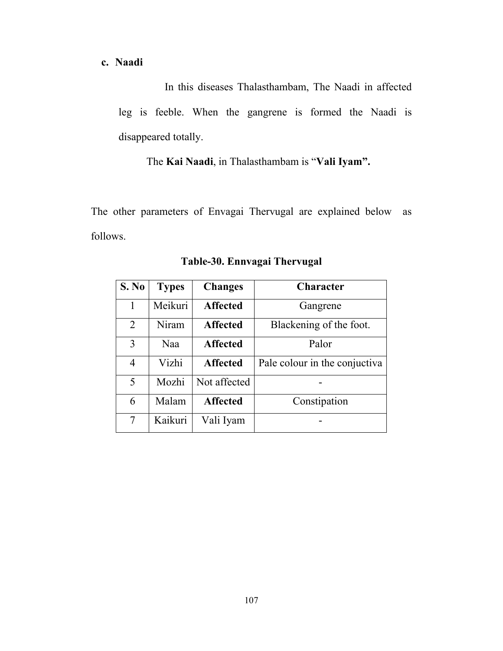**c. Naadi** 

 In this diseases Thalasthambam, The Naadi in affected leg is feeble. When the gangrene is formed the Naadi is disappeared totally.

The **Kai Naadi**, in Thalasthambam is "**Vali Iyam".** 

The other parameters of Envagai Thervugal are explained below as follows.

| S. No          | <b>Types</b> | <b>Changes</b>  | <b>Character</b>              |
|----------------|--------------|-----------------|-------------------------------|
| $\mathbf{1}$   | Meikuri      | <b>Affected</b> | Gangrene                      |
| $\overline{2}$ | Niram        | <b>Affected</b> | Blackening of the foot.       |
| 3              | Naa          | <b>Affected</b> | Palor                         |
| 4              | Vizhi        | <b>Affected</b> | Pale colour in the conjuctiva |
| 5              | Mozhi        | Not affected    |                               |
| 6              | Malam        | <b>Affected</b> | Constipation                  |
| $\tau$         | Kaikuri      | Vali Iyam       |                               |

**Table-30. Ennvagai Thervugal**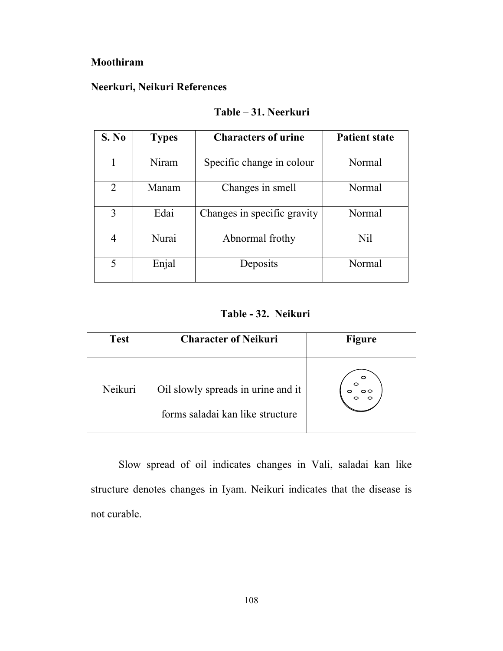# **Moothiram**

# **Neerkuri, Neikuri References**

| S. No          | <b>Types</b> | <b>Characters of urine</b>  | <b>Patient state</b> |
|----------------|--------------|-----------------------------|----------------------|
| 1              | Niram        | Specific change in colour   | Normal               |
| $\overline{2}$ | Manam        | Changes in smell            | Normal               |
| 3              | Edai         | Changes in specific gravity | Normal               |
| 4              | Nurai        | Abnormal frothy             | Nil                  |
| 5              | Enjal        | Deposits                    | Normal               |

# **Table – 31. Neerkuri**

# **Table - 32. Neikuri**

| <b>Test</b> | <b>Character of Neikuri</b>                                            | Figure |
|-------------|------------------------------------------------------------------------|--------|
| Neikuri     | Oil slowly spreads in urine and it<br>forms saladai kan like structure | ◠<br>○ |

 Slow spread of oil indicates changes in Vali, saladai kan like structure denotes changes in Iyam. Neikuri indicates that the disease is not curable.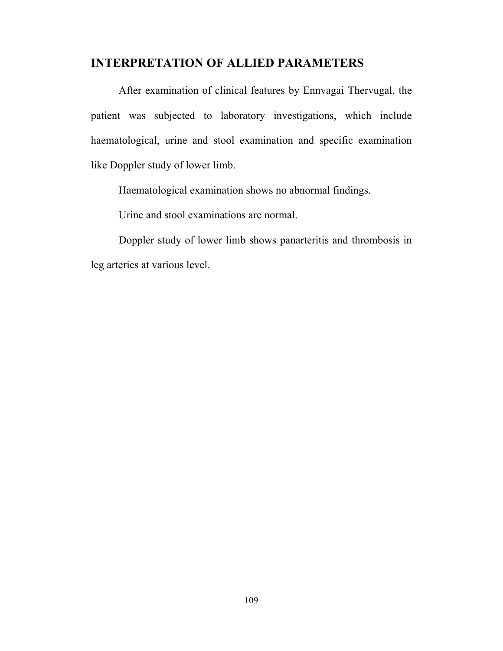# **INTERPRETATION OF ALLIED PARAMETERS**

 After examination of clinical features by Ennvagai Thervugal, the patient was subjected to laboratory investigations, which include haematological, urine and stool examination and specific examination like Doppler study of lower limb.

Haematological examination shows no abnormal findings.

Urine and stool examinations are normal.

 Doppler study of lower limb shows panarteritis and thrombosis in leg arteries at various level.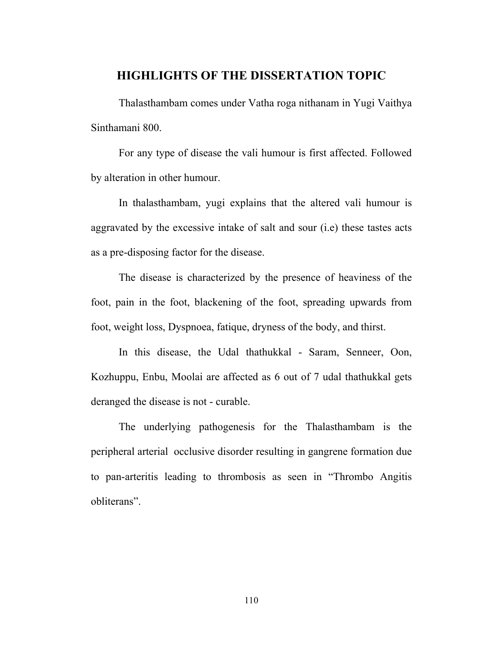# **HIGHLIGHTS OF THE DISSERTATION TOPIC**

Thalasthambam comes under Vatha roga nithanam in Yugi Vaithya Sinthamani 800.

 For any type of disease the vali humour is first affected. Followed by alteration in other humour.

 In thalasthambam, yugi explains that the altered vali humour is aggravated by the excessive intake of salt and sour (i.e) these tastes acts as a pre-disposing factor for the disease.

 The disease is characterized by the presence of heaviness of the foot, pain in the foot, blackening of the foot, spreading upwards from foot, weight loss, Dyspnoea, fatique, dryness of the body, and thirst.

 In this disease, the Udal thathukkal - Saram, Senneer, Oon, Kozhuppu, Enbu, Moolai are affected as 6 out of 7 udal thathukkal gets deranged the disease is not - curable.

 The underlying pathogenesis for the Thalasthambam is the peripheral arterial occlusive disorder resulting in gangrene formation due to pan-arteritis leading to thrombosis as seen in "Thrombo Angitis obliterans".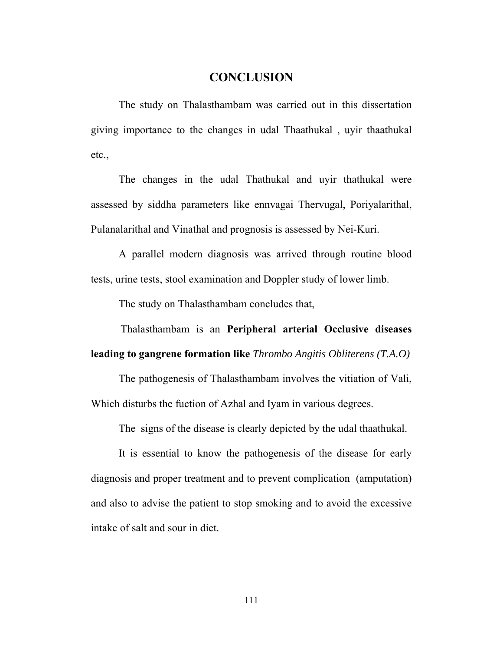# **CONCLUSION**

 The study on Thalasthambam was carried out in this dissertation giving importance to the changes in udal Thaathukal , uyir thaathukal etc.,

 The changes in the udal Thathukal and uyir thathukal were assessed by siddha parameters like ennvagai Thervugal, Poriyalarithal, Pulanalarithal and Vinathal and prognosis is assessed by Nei-Kuri.

 A parallel modern diagnosis was arrived through routine blood tests, urine tests, stool examination and Doppler study of lower limb.

The study on Thalasthambam concludes that,

Thalasthambam is an **Peripheral arterial Occlusive diseases** 

**leading to gangrene formation like** *Thrombo Angitis Obliterens (T.A.O)* 

 The pathogenesis of Thalasthambam involves the vitiation of Vali, Which disturbs the fuction of Azhal and Iyam in various degrees.

The signs of the disease is clearly depicted by the udal thaathukal.

 It is essential to know the pathogenesis of the disease for early diagnosis and proper treatment and to prevent complication (amputation) and also to advise the patient to stop smoking and to avoid the excessive intake of salt and sour in diet.

111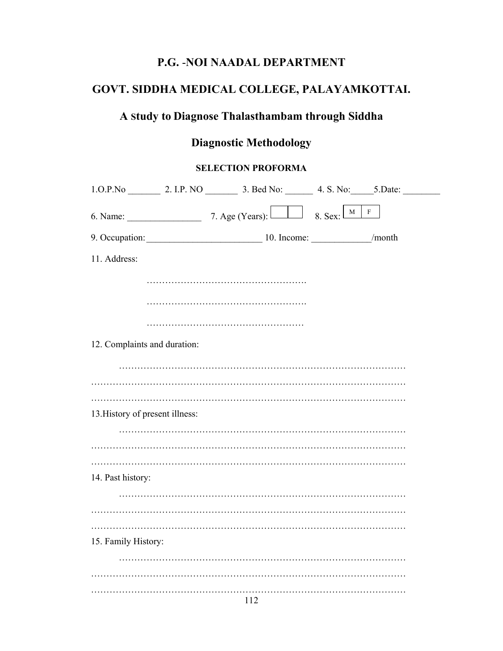# **P.G.** -**NOI NAADAL DEPARTMENT**

# **GOVT. SIDDHA MEDICAL COLLEGE, PALAYAMKOTTAI.**

# **A Study to Diagnose Thalasthambam through Siddha**

# **Diagnostic Methodology**

# **SELECTION PROFORMA**

| 1.O.P.No 2. I.P.NO 3. Bed No: 4. S. No: 5. Date: |                          |                                    |        |
|--------------------------------------------------|--------------------------|------------------------------------|--------|
| 6. Name: $\qquad \qquad$ 7. Age (Years):         | $\overline{\phantom{a}}$ | $\mathbf M$<br>$8.$ Sex: $\lfloor$ | F      |
|                                                  |                          |                                    | /month |
| 11. Address:                                     |                          |                                    |        |
|                                                  |                          |                                    |        |
|                                                  |                          |                                    |        |
|                                                  |                          |                                    |        |
| 12. Complaints and duration:                     |                          |                                    |        |
|                                                  |                          |                                    |        |
|                                                  |                          |                                    |        |
| 13. History of present illness:                  |                          |                                    |        |
|                                                  |                          |                                    |        |
|                                                  |                          |                                    |        |
| 14. Past history:                                |                          |                                    |        |
|                                                  |                          |                                    |        |
|                                                  |                          |                                    |        |
| 15. Family History:                              |                          |                                    |        |
|                                                  |                          |                                    |        |
|                                                  |                          |                                    |        |
|                                                  |                          |                                    |        |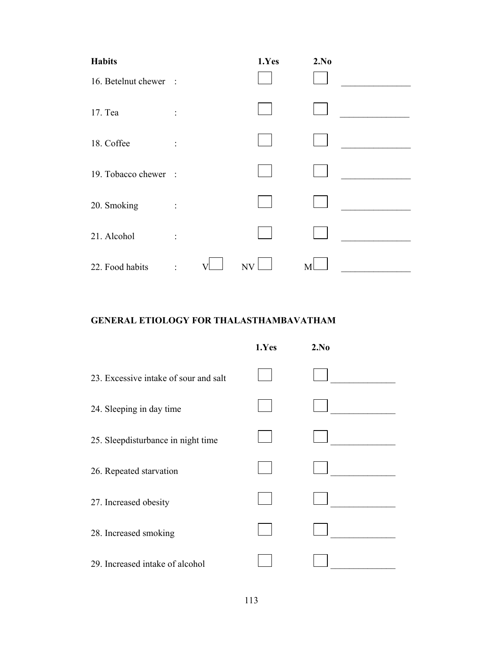| <b>Habits</b>       |                | 1.Yes                    | 2.No |  |
|---------------------|----------------|--------------------------|------|--|
| 16. Betelnut chewer | $\sim$ 1       |                          |      |  |
| 17. Tea             | $\ddot{\cdot}$ |                          |      |  |
| 18. Coffee          | $\ddot{\cdot}$ |                          |      |  |
| 19. Tobacco chewer  | $\mathbb{R}^2$ |                          |      |  |
| 20. Smoking         | ÷              |                          |      |  |
| 21. Alcohol         | $\bullet$      |                          |      |  |
| 22. Food habits     |                | $\ensuremath{\text{NV}}$ | M    |  |

# **GENERAL ETIOLOGY FOR THALASTHAMBAVATHAM**

|                                       | 1.Yes | 2.No |
|---------------------------------------|-------|------|
| 23. Excessive intake of sour and salt |       |      |
| 24. Sleeping in day time              |       |      |
| 25. Sleepdisturbance in night time    |       |      |
| 26. Repeated starvation               |       |      |
| 27. Increased obesity                 |       |      |
| 28. Increased smoking                 |       |      |
| 29. Increased intake of alcohol       |       |      |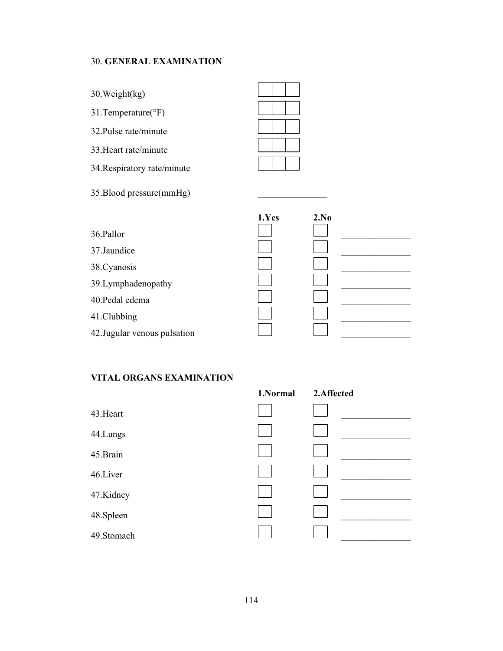#### 30. **GENERAL EXAMINATION**

30.Weight(kg)

31.Temperature(°F)

32.Pulse rate/minute

33.Heart rate/minute

34.Respiratory rate/minute

35.Blood pressure(mmHg) \_\_\_\_\_\_\_\_\_\_\_\_\_\_\_



|                              | 1.Yes | 2.No |
|------------------------------|-------|------|
| 36.Pallor                    |       |      |
| 37.Jaundice                  |       |      |
| 38. Cyanosis                 |       |      |
| 39.Lymphadenopathy           |       |      |
| 40. Pedal edema              |       |      |
| 41.Clubbing                  |       |      |
|                              |       |      |
| 42. Jugular venous pulsation |       |      |

#### **VITAL ORGANS EXAMINATION**

|            | 1.Normal | 2.Affected |
|------------|----------|------------|
| 43. Heart  |          |            |
| 44.Lungs   |          |            |
| 45.Brain   |          |            |
| 46.Liver   |          |            |
| 47.Kidney  |          |            |
| 48. Spleen |          |            |
| 49.Stomach |          |            |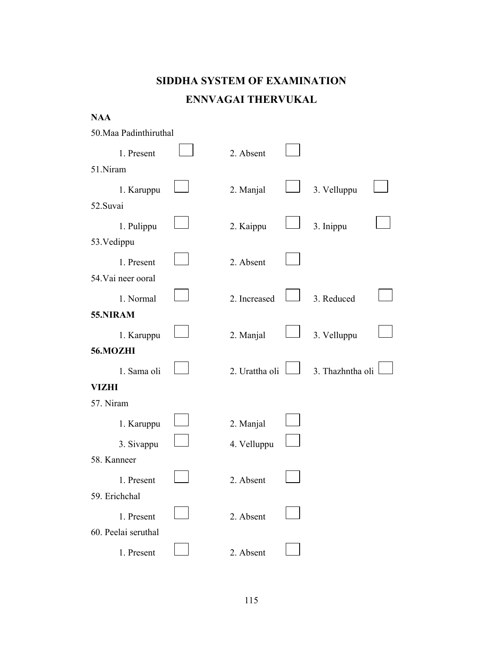# **SIDDHA SYSTEM OF EXAMINATION ENNVAGAI THERVUKAL**

| <b>NAA</b>             |                |                  |  |
|------------------------|----------------|------------------|--|
| 50. Maa Padinthiruthal |                |                  |  |
| 1. Present             | 2. Absent      |                  |  |
| 51.Niram               |                |                  |  |
| 1. Karuppu             | 2. Manjal      | 3. Velluppu      |  |
| 52.Suvai               |                |                  |  |
| 1. Pulippu             | 2. Kaippu      | 3. Inippu        |  |
| 53. Vedippu            |                |                  |  |
| 1. Present             | 2. Absent      |                  |  |
| 54. Vai neer ooral     |                |                  |  |
| 1. Normal              | 2. Increased   | 3. Reduced       |  |
| 55.NIRAM               |                |                  |  |
| 1. Karuppu             | 2. Manjal      | 3. Velluppu      |  |
| 56.MOZHI               |                |                  |  |
| 1. Sama oli            | 2. Urattha oli | 3. Thazhntha oli |  |
| <b>VIZHI</b>           |                |                  |  |
| 57. Niram              |                |                  |  |
| 1. Karuppu             | 2. Manjal      |                  |  |
| 3. Sivappu             | 4. Velluppu    |                  |  |
| 58. Kanneer            |                |                  |  |
| 1. Present             | 2. Absent      |                  |  |
| 59. Erichchal          |                |                  |  |
| 1. Present             | 2. Absent      |                  |  |
| 60. Peelai seruthal    |                |                  |  |
| 1. Present             | 2. Absent      |                  |  |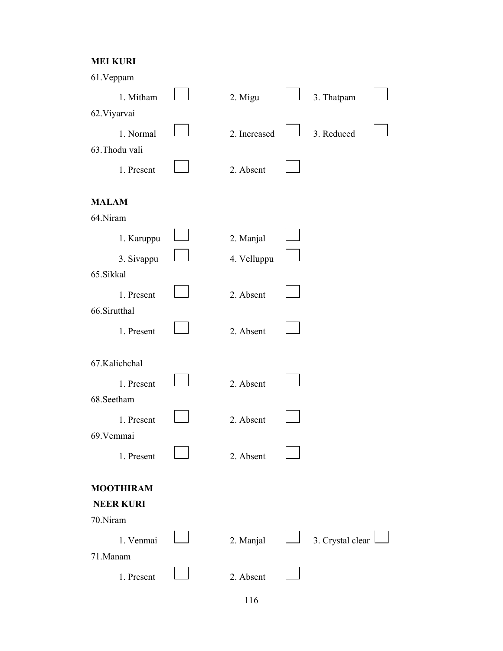## **MEI KURI**

| 61. Veppam       |              |                  |  |
|------------------|--------------|------------------|--|
| 1. Mitham        | 2. Migu      | 3. Thatpam       |  |
| 62. Viyarvai     |              |                  |  |
| 1. Normal        | 2. Increased | 3. Reduced       |  |
| 63.Thodu vali    |              |                  |  |
|                  |              |                  |  |
| 1. Present       | 2. Absent    |                  |  |
|                  |              |                  |  |
| <b>MALAM</b>     |              |                  |  |
| 64.Niram         |              |                  |  |
| 1. Karuppu       | 2. Manjal    |                  |  |
| 3. Sivappu       | 4. Velluppu  |                  |  |
| 65.Sikkal        |              |                  |  |
| 1. Present       | 2. Absent    |                  |  |
| 66.Sirutthal     |              |                  |  |
|                  |              |                  |  |
| 1. Present       | 2. Absent    |                  |  |
|                  |              |                  |  |
| 67.Kalichchal    |              |                  |  |
| 1. Present       | 2. Absent    |                  |  |
| 68.Seetham       |              |                  |  |
| 1. Present       | 2. Absent    |                  |  |
| 69. Vemmai       |              |                  |  |
|                  |              |                  |  |
| 1. Present       | 2. Absent    |                  |  |
| <b>MOOTHIRAM</b> |              |                  |  |
| <b>NEER KURI</b> |              |                  |  |
| 70.Niram         |              |                  |  |
|                  |              |                  |  |
| 1. Venmai        | 2. Manjal    | 3. Crystal clear |  |
| 71.Manam         |              |                  |  |
| 1. Present       | 2. Absent    |                  |  |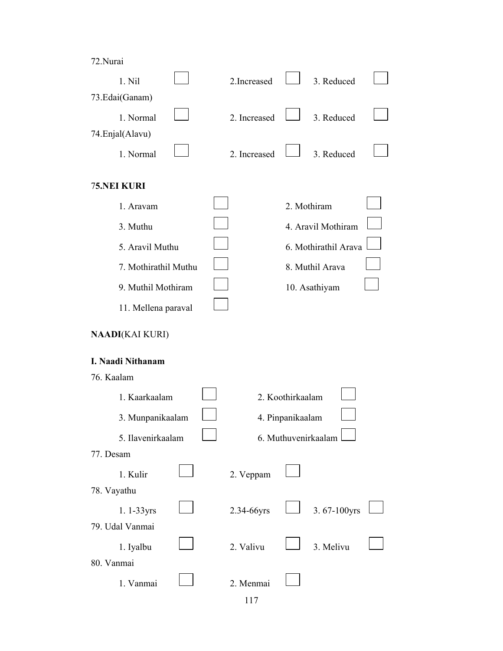| Nura |
|------|
|      |

| 1. Nil                 |  | 2.Increased  |                  | 3. Reduced           |  |
|------------------------|--|--------------|------------------|----------------------|--|
| 73.Edai(Ganam)         |  |              |                  |                      |  |
| 1. Normal              |  | 2. Increased |                  | 3. Reduced           |  |
| 74. Enjal(Alavu)       |  |              |                  |                      |  |
| 1. Normal              |  | 2. Increased |                  | 3. Reduced           |  |
| <b>75.NEI KURI</b>     |  |              |                  |                      |  |
| 1. Aravam              |  |              |                  | 2. Mothiram          |  |
| 3. Muthu               |  |              |                  | 4. Aravil Mothiram   |  |
| 5. Aravil Muthu        |  |              |                  | 6. Mothirathil Arava |  |
| 7. Mothirathil Muthu   |  |              |                  | 8. Muthil Arava      |  |
| 9. Muthil Mothiram     |  |              |                  | 10. Asathiyam        |  |
| 11. Mellena paraval    |  |              |                  |                      |  |
| <b>NAADI(KAI KURI)</b> |  |              |                  |                      |  |
| I. Naadi Nithanam      |  |              |                  |                      |  |
| 76. Kaalam             |  |              |                  |                      |  |
| 1. Kaarkaalam          |  |              | 2. Koothirkaalam |                      |  |
| 3. Munpanikaalam       |  |              | 4. Pinpanikaalam |                      |  |
| 5. Ilavenirkaalam      |  |              |                  | 6. Muthuvenirkaalam  |  |
| 77. Desam              |  |              |                  |                      |  |
| 1. Kulir               |  | 2. Veppam    |                  |                      |  |
| 78. Vayathu            |  |              |                  |                      |  |
| $1.1-33yrs$            |  | 2.34-66yrs   |                  | 3.67-100yrs          |  |
| 79. Udal Vanmai        |  |              |                  |                      |  |
| 1. Iyalbu              |  | 2. Valivu    |                  | 3. Melivu            |  |
| 80. Vanmai             |  |              |                  |                      |  |
| 1. Vanmai              |  | 2. Menmai    |                  |                      |  |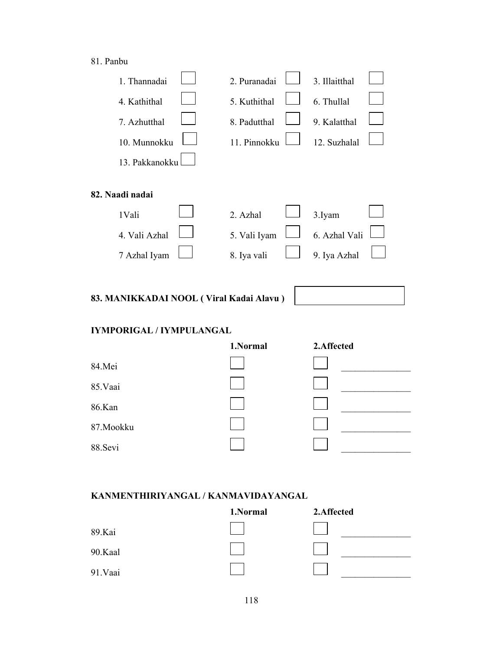## 81. Panbu

| 1. Thannadai    | 2. Puranadai | 3. Illaitthal |
|-----------------|--------------|---------------|
| 4. Kathithal    | 5. Kuthithal | 6. Thullal    |
| 7. Azhutthal    | 8. Padutthal | 9. Kalatthal  |
| 10. Munnokku    | 11. Pinnokku | 12. Suzhalal  |
| 13. Pakkanokku  |              |               |
|                 |              |               |
| 82. Naadi nadai |              |               |
| 1 Vali          | 2. Azhal     | 3.Iyam        |
| 4. Vali Azhal   | 5. Vali Iyam | 6. Azhal Vali |
| 7 Azhal Iyam    | 8. Iya vali  | 9. Iya Azhal  |
|                 |              |               |

# **83. MANIKKADAI NOOL ( Viral Kadai Alavu )**

# **IYMPORIGAL / IYMPULANGAL**

|            | 1.Normal | 2.Affected |
|------------|----------|------------|
| 84.Mei     |          |            |
| 85. Vaai   |          |            |
| 86.Kan     |          |            |
| 87. Mookku |          |            |
| 88.Sevi    |          |            |

#### **KANMENTHIRIYANGAL / KANMAVIDAYANGAL**

|          | 1.Normal | 2.Affected |
|----------|----------|------------|
| 89.Kai   |          |            |
| 90.Kaal  |          |            |
| 91. Vaai |          |            |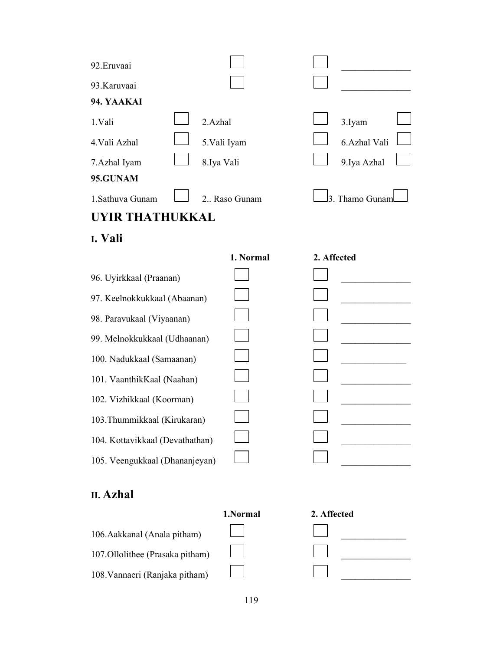| 92. Eruvaai      |               |                 |  |
|------------------|---------------|-----------------|--|
| 93. Karuvaai     |               |                 |  |
| 94. YAAKAI       |               |                 |  |
| 1.Vali           | 2.Azhal       | 3.Iyam          |  |
| 4. Vali Azhal    | 5.Vali Iyam   | 6.Azhal Vali    |  |
| 7.Azhal Iyam     | 8.Iya Vali    | 9. Iya Azhal    |  |
| 95.GUNAM         |               |                 |  |
| 1. Sathuva Gunam | 2. Raso Gunam | 3. Thamo Gunaml |  |
| $\mathbf A$      |               |                 |  |

**I. Vali** 

|                                 | 1. Normal | 2. Affected |  |
|---------------------------------|-----------|-------------|--|
| 96. Uyirkkaal (Praanan)         |           |             |  |
| 97. Keelnokkukkaal (Abaanan)    |           |             |  |
| 98. Paravukaal (Viyaanan)       |           |             |  |
| 99. Melnokkukkaal (Udhaanan)    |           |             |  |
| 100. Nadukkaal (Samaanan)       |           |             |  |
| 101. VaanthikKaal (Naahan)      |           |             |  |
| 102. Vizhikkaal (Koorman)       |           |             |  |
| 103. Thummikkaal (Kirukaran)    |           |             |  |
| 104. Kottavikkaal (Devathathan) |           |             |  |
| 105. Veengukkaal (Dhananjeyan)  |           |             |  |
|                                 |           |             |  |

# **II. Azhal**



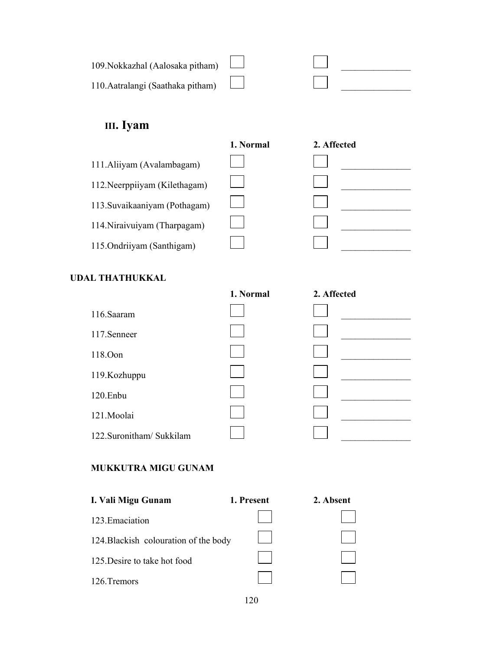| 109. Nokkazhal (Aalosaka pitham)  |  |  |
|-----------------------------------|--|--|
| 110. Aatralangi (Saathaka pitham) |  |  |

# **III. Iyam**

|                               | 1. Normal | 2. Affected |
|-------------------------------|-----------|-------------|
| 111. Aliiyam (Avalambagam)    |           |             |
| 112. Neerppiiyam (Kilethagam) |           |             |
| 113. Suvaikaaniyam (Pothagam) |           |             |
| 114. Niraivuiyam (Tharpagam)  |           |             |
| 115. Ondriiyam (Santhigam)    |           |             |

# **UDAL THATHUKKAL**

|                         | 1. Normal | 2. Affected |  |
|-------------------------|-----------|-------------|--|
| 116.Saaram              |           |             |  |
| 117.Senneer             |           |             |  |
| 118.Oon                 |           |             |  |
| 119. Kozhuppu           |           |             |  |
| 120.Enbu                |           |             |  |
| 121.Moolai              |           |             |  |
| 122.Suronitham/Sukkilam |           |             |  |
|                         |           |             |  |

# **MUKKUTRA MIGU GUNAM**

| I. Vali Migu Gunam                    | 1. Present | 2. Absent |
|---------------------------------------|------------|-----------|
| 123. Emaciation                       |            |           |
| 124. Blackish colouration of the body |            |           |
| 125. Desire to take hot food          |            |           |
| 126. Tremors                          |            |           |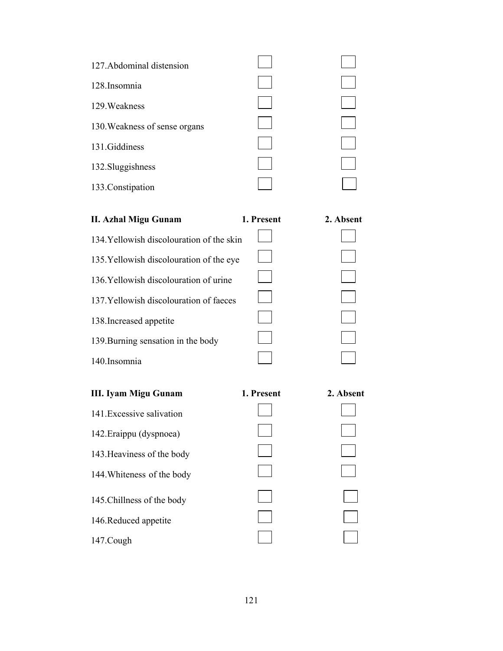| 127. Abdominal distension     |  |
|-------------------------------|--|
| 128.Insomnia                  |  |
| 129. Weakness                 |  |
| 130. Weakness of sense organs |  |
| 131.Giddiness                 |  |
| 132. Sluggishness             |  |
| 133. Constipation             |  |
|                               |  |

| II. Azhal Migu Gunam                      | 1. Present | 2. Absent |
|-------------------------------------------|------------|-----------|
| 134. Yellowish discolouration of the skin |            |           |
| 135. Yellowish discolouration of the eye  |            |           |
| 136. Yellowish discolouration of urine    |            |           |
| 137. Yellowish discolouration of faeces   |            |           |
| 138. Increased appetite                   |            |           |
| 139. Burning sensation in the body        |            |           |
| 140. Insomnia                             |            |           |

| <b>III. Iyam Migu Gunam</b> | 1. Present |
|-----------------------------|------------|
| 141 Excessive salivation    |            |
| 142. Eraippu (dyspnoea)     |            |
| 143. Heaviness of the body  |            |
| 144. Whiteness of the body  |            |
| 145. Chillness of the body  |            |
| 146. Reduced appetite       |            |
| 147.Cough                   |            |

| 2. Absent |
|-----------|
|           |
|           |
|           |
|           |
|           |
|           |
|           |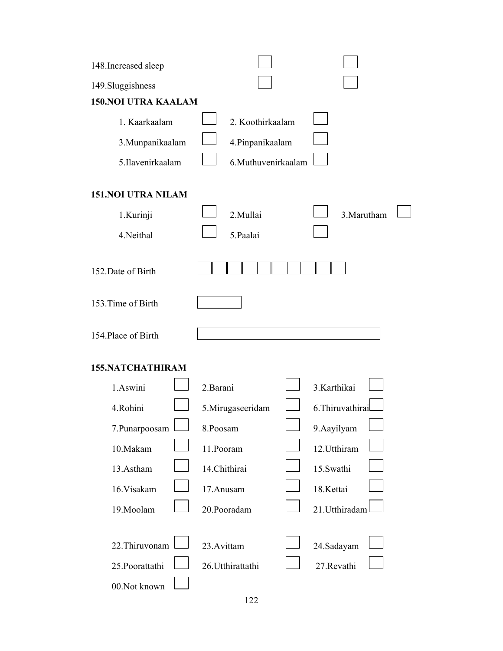| 148. Increased sleep              |                                  |                           |  |  |  |  |  |  |  |  |  |
|-----------------------------------|----------------------------------|---------------------------|--|--|--|--|--|--|--|--|--|
| 149. Sluggishness                 |                                  |                           |  |  |  |  |  |  |  |  |  |
| <b>150.NOI UTRA KAALAM</b>        |                                  |                           |  |  |  |  |  |  |  |  |  |
| 1. Kaarkaalam                     | 2. Koothirkaalam                 |                           |  |  |  |  |  |  |  |  |  |
| 3. Munpanikaalam                  | 4. Pinpanikaalam                 |                           |  |  |  |  |  |  |  |  |  |
| 5.Ilavenirkaalam                  | 6. Muthuvenirkaalam              |                           |  |  |  |  |  |  |  |  |  |
| <b>151.NOI UTRA NILAM</b>         |                                  |                           |  |  |  |  |  |  |  |  |  |
| 1.Kurinji                         | 2.Mullai                         | 3. Marutham               |  |  |  |  |  |  |  |  |  |
| 4.Neithal                         | 5.Paalai                         |                           |  |  |  |  |  |  |  |  |  |
| 152. Date of Birth                |                                  |                           |  |  |  |  |  |  |  |  |  |
| 153. Time of Birth                |                                  |                           |  |  |  |  |  |  |  |  |  |
| 154. Place of Birth               |                                  |                           |  |  |  |  |  |  |  |  |  |
| <b>155.NATCHATHIRAM</b>           |                                  |                           |  |  |  |  |  |  |  |  |  |
| 1.Aswini                          | 2. Barani                        | 3.Karthikai               |  |  |  |  |  |  |  |  |  |
| 4.Rohini                          | 5.Mirugaseeridam                 | 6. Thiruvathira           |  |  |  |  |  |  |  |  |  |
| 7.Punarpoosam                     | 8.Poosam                         | 9.Aayilyam                |  |  |  |  |  |  |  |  |  |
| 10.Makam                          | 11.Pooram                        | 12. Utthiram              |  |  |  |  |  |  |  |  |  |
| 13.Astham                         | 14.Chithirai                     | 15.Swathi                 |  |  |  |  |  |  |  |  |  |
| 16. Visakam                       | 17.Anusam                        | 18.Kettai                 |  |  |  |  |  |  |  |  |  |
| 19. Moolam                        | 20.Pooradam                      | 21. Utthiradam            |  |  |  |  |  |  |  |  |  |
| 22. Thiruvonam<br>25. Poorattathi | 23. Avittam<br>26. Utthirattathi | 24.Sadayam<br>27. Revathi |  |  |  |  |  |  |  |  |  |
| 00.Not known                      |                                  |                           |  |  |  |  |  |  |  |  |  |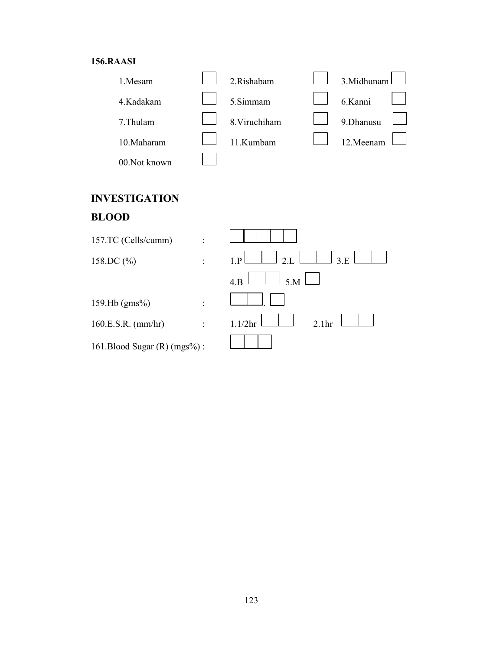#### **156.RAASI**



# **INVESTIGATION BLOOD**

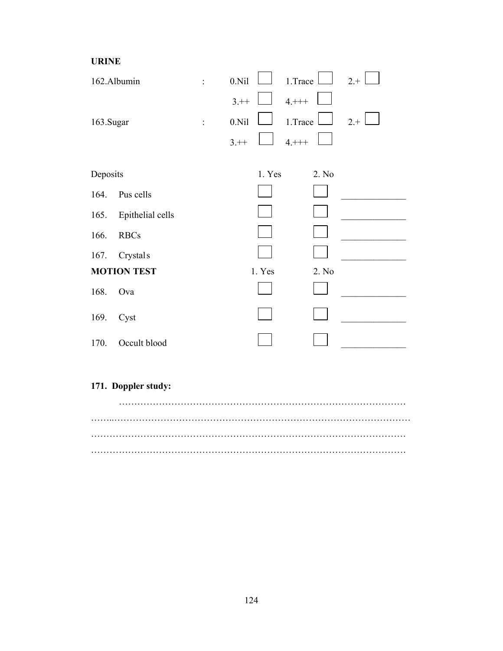**URINE** 

| 162.Albumin |                      | $\ddot{\phantom{0}}$ | 0.Ni1    |        | 1.Trace    |       | $2. +$ |
|-------------|----------------------|----------------------|----------|--------|------------|-------|--------|
|             |                      |                      | $3.+$    |        | $4. + + +$ |       |        |
| 163.Sugar   |                      | $\ddot{\cdot}$       | 0.Ni1    |        | 1.Trace    |       | $2.+$  |
|             |                      |                      | $3. + +$ |        | $4. + + +$ |       |        |
|             |                      |                      |          |        |            |       |        |
| Deposits    |                      |                      |          | 1. Yes |            | 2. No |        |
| 164.        | Pus cells            |                      |          |        |            |       |        |
| 165.        | Epithelial cells     |                      |          |        |            |       |        |
| 166.        | <b>RBCs</b>          |                      |          |        |            |       |        |
| 167.        | Crystal <sub>s</sub> |                      |          |        |            |       |        |
|             | <b>MOTION TEST</b>   |                      |          | 1. Yes |            | 2. No |        |
| 168.        | Ova                  |                      |          |        |            |       |        |
| 169.        | Cyst                 |                      |          |        |            |       |        |
| 170.        | Occult blood         |                      |          |        |            |       |        |

# **171. Doppler study:**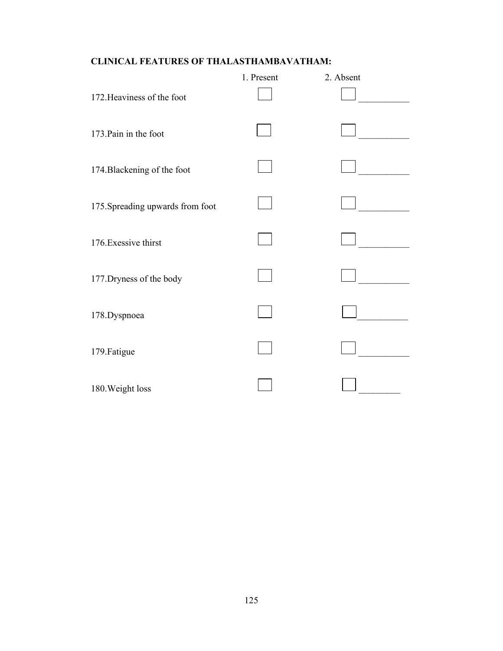# **CLINICAL FEATURES OF THALASTHAMBAVATHAM:**

|                                  | 1. Present | 2. Absent |
|----------------------------------|------------|-----------|
| 172. Heaviness of the foot       |            |           |
| 173. Pain in the foot            |            |           |
| 174. Blackening of the foot      |            |           |
| 175. Spreading upwards from foot |            |           |
| 176. Exessive thirst             |            |           |
| 177. Dryness of the body         |            |           |
| 178. Dyspnoea                    |            |           |
| 179. Fatigue                     |            |           |
| 180. Weight loss                 |            |           |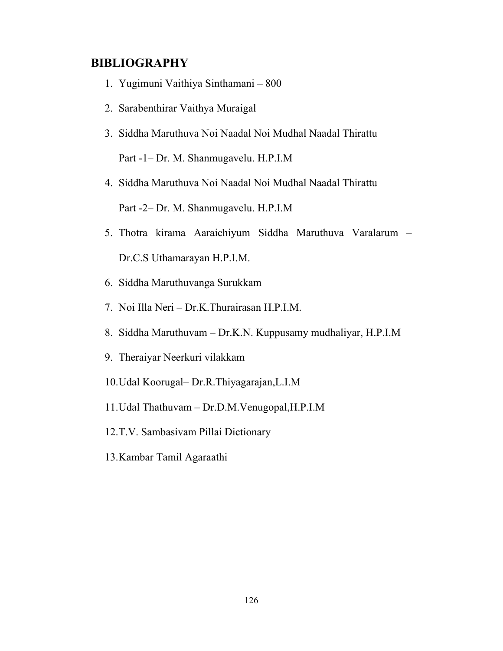# **BIBLIOGRAPHY**

- 1. Yugimuni Vaithiya Sinthamani 800
- 2. Sarabenthirar Vaithya Muraigal
- 3. Siddha Maruthuva Noi Naadal Noi Mudhal Naadal Thirattu Part -1– Dr. M. Shanmugavelu. H.P.I.M
- 4. Siddha Maruthuva Noi Naadal Noi Mudhal Naadal Thirattu Part -2– Dr. M. Shanmugavelu. H.P.I.M
- 5. Thotra kirama Aaraichiyum Siddha Maruthuva Varalarum Dr.C.S Uthamarayan H.P.I.M.
- 6. Siddha Maruthuvanga Surukkam
- 7. Noi Illa Neri Dr.K.Thurairasan H.P.I.M.
- 8. Siddha Maruthuvam Dr.K.N. Kuppusamy mudhaliyar, H.P.I.M
- 9. Theraiyar Neerkuri vilakkam
- 10.Udal Koorugal– Dr.R.Thiyagarajan,L.I.M
- 11.Udal Thathuvam Dr.D.M.Venugopal,H.P.I.M
- 12.T.V. Sambasivam Pillai Dictionary
- 13.Kambar Tamil Agaraathi